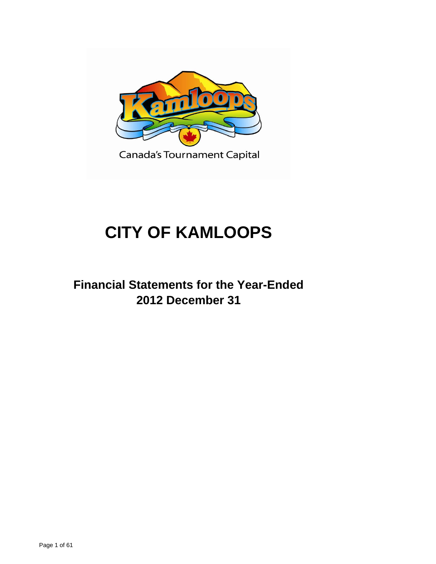

Canada's Tournament Capital

# **CITY OF KAMLOOPS**

**Financial Statements for the Year-Ended 2012 December 31**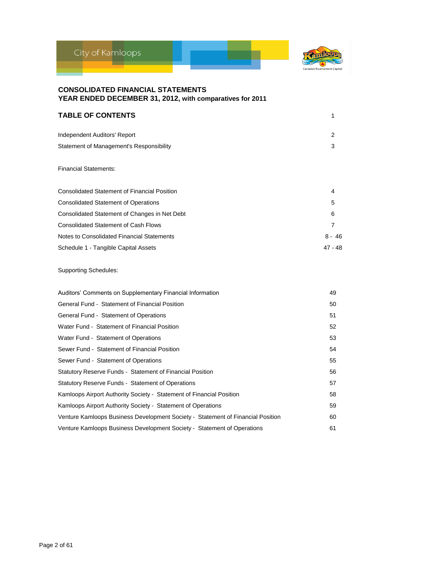



| <b>TABLE OF CONTENTS</b>                 |   |
|------------------------------------------|---|
| Independent Auditors' Report             | 2 |
| Statement of Management's Responsibility | 3 |

### Financial Statements:

| <b>Consolidated Statement of Financial Position</b> | 4         |
|-----------------------------------------------------|-----------|
| <b>Consolidated Statement of Operations</b>         | 5         |
| Consolidated Statement of Changes in Net Debt       | 6         |
| <b>Consolidated Statement of Cash Flows</b>         |           |
| Notes to Consolidated Financial Statements          | $8 - 46$  |
| Schedule 1 - Tangible Capital Assets                | $47 - 48$ |

### Supporting Schedules:

| Auditors' Comments on Supplementary Financial Information                       | 49 |
|---------------------------------------------------------------------------------|----|
| General Fund - Statement of Financial Position                                  | 50 |
| General Fund - Statement of Operations                                          | 51 |
| Water Fund - Statement of Financial Position                                    | 52 |
| Water Fund - Statement of Operations                                            | 53 |
| Sewer Fund - Statement of Financial Position                                    | 54 |
| Sewer Fund - Statement of Operations                                            | 55 |
| Statutory Reserve Funds - Statement of Financial Position                       | 56 |
| Statutory Reserve Funds - Statement of Operations                               | 57 |
| Kamloops Airport Authority Society - Statement of Financial Position            | 58 |
| Kamloops Airport Authority Society - Statement of Operations                    | 59 |
| Venture Kamloops Business Development Society - Statement of Financial Position | 60 |
| Venture Kamloops Business Development Society - Statement of Operations         | 61 |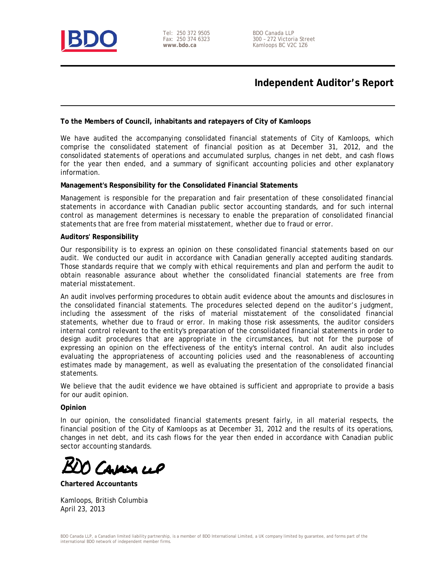

Tel: 250 372 9505 Fax: 250 374 6323 **www.bdo.ca** 

BDO Canada LLP 300 – 272 Victoria Street Kamloops BC V2C 1Z6

# **Independent Auditor's Report**

### **To the Members of Council, inhabitants and ratepayers of City of Kamloops**

We have audited the accompanying consolidated financial statements of City of Kamloops, which comprise the consolidated statement of financial position as at December 31, 2012, and the consolidated statements of operations and accumulated surplus, changes in net debt, and cash flows for the year then ended, and a summary of significant accounting policies and other explanatory information.

### **Management's Responsibility for the Consolidated Financial Statements**

Management is responsible for the preparation and fair presentation of these consolidated financial statements in accordance with Canadian public sector accounting standards, and for such internal control as management determines is necessary to enable the preparation of consolidated financial statements that are free from material misstatement, whether due to fraud or error.

### **Auditors' Responsibility**

Our responsibility is to express an opinion on these consolidated financial statements based on our audit. We conducted our audit in accordance with Canadian generally accepted auditing standards. Those standards require that we comply with ethical requirements and plan and perform the audit to obtain reasonable assurance about whether the consolidated financial statements are free from material misstatement.

An audit involves performing procedures to obtain audit evidence about the amounts and disclosures in the consolidated financial statements. The procedures selected depend on the auditor's judgment, including the assessment of the risks of material misstatement of the consolidated financial statements, whether due to fraud or error. In making those risk assessments, the auditor considers internal control relevant to the entity's preparation of the consolidated financial statements in order to design audit procedures that are appropriate in the circumstances, but not for the purpose of expressing an opinion on the effectiveness of the entity's internal control. An audit also includes evaluating the appropriateness of accounting policies used and the reasonableness of accounting estimates made by management, as well as evaluating the presentation of the consolidated financial statements.

We believe that the audit evidence we have obtained is sufficient and appropriate to provide a basis for our audit opinion.

### **Opinion**

In our opinion, the consolidated financial statements present fairly, in all material respects, the financial position of the City of Kamloops as at December 31, 2012 and the results of its operations, changes in net debt, and its cash flows for the year then ended in accordance with Canadian public sector accounting standards.

CAMOR LLP

**Chartered Accountants** 

Kamloops, British Columbia April 23, 2013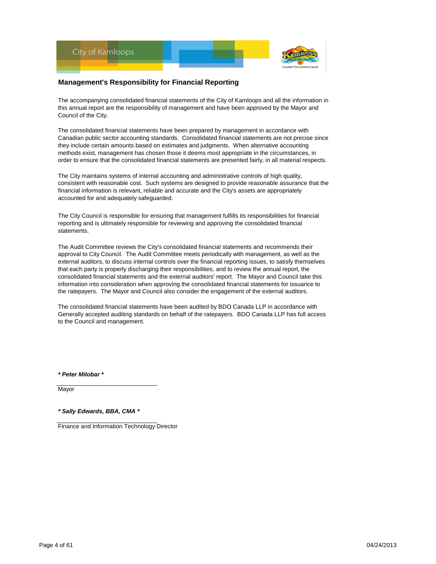

### **Management's Responsibility for Financial Reporting**

The accompanying consolidated financial statements of the City of Kamloops and all the information in this annual report are the responsibility of management and have been approved by the Mayor and Council of the City.

The consolidated financial statements have been prepared by management in accordance with Canadian public sector accounting standards. Consolidated financial statements are not precise since they include certain amounts based on estimates and judgments. When alternative accounting methods exist, management has chosen those it deems most appropriate in the circumstances, in order to ensure that the consolidated financial statements are presented fairly, in all material respects.

The City maintains systems of internal accounting and administrative controls of high quality, consistent with reasonable cost. Such systems are designed to provide reasonable assurance that the financial information is relevant, reliable and accurate and the City's assets are appropriately accounted for and adequately safeguarded.

The City Council is responsible for ensuring that management fulfills its responsibilities for financial reporting and is ultimately responsible for reviewing and approving the consolidated financial statements.

The Audit Committee reviews the City's consolidated financial statements and recommends their approval to City Council. The Audit Committee meets periodically with management, as well as the external auditors, to discuss internal controls over the financial reporting issues, to satisfy themselves that each party is properly discharging their responsibilities, and to review the annual report, the consolidated financial statements and the external auditors' report. The Mayor and Council take this information into consideration when approving the consolidated financial statements for issuance to the ratepayers. The Mayor and Council also consider the engagement of the external auditors.

The consolidated financial statements have been audited by BDO Canada LLP in accordance with Generally accepted auditing standards on behalf of the ratepayers. BDO Canada LLP has full access to the Council and management.

*\* Peter Milobar \**

**Mayor** 

*\* Sally Edwards, BBA, CMA \**

Finance and Information Technology Director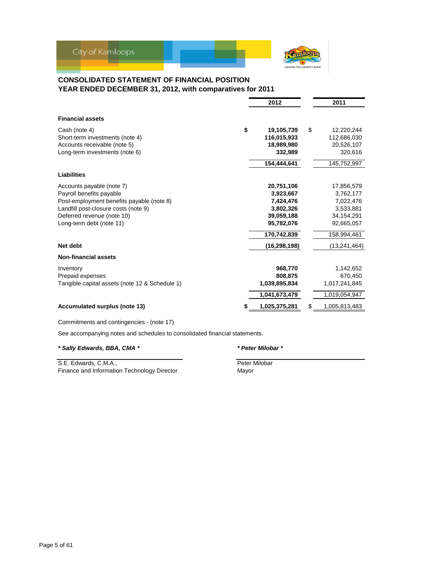

### **CONSOLIDATED STATEMENT OF FINANCIAL POSITION YEAR ENDED DECEMBER 31, 2012, with comparatives for 2011**

|                                                | 2012             | 2011             |
|------------------------------------------------|------------------|------------------|
| <b>Financial assets</b>                        |                  |                  |
| Cash (note 4)                                  | \$<br>19,105,739 | \$<br>12,220,244 |
| Short-term investments (note 4)                | 116.015.933      | 112,686,030      |
| Accounts receivable (note 5)                   | 18,989,980       | 20,526,107       |
| Long-term investments (note 6)                 | 332,989          | 320,616          |
|                                                | 154,444,641      | 145,752,997      |
| <b>Liabilities</b>                             |                  |                  |
| Accounts payable (note 7)                      | 20,751,106       | 17,856,579       |
| Payroll benefits payable                       | 3,923,667        | 3,762,177        |
| Post-employment benefits payable (note 8)      | 7,424,476        | 7,022,476        |
| Landfill post-closure costs (note 9)           | 3,802,326        | 3,533,881        |
| Deferred revenue (note 10)                     | 39,059,188       | 34,154,291       |
| Long-term debt (note 11)                       | 95,782,076       | 92,665,057       |
|                                                | 170,742,839      | 158,994,461      |
| Net debt                                       | (16, 298, 198)   | (13, 241, 464)   |
| <b>Non-financial assets</b>                    |                  |                  |
| Inventory                                      | 968.770          | 1,142,652        |
| Prepaid expenses                               | 808,875          | 670,450          |
| Tangible capital assets (note 12 & Schedule 1) | 1,039,895,834    | 1,017,241,845    |
|                                                | 1,041,673,479    | 1,019,054,947    |
| Accumulated surplus (note 13)                  | 1,025,375,281    | 1,005,813,483    |

Commitments and contingencies - (note 17)

See accompanying notes and schedules to consolidated financial statements.

### *\* Sally Edwards, BBA, CMA \* \* Peter Milobar \**

S.E. Edwards, C.M.A., **Peter Milobar** Peter Milobar Finance and Information Technology Director **Mayor**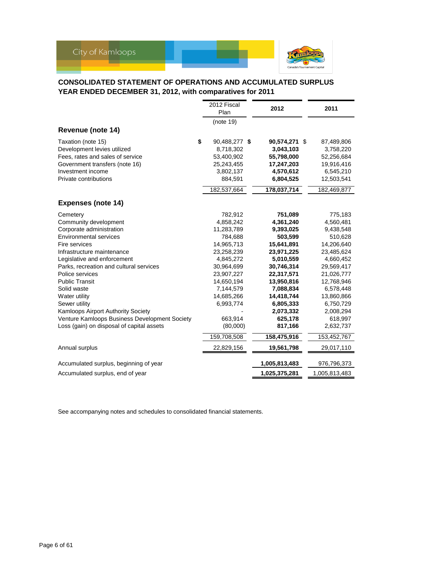

### **CONSOLIDATED STATEMENT OF OPERATIONS AND ACCUMULATED SURPLUS YEAR ENDED DECEMBER 31, 2012, with comparatives for 2011**

|                                               | 2012 Fiscal<br>Plan | 2012          | 2011          |
|-----------------------------------------------|---------------------|---------------|---------------|
|                                               | (note 19)           |               |               |
| Revenue (note 14)                             |                     |               |               |
| Taxation (note 15)                            | \$<br>90,488,277 \$ | 90,574,271 \$ | 87,489,806    |
| Development levies utilized                   | 8,718,302           | 3,043,103     | 3,758,220     |
| Fees, rates and sales of service              | 53,400,902          | 55,798,000    | 52,256,684    |
| Government transfers (note 16)                | 25,243,455          | 17,247,203    | 19,916,416    |
| Investment income                             | 3,802,137           | 4,570,612     | 6,545,210     |
| Private contributions                         | 884,591             | 6,804,525     | 12,503,541    |
|                                               | 182,537,664         | 178,037,714   | 182,469,877   |
| <b>Expenses (note 14)</b>                     |                     |               |               |
| Cemetery                                      | 782,912             | 751,089       | 775,183       |
| Community development                         | 4,858,242           | 4,361,240     | 4,560,481     |
| Corporate administration                      | 11,283,789          | 9,393,025     | 9,438,548     |
| <b>Environmental services</b>                 | 784,688             | 503,599       | 510,628       |
| Fire services                                 | 14,965,713          | 15,641,891    | 14,206,640    |
| Infrastructure maintenance                    | 23,258,239          | 23,971,225    | 23,485,624    |
| Legislative and enforcement                   | 4,845,272           | 5,010,559     | 4,660,452     |
| Parks, recreation and cultural services       | 30,964,699          | 30,746,314    | 29,569,417    |
| Police services                               | 23,907,227          | 22,317,571    | 21,026,777    |
| <b>Public Transit</b>                         | 14,650,194          | 13,950,816    | 12,768,946    |
| Solid waste                                   | 7,144,579           | 7,088,834     | 6,578,448     |
| Water utility                                 | 14,685,266          | 14,418,744    | 13,860,866    |
| Sewer utility                                 | 6,993,774           | 6,805,333     | 6,750,729     |
| <b>Kamloops Airport Authority Society</b>     |                     | 2,073,332     | 2,008,294     |
| Venture Kamloops Business Development Society | 663,914             | 625,178       | 618,997       |
| Loss (gain) on disposal of capital assets     | (80,000)            | 817,166       | 2,632,737     |
|                                               | 159,708,508         | 158,475,916   | 153,452,767   |
| Annual surplus                                | 22,829,156          | 19,561,798    | 29,017,110    |
| Accumulated surplus, beginning of year        |                     | 1,005,813,483 | 976,796,373   |
| Accumulated surplus, end of year              |                     | 1,025,375,281 | 1,005,813,483 |

See accompanying notes and schedules to consolidated financial statements.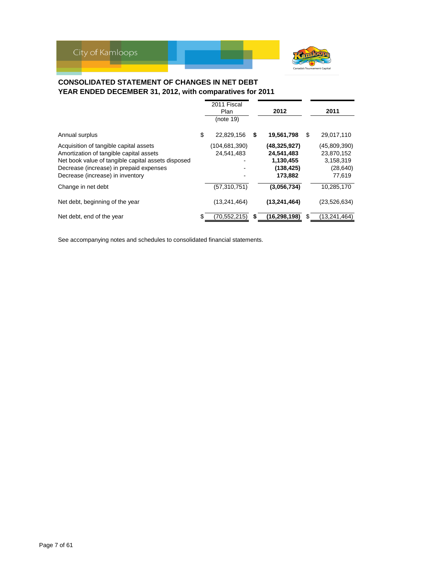

### **CONSOLIDATED STATEMENT OF CHANGES IN NET DEBT YEAR ENDED DECEMBER 31, 2012, with comparatives for 2011**

|                                                                                                                                                                                                                        | 2011 Fiscal<br>Plan         |    | 2012                                                               |     | 2011                                                           |
|------------------------------------------------------------------------------------------------------------------------------------------------------------------------------------------------------------------------|-----------------------------|----|--------------------------------------------------------------------|-----|----------------------------------------------------------------|
|                                                                                                                                                                                                                        | (note 19)                   |    |                                                                    |     |                                                                |
| Annual surplus                                                                                                                                                                                                         | \$<br>22.829.156            | \$ | 19,561,798                                                         | \$. | 29,017,110                                                     |
| Acquisition of tangible capital assets<br>Amortization of tangible capital assets<br>Net book value of tangible capital assets disposed<br>Decrease (increase) in prepaid expenses<br>Decrease (increase) in inventory | (104,681,390)<br>24.541.483 |    | (48, 325, 927)<br>24,541,483<br>1,130,455<br>(138, 425)<br>173,882 |     | (45,809,390)<br>23,870,152<br>3,158,319<br>(28, 640)<br>77,619 |
| Change in net debt                                                                                                                                                                                                     | (57, 310, 751)              |    | (3,056,734)                                                        |     | 10,285,170                                                     |
| Net debt, beginning of the year                                                                                                                                                                                        | (13, 241, 464)              |    | (13, 241, 464)                                                     |     | (23, 526, 634)                                                 |
| Net debt, end of the year                                                                                                                                                                                              | \$<br>(70.552.215)          | S  | (16, 298, 198)                                                     |     | (13, 241, 464)                                                 |

See accompanying notes and schedules to consolidated financial statements.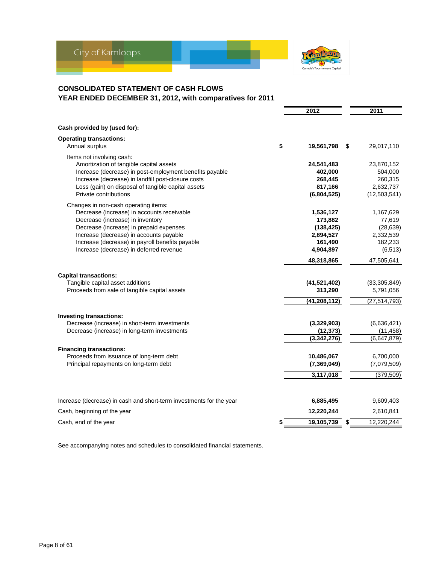

# **CONSOLIDATED STATEMENT OF CASH FLOWS YEAR ENDED DECEMBER 31, 2012, with comparatives for 2011**

| Cash provided by (used for):<br><b>Operating transactions:</b><br>\$<br>Annual surplus<br>19,561,798<br>\$<br>29,017,110<br>Items not involving cash:<br>Amortization of tangible capital assets<br>24,541,483<br>23,870,152<br>Increase (decrease) in post-employment benefits payable<br>402,000<br>504,000<br>Increase (decrease) in landfill post-closure costs<br>268,445<br>260,315<br>817,166<br>2,632,737<br>Loss (gain) on disposal of tangible capital assets<br>Private contributions<br>(12, 503, 541)<br>(6,804,525)<br>Changes in non-cash operating items:<br>Decrease (increase) in accounts receivable<br>1,536,127<br>1,167,629<br>Decrease (increase) in inventory<br>173,882<br>77,619<br>Decrease (increase) in prepaid expenses<br>(28, 639)<br>(138, 425)<br>Increase (decrease) in accounts payable<br>2,332,539<br>2,894,527<br>Increase (decrease) in payroll benefits payable<br>182,233<br>161,490<br>Increase (decrease) in deferred revenue<br>4,904,897<br>(6, 513)<br>48,318,865<br>47,505,641<br><b>Capital transactions:</b><br>Tangible capital asset additions<br>(41,521,402)<br>(33,305,849)<br>Proceeds from sale of tangible capital assets<br>313,290<br>5,791,056<br>(41, 208, 112)<br>(27, 514, 793)<br>Investing transactions:<br>Decrease (increase) in short-term investments<br>(3,329,903)<br>(6,636,421)<br>Decrease (increase) in long-term investments<br>(12, 373)<br>(11, 458)<br>(3,342,276)<br>(6,647,879)<br><b>Financing transactions:</b><br>Proceeds from issuance of long-term debt<br>10,486,067<br>6,700,000<br>Principal repayments on long-term debt<br>(7, 369, 049)<br>(7,079,509)<br>3,117,018<br>(379, 509)<br>6,885,495<br>9,609,403<br>Increase (decrease) in cash and short-term investments for the year<br>12,220,244<br>Cash, beginning of the year<br>2,610,841<br>19,105,739<br>12,220,244<br>Cash, end of the year<br>\$<br>\$ |  | 2012 | 2011 |
|-------------------------------------------------------------------------------------------------------------------------------------------------------------------------------------------------------------------------------------------------------------------------------------------------------------------------------------------------------------------------------------------------------------------------------------------------------------------------------------------------------------------------------------------------------------------------------------------------------------------------------------------------------------------------------------------------------------------------------------------------------------------------------------------------------------------------------------------------------------------------------------------------------------------------------------------------------------------------------------------------------------------------------------------------------------------------------------------------------------------------------------------------------------------------------------------------------------------------------------------------------------------------------------------------------------------------------------------------------------------------------------------------------------------------------------------------------------------------------------------------------------------------------------------------------------------------------------------------------------------------------------------------------------------------------------------------------------------------------------------------------------------------------------------------------------------------------------------------------------------------------------------------------------|--|------|------|
|                                                                                                                                                                                                                                                                                                                                                                                                                                                                                                                                                                                                                                                                                                                                                                                                                                                                                                                                                                                                                                                                                                                                                                                                                                                                                                                                                                                                                                                                                                                                                                                                                                                                                                                                                                                                                                                                                                             |  |      |      |
|                                                                                                                                                                                                                                                                                                                                                                                                                                                                                                                                                                                                                                                                                                                                                                                                                                                                                                                                                                                                                                                                                                                                                                                                                                                                                                                                                                                                                                                                                                                                                                                                                                                                                                                                                                                                                                                                                                             |  |      |      |
|                                                                                                                                                                                                                                                                                                                                                                                                                                                                                                                                                                                                                                                                                                                                                                                                                                                                                                                                                                                                                                                                                                                                                                                                                                                                                                                                                                                                                                                                                                                                                                                                                                                                                                                                                                                                                                                                                                             |  |      |      |
|                                                                                                                                                                                                                                                                                                                                                                                                                                                                                                                                                                                                                                                                                                                                                                                                                                                                                                                                                                                                                                                                                                                                                                                                                                                                                                                                                                                                                                                                                                                                                                                                                                                                                                                                                                                                                                                                                                             |  |      |      |
|                                                                                                                                                                                                                                                                                                                                                                                                                                                                                                                                                                                                                                                                                                                                                                                                                                                                                                                                                                                                                                                                                                                                                                                                                                                                                                                                                                                                                                                                                                                                                                                                                                                                                                                                                                                                                                                                                                             |  |      |      |
|                                                                                                                                                                                                                                                                                                                                                                                                                                                                                                                                                                                                                                                                                                                                                                                                                                                                                                                                                                                                                                                                                                                                                                                                                                                                                                                                                                                                                                                                                                                                                                                                                                                                                                                                                                                                                                                                                                             |  |      |      |
|                                                                                                                                                                                                                                                                                                                                                                                                                                                                                                                                                                                                                                                                                                                                                                                                                                                                                                                                                                                                                                                                                                                                                                                                                                                                                                                                                                                                                                                                                                                                                                                                                                                                                                                                                                                                                                                                                                             |  |      |      |
|                                                                                                                                                                                                                                                                                                                                                                                                                                                                                                                                                                                                                                                                                                                                                                                                                                                                                                                                                                                                                                                                                                                                                                                                                                                                                                                                                                                                                                                                                                                                                                                                                                                                                                                                                                                                                                                                                                             |  |      |      |
|                                                                                                                                                                                                                                                                                                                                                                                                                                                                                                                                                                                                                                                                                                                                                                                                                                                                                                                                                                                                                                                                                                                                                                                                                                                                                                                                                                                                                                                                                                                                                                                                                                                                                                                                                                                                                                                                                                             |  |      |      |
|                                                                                                                                                                                                                                                                                                                                                                                                                                                                                                                                                                                                                                                                                                                                                                                                                                                                                                                                                                                                                                                                                                                                                                                                                                                                                                                                                                                                                                                                                                                                                                                                                                                                                                                                                                                                                                                                                                             |  |      |      |
|                                                                                                                                                                                                                                                                                                                                                                                                                                                                                                                                                                                                                                                                                                                                                                                                                                                                                                                                                                                                                                                                                                                                                                                                                                                                                                                                                                                                                                                                                                                                                                                                                                                                                                                                                                                                                                                                                                             |  |      |      |
|                                                                                                                                                                                                                                                                                                                                                                                                                                                                                                                                                                                                                                                                                                                                                                                                                                                                                                                                                                                                                                                                                                                                                                                                                                                                                                                                                                                                                                                                                                                                                                                                                                                                                                                                                                                                                                                                                                             |  |      |      |
|                                                                                                                                                                                                                                                                                                                                                                                                                                                                                                                                                                                                                                                                                                                                                                                                                                                                                                                                                                                                                                                                                                                                                                                                                                                                                                                                                                                                                                                                                                                                                                                                                                                                                                                                                                                                                                                                                                             |  |      |      |
|                                                                                                                                                                                                                                                                                                                                                                                                                                                                                                                                                                                                                                                                                                                                                                                                                                                                                                                                                                                                                                                                                                                                                                                                                                                                                                                                                                                                                                                                                                                                                                                                                                                                                                                                                                                                                                                                                                             |  |      |      |
|                                                                                                                                                                                                                                                                                                                                                                                                                                                                                                                                                                                                                                                                                                                                                                                                                                                                                                                                                                                                                                                                                                                                                                                                                                                                                                                                                                                                                                                                                                                                                                                                                                                                                                                                                                                                                                                                                                             |  |      |      |
|                                                                                                                                                                                                                                                                                                                                                                                                                                                                                                                                                                                                                                                                                                                                                                                                                                                                                                                                                                                                                                                                                                                                                                                                                                                                                                                                                                                                                                                                                                                                                                                                                                                                                                                                                                                                                                                                                                             |  |      |      |
|                                                                                                                                                                                                                                                                                                                                                                                                                                                                                                                                                                                                                                                                                                                                                                                                                                                                                                                                                                                                                                                                                                                                                                                                                                                                                                                                                                                                                                                                                                                                                                                                                                                                                                                                                                                                                                                                                                             |  |      |      |
|                                                                                                                                                                                                                                                                                                                                                                                                                                                                                                                                                                                                                                                                                                                                                                                                                                                                                                                                                                                                                                                                                                                                                                                                                                                                                                                                                                                                                                                                                                                                                                                                                                                                                                                                                                                                                                                                                                             |  |      |      |
|                                                                                                                                                                                                                                                                                                                                                                                                                                                                                                                                                                                                                                                                                                                                                                                                                                                                                                                                                                                                                                                                                                                                                                                                                                                                                                                                                                                                                                                                                                                                                                                                                                                                                                                                                                                                                                                                                                             |  |      |      |
|                                                                                                                                                                                                                                                                                                                                                                                                                                                                                                                                                                                                                                                                                                                                                                                                                                                                                                                                                                                                                                                                                                                                                                                                                                                                                                                                                                                                                                                                                                                                                                                                                                                                                                                                                                                                                                                                                                             |  |      |      |
|                                                                                                                                                                                                                                                                                                                                                                                                                                                                                                                                                                                                                                                                                                                                                                                                                                                                                                                                                                                                                                                                                                                                                                                                                                                                                                                                                                                                                                                                                                                                                                                                                                                                                                                                                                                                                                                                                                             |  |      |      |
|                                                                                                                                                                                                                                                                                                                                                                                                                                                                                                                                                                                                                                                                                                                                                                                                                                                                                                                                                                                                                                                                                                                                                                                                                                                                                                                                                                                                                                                                                                                                                                                                                                                                                                                                                                                                                                                                                                             |  |      |      |
|                                                                                                                                                                                                                                                                                                                                                                                                                                                                                                                                                                                                                                                                                                                                                                                                                                                                                                                                                                                                                                                                                                                                                                                                                                                                                                                                                                                                                                                                                                                                                                                                                                                                                                                                                                                                                                                                                                             |  |      |      |
|                                                                                                                                                                                                                                                                                                                                                                                                                                                                                                                                                                                                                                                                                                                                                                                                                                                                                                                                                                                                                                                                                                                                                                                                                                                                                                                                                                                                                                                                                                                                                                                                                                                                                                                                                                                                                                                                                                             |  |      |      |
|                                                                                                                                                                                                                                                                                                                                                                                                                                                                                                                                                                                                                                                                                                                                                                                                                                                                                                                                                                                                                                                                                                                                                                                                                                                                                                                                                                                                                                                                                                                                                                                                                                                                                                                                                                                                                                                                                                             |  |      |      |
|                                                                                                                                                                                                                                                                                                                                                                                                                                                                                                                                                                                                                                                                                                                                                                                                                                                                                                                                                                                                                                                                                                                                                                                                                                                                                                                                                                                                                                                                                                                                                                                                                                                                                                                                                                                                                                                                                                             |  |      |      |
|                                                                                                                                                                                                                                                                                                                                                                                                                                                                                                                                                                                                                                                                                                                                                                                                                                                                                                                                                                                                                                                                                                                                                                                                                                                                                                                                                                                                                                                                                                                                                                                                                                                                                                                                                                                                                                                                                                             |  |      |      |
|                                                                                                                                                                                                                                                                                                                                                                                                                                                                                                                                                                                                                                                                                                                                                                                                                                                                                                                                                                                                                                                                                                                                                                                                                                                                                                                                                                                                                                                                                                                                                                                                                                                                                                                                                                                                                                                                                                             |  |      |      |
|                                                                                                                                                                                                                                                                                                                                                                                                                                                                                                                                                                                                                                                                                                                                                                                                                                                                                                                                                                                                                                                                                                                                                                                                                                                                                                                                                                                                                                                                                                                                                                                                                                                                                                                                                                                                                                                                                                             |  |      |      |
|                                                                                                                                                                                                                                                                                                                                                                                                                                                                                                                                                                                                                                                                                                                                                                                                                                                                                                                                                                                                                                                                                                                                                                                                                                                                                                                                                                                                                                                                                                                                                                                                                                                                                                                                                                                                                                                                                                             |  |      |      |
|                                                                                                                                                                                                                                                                                                                                                                                                                                                                                                                                                                                                                                                                                                                                                                                                                                                                                                                                                                                                                                                                                                                                                                                                                                                                                                                                                                                                                                                                                                                                                                                                                                                                                                                                                                                                                                                                                                             |  |      |      |
|                                                                                                                                                                                                                                                                                                                                                                                                                                                                                                                                                                                                                                                                                                                                                                                                                                                                                                                                                                                                                                                                                                                                                                                                                                                                                                                                                                                                                                                                                                                                                                                                                                                                                                                                                                                                                                                                                                             |  |      |      |
|                                                                                                                                                                                                                                                                                                                                                                                                                                                                                                                                                                                                                                                                                                                                                                                                                                                                                                                                                                                                                                                                                                                                                                                                                                                                                                                                                                                                                                                                                                                                                                                                                                                                                                                                                                                                                                                                                                             |  |      |      |

See accompanying notes and schedules to consolidated financial statements.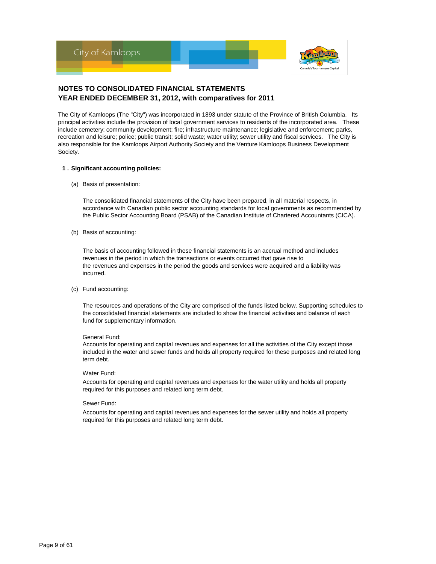

The City of Kamloops (The "City") was incorporated in 1893 under statute of the Province of British Columbia. Its principal activities include the provision of local government services to residents of the incorporated area. These include cemetery; community development; fire; infrastructure maintenance; legislative and enforcement; parks, recreation and leisure; police; public transit; solid waste; water utility; sewer utility and fiscal services. The City is also responsible for the Kamloops Airport Authority Society and the Venture Kamloops Business Development Society.

#### **1 . Significant accounting policies:**

(a) Basis of presentation:

The consolidated financial statements of the City have been prepared, in all material respects, in accordance with Canadian public sector accounting standards for local governments as recommended by the Public Sector Accounting Board (PSAB) of the Canadian Institute of Chartered Accountants (CICA).

(b) Basis of accounting:

The basis of accounting followed in these financial statements is an accrual method and includes revenues in the period in which the transactions or events occurred that gave rise to the revenues and expenses in the period the goods and services were acquired and a liability was incurred.

(c) Fund accounting:

The resources and operations of the City are comprised of the funds listed below. Supporting schedules to the consolidated financial statements are included to show the financial activities and balance of each fund for supplementary information.

#### General Fund:

Accounts for operating and capital revenues and expenses for all the activities of the City except those included in the water and sewer funds and holds all property required for these purposes and related long term debt.

#### Water Fund:

Accounts for operating and capital revenues and expenses for the water utility and holds all property required for this purposes and related long term debt.

#### Sewer Fund:

Accounts for operating and capital revenues and expenses for the sewer utility and holds all property required for this purposes and related long term debt.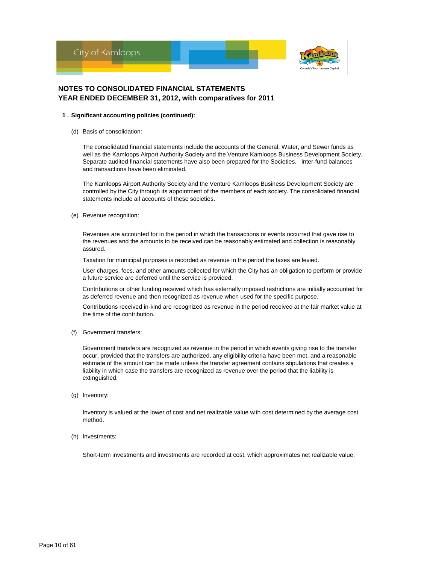

#### **1 . Significant accounting policies (continued):**

(d) Basis of consolidation:

The consolidated financial statements include the accounts of the General, Water, and Sewer funds as well as the Kamloops Airport Authority Society and the Venture Kamloops Business Development Society. Separate audited financial statements have also been prepared for the Societies. Inter-fund balances and transactions have been eliminated.

The Kamloops Airport Authority Society and the Venture Kamloops Business Development Society are controlled by the City through its appointment of the members of each society. The consolidated financial statements include all accounts of these societies.

(e) Revenue recognition:

Revenues are accounted for in the period in which the transactions or events occurred that gave rise to the revenues and the amounts to be received can be reasonably estimated and collection is reasonably assured.

Taxation for municipal purposes is recorded as revenue in the period the taxes are levied.

User charges, fees, and other amounts collected for which the City has an obligation to perform or provide a future service are deferred until the service is provided.

Contributions or other funding received which has externally imposed restrictions are initially accounted for as deferred revenue and then recognized as revenue when used for the specific purpose.

Contributions received in-kind are recognized as revenue in the period received at the fair market value at the time of the contribution.

(f) Government transfers:

Government transfers are recognized as revenue in the period in which events giving rise to the transfer occur, provided that the transfers are authorized, any eligibility criteria have been met, and a reasonable estimate of the amount can be made unless the transfer agreement contains stipulations that creates a liability in which case the transfers are recognized as revenue over the period that the liability is extinguished.

(g) Inventory:

Inventory is valued at the lower of cost and net realizable value with cost determined by the average cost method.

(h) Investments:

Short-term investments and investments are recorded at cost, which approximates net realizable value.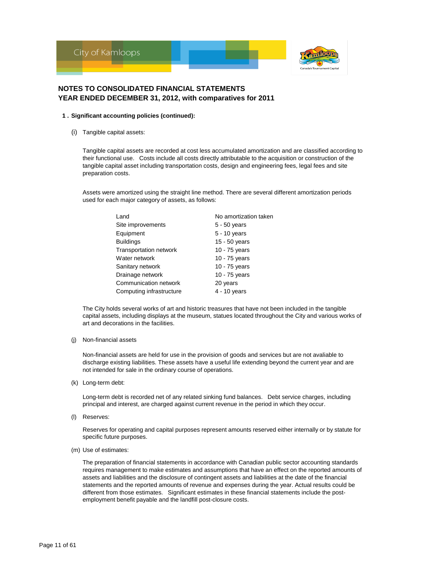

#### **1 . Significant accounting policies (continued):**

(i) Tangible capital assets:

Tangible capital assets are recorded at cost less accumulated amortization and are classified according to their functional use. Costs include all costs directly attributable to the acquisition or construction of the tangible capital asset including transportation costs, design and engineering fees, legal fees and site preparation costs.

Assets were amortized using the straight line method. There are several different amortization periods used for each major category of assets, as follows:

| Land                          | No amortization taken |
|-------------------------------|-----------------------|
| Site improvements             | $5 - 50$ years        |
| Equipment                     | $5 - 10$ years        |
| <b>Buildings</b>              | 15 - 50 years         |
| <b>Transportation network</b> | 10 - 75 years         |
| Water network                 | 10 - 75 years         |
| Sanitary network              | 10 - 75 years         |
| Drainage network              | 10 - 75 years         |
| Communication network         | 20 years              |
| Computing infrastructure      | 4 - 10 years          |

The City holds several works of art and historic treasures that have not been included in the tangible capital assets, including displays at the museum, statues located throughout the City and various works of art and decorations in the facilities.

#### (j) Non-financial assets

Non-financial assets are held for use in the provision of goods and services but are not avaliable to discharge existing liabilities. These assets have a useful life extending beyond the current year and are not intended for sale in the ordinary course of operations.

(k) Long-term debt:

Long-term debt is recorded net of any related sinking fund balances. Debt service charges, including principal and interest, are charged against current revenue in the period in which they occur.

(l) Reserves:

Reserves for operating and capital purposes represent amounts reserved either internally or by statute for specific future purposes.

(m) Use of estimates:

The preparation of financial statements in accordance with Canadian public sector accounting standards requires management to make estimates and assumptions that have an effect on the reported amounts of assets and liabilities and the disclosure of contingent assets and liabilities at the date of the financial statements and the reported amounts of revenue and expenses during the year. Actual results could be different from those estimates. Significant estimates in these financial statements include the postemployment benefit payable and the landfill post-closure costs.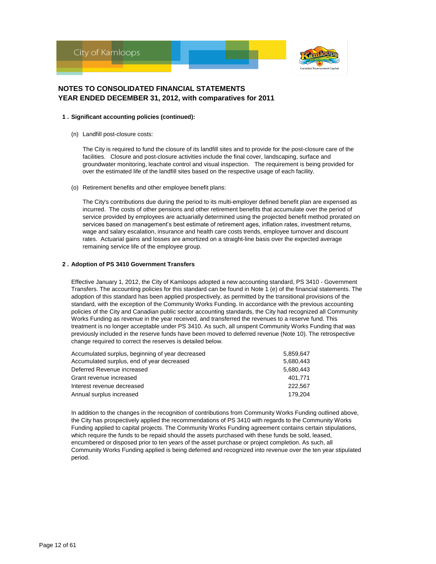

#### **1 . Significant accounting policies (continued):**

(n) Landfill post-closure costs:

The City is required to fund the closure of its landfill sites and to provide for the post-closure care of the facilities. Closure and post-closure activities include the final cover, landscaping, surface and groundwater monitoring, leachate control and visual inspection. The requirement is being provided for over the estimated life of the landfill sites based on the respective usage of each facility.

(o) Retirement benefits and other employee benefit plans:

The City's contributions due during the period to its multi-employer defined benefit plan are expensed as incurred. The costs of other pensions and other retirement benefits that accumulate over the period of service provided by employees are actuarially determined using the projected benefit method prorated on services based on management's best estimate of retirement ages, inflation rates, investment returns, wage and salary escalation, insurance and health care costs trends, employee turnover and discount rates. Actuarial gains and losses are amortized on a straight-line basis over the expected average remaining service life of the employee group.

#### **2 . Adoption of PS 3410 Government Transfers**

Effective January 1, 2012, the City of Kamloops adopted a new accounting standard, PS 3410 - Government Transfers. The accounting policies for this standard can be found in Note 1 (e) of the financial statements. The adoption of this standard has been applied prospectively, as permitted by the transitional provisions of the standard, with the exception of the Community Works Funding. In accordance with the previous accounting policies of the City and Canadian public sector accounting standards, the City had recognized all Community Works Funding as revenue in the year received, and transferred the revenues to a reserve fund. This treatment is no longer acceptable under PS 3410. As such, all unspent Community Works Funding that was previously included in the reserve funds have been moved to deferred revenue (Note 10). The retrospective change required to correct the reserves is detailed below.

| Accumulated surplus, beginning of year decreased | 5.859.647 |
|--------------------------------------------------|-----------|
| Accumulated surplus, end of year decreased       | 5,680,443 |
| Deferred Revenue increased                       | 5,680,443 |
| Grant revenue increased                          | 401.771   |
| Interest revenue decreased                       | 222.567   |
| Annual surplus increased                         | 179.204   |

In addition to the changes in the recognition of contributions from Community Works Funding outlined above, the City has prospectively applied the recommendations of PS 3410 with regards to the Community Works Funding applied to capital projects. The Community Works Funding agreement contains certain stipulations, which require the funds to be repaid should the assets purchased with these funds be sold, leased, encumbered or disposed prior to ten years of the asset purchase or project completion. As such, all Community Works Funding applied is being deferred and recognized into revenue over the ten year stipulated period.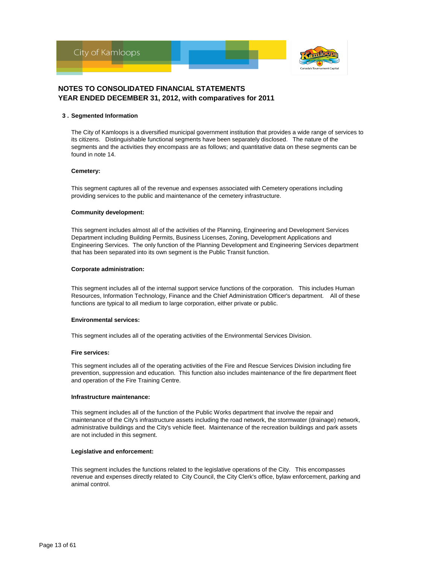

#### **3 . Segmented Information**

The City of Kamloops is a diversified municipal government institution that provides a wide range of services to its citizens. Distinguishable functional segments have been separately disclosed. The nature of the segments and the activities they encompass are as follows; and quantitative data on these segments can be found in note 14.

#### **Cemetery:**

This segment captures all of the revenue and expenses associated with Cemetery operations including providing services to the public and maintenance of the cemetery infrastructure.

#### **Community development:**

This segment includes almost all of the activities of the Planning, Engineering and Development Services Department including Building Permits, Business Licenses, Zoning, Development Applications and Engineering Services. The only function of the Planning Development and Engineering Services department that has been separated into its own segment is the Public Transit function.

#### **Corporate administration:**

This segment includes all of the internal support service functions of the corporation. This includes Human Resources, Information Technology, Finance and the Chief Administration Officer's department. All of these functions are typical to all medium to large corporation, either private or public.

#### **Environmental services:**

This segment includes all of the operating activities of the Environmental Services Division.

#### **Fire services:**

This segment includes all of the operating activities of the Fire and Rescue Services Division including fire prevention, suppression and education. This function also includes maintenance of the fire department fleet and operation of the Fire Training Centre.

#### **Infrastructure maintenance:**

This segment includes all of the function of the Public Works department that involve the repair and maintenance of the City's infrastructure assets including the road network, the stormwater (drainage) network, administrative buildings and the City's vehicle fleet. Maintenance of the recreation buildings and park assets are not included in this segment.

#### **Legislative and enforcement:**

This segment includes the functions related to the legislative operations of the City. This encompasses revenue and expenses directly related to City Council, the City Clerk's office, bylaw enforcement, parking and animal control.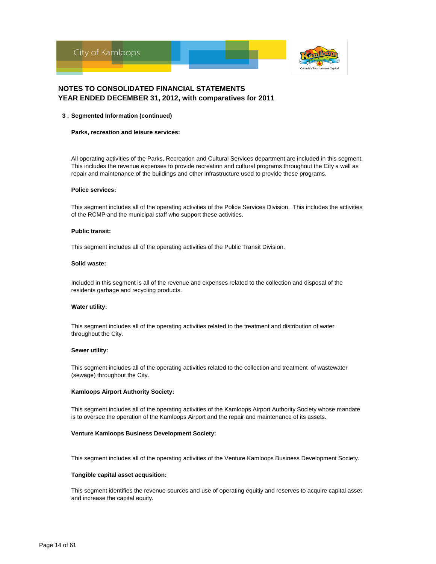

#### **3 . Segmented Information (continued)**

#### **Parks, recreation and leisure services:**

All operating activities of the Parks, Recreation and Cultural Services department are included in this segment. This includes the revenue expenses to provide recreation and cultural programs throughout the City a well as repair and maintenance of the buildings and other infrastructure used to provide these programs.

#### **Police services:**

This segment includes all of the operating activities of the Police Services Division. This includes the activities of the RCMP and the municipal staff who support these activities.

#### **Public transit:**

This segment includes all of the operating activities of the Public Transit Division.

#### **Solid waste:**

Included in this segment is all of the revenue and expenses related to the collection and disposal of the residents garbage and recycling products.

#### **Water utility:**

This segment includes all of the operating activities related to the treatment and distribution of water throughout the City.

#### **Sewer utility:**

This segment includes all of the operating activities related to the collection and treatment of wastewater (sewage) throughout the City.

#### **Kamloops Airport Authority Society:**

This segment includes all of the operating activities of the Kamloops Airport Authority Society whose mandate is to oversee the operation of the Kamloops Airport and the repair and maintenance of its assets.

#### **Venture Kamloops Business Development Society:**

This segment includes all of the operating activities of the Venture Kamloops Business Development Society.

#### **Tangible capital asset acqusition:**

This segment identifies the revenue sources and use of operating equitiy and reserves to acquire capital asset and increase the capital equity.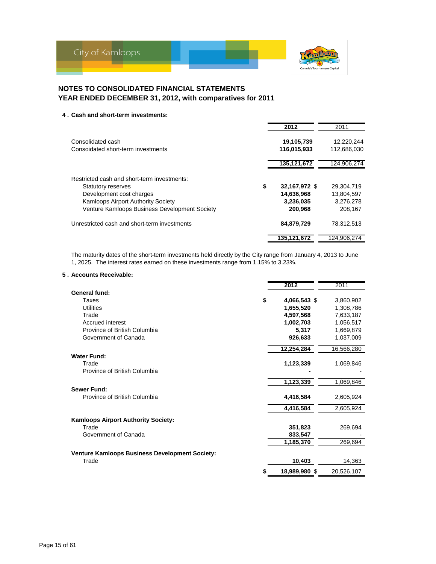

#### **4 . Cash and short-term investments:**

|                                               | 2012                | 2011        |
|-----------------------------------------------|---------------------|-------------|
| Consolidated cash                             | 19,105,739          | 12.220.244  |
| Consoidated short-term investments            | 116,015,933         | 112,686,030 |
|                                               | 135,121,672         | 124,906,274 |
| Restricted cash and short-term investments:   |                     |             |
| <b>Statutory reserves</b>                     | \$<br>32,167,972 \$ | 29.304.719  |
| Development cost charges                      | 14,636,968          | 13,804,597  |
| <b>Kamloops Airport Authority Society</b>     | 3,236,035           | 3,276,278   |
| Venture Kamloops Business Development Society | 200,968             | 208.167     |
| Unrestricted cash and short-term investments  | 84,879,729          | 78.312.513  |
|                                               | 135,121,672         | 124,906,274 |

The maturity dates of the short-term investments held directly by the City range from January 4, 2013 to June 1, 2025. The interest rates earned on these investments range from 1.15% to 3.23%.

### **5 . Accounts Receivable:**

|                                                       | 2012               | 2011       |
|-------------------------------------------------------|--------------------|------------|
| General fund:                                         |                    |            |
| Taxes                                                 | \$<br>4,066,543 \$ | 3,860,902  |
| <b>Utilities</b>                                      | 1,655,520          | 1,308,786  |
| Trade                                                 | 4,597,568          | 7,633,187  |
| Accrued interest                                      | 1,002,703          | 1,056,517  |
| Province of British Columbia                          | 5,317              | 1,669,879  |
| Government of Canada                                  | 926,633            | 1,037,009  |
|                                                       | 12,254,284         | 16,566,280 |
| <b>Water Fund:</b>                                    |                    |            |
| Trade                                                 | 1,123,339          | 1,069,846  |
| Province of British Columbia                          |                    |            |
|                                                       | 1,123,339          | 1,069,846  |
| Sewer Fund:                                           |                    |            |
| Province of British Columbia                          | 4,416,584          | 2,605,924  |
|                                                       | 4,416,584          | 2,605,924  |
| <b>Kamloops Airport Authority Society:</b>            |                    |            |
| Trade                                                 | 351,823            | 269,694    |
| Government of Canada                                  | 833,547            |            |
|                                                       | 1,185,370          | 269,694    |
| <b>Venture Kamloops Business Development Society:</b> |                    |            |
| Trade                                                 | 10,403             | 14,363     |
|                                                       | 18,989,980 \$      | 20,526,107 |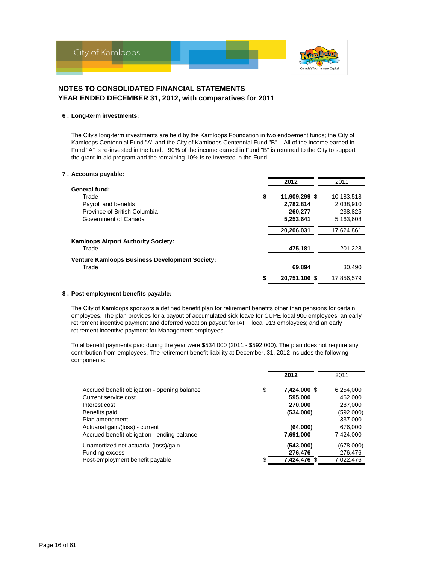

#### **6 . Long-term investments:**

The City's long-term investments are held by the Kamloops Foundation in two endowment funds; the City of Kamloops Centennial Fund "A" and the City of Kamloops Centennial Fund "B". All of the income earned in Fund "A" is re-invested in the fund. 90% of the income earned in Fund "B" is returned to the City to support the grant-in-aid program and the remaining 10% is re-invested in the Fund.

#### **7 . Accounts payable:**

|                                                       |    | 2012          | 2011       |
|-------------------------------------------------------|----|---------------|------------|
| General fund:                                         |    |               |            |
| Trade                                                 | \$ | 11,909,299 \$ | 10,183,518 |
| Payroll and benefits                                  |    | 2.782.814     | 2.038.910  |
| Province of British Columbia                          |    | 260,277       | 238.825    |
| Government of Canada                                  |    | 5,253,641     | 5,163,608  |
|                                                       |    | 20,206,031    | 17,624,861 |
| <b>Kamloops Airport Authority Society:</b>            |    |               |            |
| Trade                                                 |    | 475,181       | 201,228    |
| <b>Venture Kamloops Business Development Society:</b> |    |               |            |
| Trade                                                 |    | 69,894        | 30,490     |
|                                                       | S  | 20.751.106 \$ | 17.856.579 |

#### **8 . Post-employment benefits payable:**

The City of Kamloops sponsors a defined benefit plan for retirement benefits other than pensions for certain employees. The plan provides for a payout of accumulated sick leave for CUPE local 900 employees; an early retirement incentive payment and deferred vacation payout for IAFF local 913 employees; and an early retirement incentive payment for Management employees.

Total benefit payments paid during the year were \$534,000 (2011 - \$592,000). The plan does not require any contribution from employees. The retirement benefit liability at December, 31, 2012 includes the following components:

|                                                                                                                          | 2012                                                  | 2011                                                    |
|--------------------------------------------------------------------------------------------------------------------------|-------------------------------------------------------|---------------------------------------------------------|
| Accrued benefit obligation - opening balance<br>Current service cost<br>Interest cost<br>Benefits paid<br>Plan amendment | \$<br>7,424,000 \$<br>595,000<br>270,000<br>(534,000) | 6,254,000<br>462,000<br>287,000<br>(592,000)<br>337,000 |
| Actuarial gain/(loss) - current                                                                                          | (64,000)                                              | 676,000                                                 |
| Accrued benefit obligation - ending balance                                                                              | 7,691,000                                             | 7,424,000                                               |
| Unamortized net actuarial (loss)/gain                                                                                    | \$<br>(543,000)                                       | (678,000)                                               |
| <b>Funding excess</b>                                                                                                    | 276,476                                               | 276,476                                                 |
| Post-employment benefit payable                                                                                          | 7,424,476 \$                                          | 7,022,476                                               |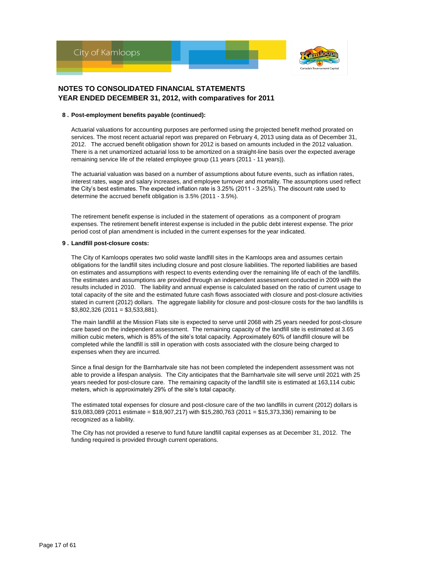

#### **8 . Post-employment benefits payable (continued):**

Actuarial valuations for accounting purposes are performed using the projected benefit method prorated on services. The most recent actuarial report was prepared on February 4, 2013 using data as of December 31, 2012. The accrued benefit obligation shown for 2012 is based on amounts included in the 2012 valuation. There is a net unamortized actuarial loss to be amortized on a straight-line basis over the expected average remaining service life of the related employee group (11 years (2011 - 11 years)).

The actuarial valuation was based on a number of assumptions about future events, such as inflation rates, interest rates, wage and salary increases, and employee turnover and mortality. The assumptions used reflect the City's best estimates. The expected inflation rate is 3.25% (2011 - 3.25%). The discount rate used to determine the accrued benefit obligation is 3.5% (2011 - 3.5%).

The retirement benefit expense is included in the statement of operations as a component of program expenses. The retirement benefit interest expense is included in the public debt interest expense. The prior period cost of plan amendment is included in the current expenses for the year indicated.

#### **9 . Landfill post-closure costs:**

The City of Kamloops operates two solid waste landfill sites in the Kamloops area and assumes certain obligations for the landfill sites including closure and post closure liabilities. The reported liabilities are based on estimates and assumptions with respect to events extending over the remaining life of each of the landfills. The estimates and assumptions are provided through an independent assessment conducted in 2009 with the results included in 2010. The liability and annual expense is calculated based on the ratio of current usage to total capacity of the site and the estimated future cash flows associated with closure and post-closure activities stated in current (2012) dollars. The aggregate liability for closure and post-closure costs for the two landfills is \$3,802,326 (2011 = \$3,533,881).

The main landfill at the Mission Flats site is expected to serve until 2068 with 25 years needed for post-closure care based on the independent assessment. The remaining capacity of the landfill site is estimated at 3.65 million cubic meters, which is 85% of the site's total capacity. Approximately 60% of landfill closure will be completed while the landfill is still in operation with costs associated with the closure being charged to expenses when they are incurred.

Since a final design for the Barnhartvale site has not been completed the independent assessment was not able to provide a lifespan analysis. The City anticipates that the Barnhartvale site will serve until 2021 with 25 years needed for post-closure care. The remaining capacity of the landfill site is estimated at 163,114 cubic meters, which is approximately 29% of the site's total capacity.

The estimated total expenses for closure and post-closure care of the two landfills in current (2012) dollars is \$19,083,089 (2011 estimate = \$18,907,217) with \$15,280,763 (2011 = \$15,373,336) remaining to be recognized as a liability.

The City has not provided a reserve to fund future landfill capital expenses as at December 31, 2012. The funding required is provided through current operations.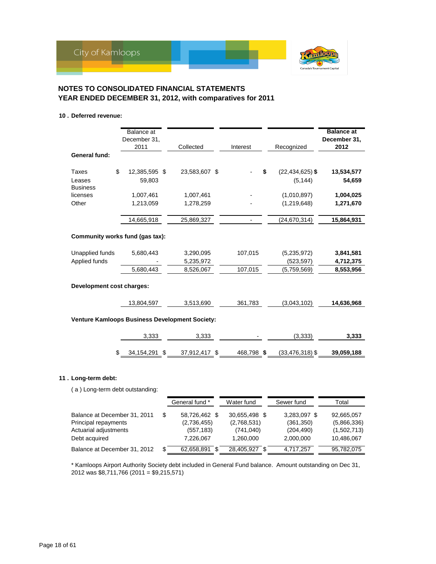

### **10 . Deferred revenue:**

|                                                 | Balance at<br>December 31,<br>2011 | Collected                                      | Interest                 | Recognized                      | <b>Balance at</b><br>December 31,<br>2012 |
|-------------------------------------------------|------------------------------------|------------------------------------------------|--------------------------|---------------------------------|-------------------------------------------|
| General fund:                                   |                                    |                                                |                          |                                 |                                           |
| \$<br><b>Taxes</b><br>Leases<br><b>Business</b> | 12,385,595 \$<br>59,803            | 23,583,607 \$                                  | \$                       | $(22, 434, 625)$ \$<br>(5, 144) | 13,534,577<br>54,659                      |
| licenses                                        | 1,007,461                          | 1,007,461                                      |                          | (1,010,897)                     | 1,004,025                                 |
| Other                                           | 1,213,059                          | 1,278,259                                      |                          | (1,219,648)                     | 1,271,670                                 |
|                                                 | 14,665,918                         | 25,869,327                                     | $\overline{\phantom{0}}$ | (24, 670, 314)                  | 15,864,931                                |
| Community works fund (gas tax):                 |                                    |                                                |                          |                                 |                                           |
| Unapplied funds                                 | 5,680,443                          | 3,290,095                                      | 107,015                  | (5,235,972)                     | 3,841,581                                 |
| Applied funds                                   |                                    | 5,235,972                                      |                          | (523, 597)                      | 4,712,375                                 |
|                                                 | 5,680,443                          | 8,526,067                                      | 107,015                  | (5,759,569)                     | 8,553,956                                 |
| Development cost charges:                       |                                    |                                                |                          |                                 |                                           |
|                                                 | 13,804,597                         | 3,513,690                                      | 361,783                  | (3,043,102)                     | 14,636,968                                |
|                                                 |                                    | Venture Kamloops Business Development Society: |                          |                                 |                                           |
|                                                 | 3,333                              | 3,333                                          |                          | (3,333)                         | 3,333                                     |
| \$                                              | 34, 154, 291 \$                    | 37,912,417 \$                                  | 468,798 \$               | $(33, 476, 318)$ \$             | 39,059,188                                |
|                                                 |                                    |                                                |                          |                                 |                                           |

### **11 . Long-term debt:**

( a ) Long-term debt outstanding:

|                                                                               | General fund *                                   | Water fund                                 | Sewer fund                               | Total                                    |
|-------------------------------------------------------------------------------|--------------------------------------------------|--------------------------------------------|------------------------------------------|------------------------------------------|
| Balance at December 31, 2011<br>Principal repayments<br>Actuarial adjustments | \$<br>58,726,462 \$<br>(2,736,455)<br>(557, 183) | 30.655.498 \$<br>(2,768,531)<br>(741, 040) | 3,283,097 \$<br>(361, 350)<br>(204, 490) | 92,665,057<br>(5,866,336)<br>(1,502,713) |
| Debt acquired                                                                 | 7,226,067                                        | 1.260.000                                  | 2,000,000                                | 10,486,067                               |
| Balance at December 31, 2012                                                  | \$<br>62,658,891                                 | 28,405,927                                 | 4,717,257                                | 95,782,075                               |

\* Kamloops Airport Authority Society debt included in General Fund balance. Amount outstanding on Dec 31, 2012 was \$8,711,766 (2011 = \$9,215,571)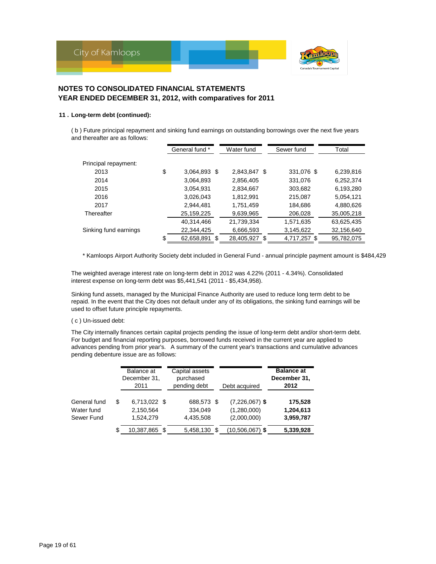

### **11 . Long-term debt (continued):**

( b ) Future principal repayment and sinking fund earnings on outstanding borrowings over the next five years and thereafter are as follows:

|                       | General fund *         | Water fund    | Sewer fund   | Total      |
|-----------------------|------------------------|---------------|--------------|------------|
| Principal repayment:  |                        |               |              |            |
|                       |                        |               |              |            |
| 2013                  | \$<br>3,064,893 \$     | 2,843,847 \$  | 331,076 \$   | 6,239,816  |
| 2014                  | 3,064,893              | 2,856,405     | 331,076      | 6,252,374  |
| 2015                  | 3,054,931              | 2,834,667     | 303,682      | 6,193,280  |
| 2016                  | 3,026,043              | 1,812,991     | 215,087      | 5,054,121  |
| 2017                  | 2.944.481              | 1,751,459     | 184,686      | 4,880,626  |
| Thereafter            | 25,159,225             | 9,639,965     | 206,028      | 35,005,218 |
|                       | 40,314,466             | 21,739,334    | 1,571,635    | 63,625,435 |
| Sinking fund earnings | 22,344,425             | 6,666,593     | 3,145,622    | 32,156,640 |
|                       | \$<br>62,658,891<br>\$ | 28,405,927 \$ | 4,717,257 \$ | 95,782,075 |

\* Kamloops Airport Authority Society debt included in General Fund - annual principle payment amount is \$484,429

The weighted average interest rate on long-term debt in 2012 was 4.22% (2011 - 4.34%). Consolidated interest expense on long-term debt was \$5,441,541 (2011 - \$5,434,958).

Sinking fund assets, managed by the Municipal Finance Authority are used to reduce long term debt to be repaid. In the event that the City does not default under any of its obligations, the sinking fund earnings will be used to offset future principle repayments.

#### ( c ) Un-issued debt:

The City internally finances certain capital projects pending the issue of long-term debt and/or short-term debt. For budget and financial reporting purposes, borrowed funds received in the current year are applied to advances pending from prior year's. A summary of the current year's transactions and cumulative advances pending debenture issue are as follows:

|                                          | Balance at<br>December 31.<br>2011           | Capital assets<br>purchased<br>pending debt | Debt acquired                                  | <b>Balance at</b><br>December 31,<br>2012 |
|------------------------------------------|----------------------------------------------|---------------------------------------------|------------------------------------------------|-------------------------------------------|
| General fund<br>Water fund<br>Sewer Fund | \$<br>6,713,022 \$<br>2,150,564<br>1,524,279 | 688,573 \$<br>334.049<br>4,435,508          | $(7,226,067)$ \$<br>(1,280,000)<br>(2,000,000) | 175,528<br>1,204,613<br>3,959,787         |
|                                          | \$<br>10,387,865 \$                          | 5,458,130                                   | (10,506,067) \$                                | 5,339,928                                 |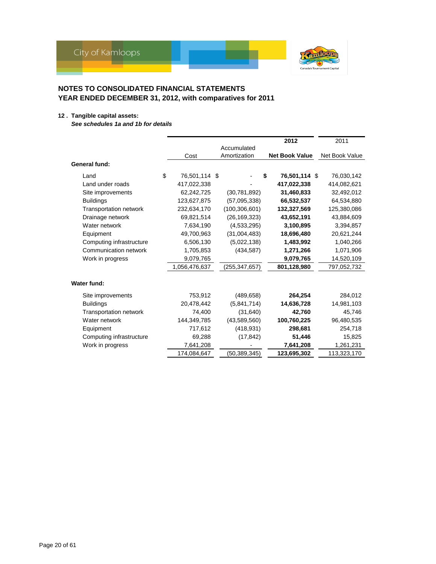

### **12 . Tangible capital assets:**

*See schedules 1a and 1b for details*

|                               |                     |                 | 2012                  | 2011           |
|-------------------------------|---------------------|-----------------|-----------------------|----------------|
|                               |                     | Accumulated     |                       |                |
|                               | Cost                | Amortization    | <b>Net Book Value</b> | Net Book Value |
| General fund:                 |                     |                 |                       |                |
| Land                          | \$<br>76,501,114 \$ |                 | \$<br>76,501,114 \$   | 76,030,142     |
| Land under roads              | 417,022,338         |                 | 417,022,338           | 414,082,621    |
| Site improvements             | 62,242,725          | (30,781,892)    | 31,460,833            | 32,492,012     |
| <b>Buildings</b>              | 123,627,875         | (57,095,338)    | 66,532,537            | 64,534,880     |
| <b>Transportation network</b> | 232,634,170         | (100, 306, 601) | 132,327,569           | 125,380,086    |
| Drainage network              | 69,821,514          | (26, 169, 323)  | 43,652,191            | 43,884,609     |
| Water network                 | 7,634,190           | (4,533,295)     | 3,100,895             | 3,394,857      |
| Equipment                     | 49,700,963          | (31,004,483)    | 18,696,480            | 20,621,244     |
| Computing infrastructure      | 6,506,130           | (5,022,138)     | 1,483,992             | 1,040,266      |
| Communication network         | 1,705,853           | (434, 587)      | 1,271,266             | 1,071,906      |
| Work in progress              | 9,079,765           |                 | 9,079,765             | 14,520,109     |
|                               | 1,056,476,637       | (255, 347, 657) | 801,128,980           | 797,052,732    |
| Water fund:                   |                     |                 |                       |                |
| Site improvements             | 753,912             | (489, 658)      | 264,254               | 284,012        |
| <b>Buildings</b>              | 20,478,442          | (5,841,714)     | 14,636,728            | 14,981,103     |
| <b>Transportation network</b> | 74,400              | (31, 640)       | 42,760                | 45,746         |
| Water network                 | 144,349,785         | (43,589,560)    | 100,760,225           | 96,480,535     |
| Equipment                     | 717,612             | (418, 931)      | 298,681               | 254,718        |
| Computing infrastructure      | 69,288              | (17, 842)       | 51,446                | 15,825         |
| Work in progress              | 7,641,208           |                 | 7,641,208             | 1,261,231      |
|                               | 174,084,647         | (50, 389, 345)  | 123,695,302           | 113,323,170    |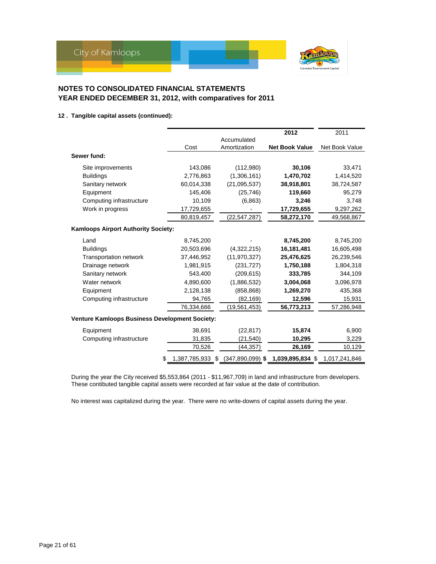

### **12 . Tangible capital assets (continued):**

|                                                |                  |                    | 2012                  | 2011           |
|------------------------------------------------|------------------|--------------------|-----------------------|----------------|
|                                                |                  | Accumulated        |                       |                |
|                                                | Cost             | Amortization       | <b>Net Book Value</b> | Net Book Value |
| Sewer fund:                                    |                  |                    |                       |                |
| Site improvements                              | 143,086          | (112,980)          | 30,106                | 33,471         |
| <b>Buildings</b>                               | 2,776,863        | (1,306,161)        | 1,470,702             | 1,414,520      |
| Sanitary network                               | 60,014,338       | (21, 095, 537)     | 38,918,801            | 38,724,587     |
| Equipment                                      | 145,406          | (25, 746)          | 119,660               | 95,279         |
| Computing infrastructure                       | 10,109           | (6,863)            | 3,246                 | 3,748          |
| Work in progress                               | 17,729,655       |                    | 17,729,655            | 9,297,262      |
|                                                | 80,819,457       | (22,547,287)       | 58,272,170            | 49,568,867     |
| <b>Kamloops Airport Authority Society:</b>     |                  |                    |                       |                |
| Land                                           | 8,745,200        |                    | 8,745,200             | 8,745,200      |
| <b>Buildings</b>                               | 20,503,696       | (4,322,215)        | 16,181,481            | 16,605,498     |
| <b>Transportation network</b>                  | 37,446,952       | (11, 970, 327)     | 25,476,625            | 26,239,546     |
| Drainage network                               | 1,981,915        | (231, 727)         | 1,750,188             | 1,804,318      |
| Sanitary network                               | 543,400          | (209, 615)         | 333,785               | 344,109        |
| Water network                                  | 4,890,600        | (1,886,532)        | 3,004,068             | 3,096,978      |
| Equipment                                      | 2,128,138        | (858, 868)         | 1,269,270             | 435,368        |
| Computing infrastructure                       | 94,765           | (82, 169)          | 12,596                | 15,931         |
|                                                | 76,334,666       | (19,561,453)       | 56,773,213            | 57,286,948     |
| Venture Kamloops Business Development Society: |                  |                    |                       |                |
| Equipment                                      | 38,691           | (22, 817)          | 15,874                | 6,900          |
| Computing infrastructure                       | 31,835           | (21, 540)          | 10,295                | 3,229          |
|                                                | 70,526           | (44, 357)          | 26,169                | 10,129         |
|                                                | 1,387,785,933 \$ | $(347,890,099)$ \$ | 1,039,895,834 \$      | 1,017,241,846  |

During the year the City received \$5,553,864 (2011 - \$11,967,709) in land and infrastructure from developers. These contibuted tangible capital assets were recorded at fair value at the date of contribution.

No interest was capitalized during the year. There were no write-downs of capital assets during the year.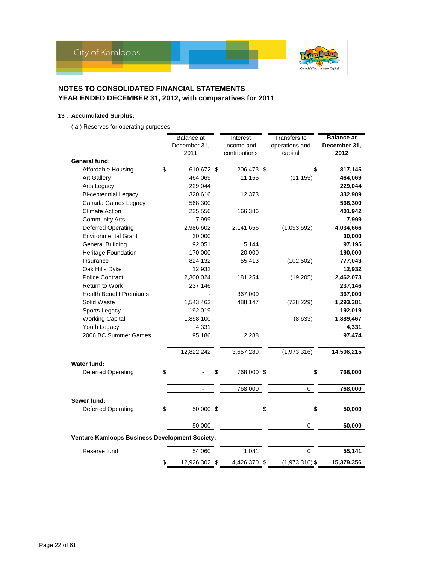

### **13 . Accumulated Surplus:**

( a ) Reserves for operating purposes

|                                                | Balance at          | Interest         | Transfers to     | <b>Balance at</b> |
|------------------------------------------------|---------------------|------------------|------------------|-------------------|
|                                                | December 31,        | income and       | operations and   | December 31,      |
|                                                | 2011                | contributions    | capital          | 2012              |
| <b>General fund:</b>                           |                     |                  |                  |                   |
| Affordable Housing                             | \$<br>610,672 \$    | 206,473 \$       | \$               | 817,145           |
| <b>Art Gallery</b>                             | 464,069             | 11,155           | (11, 155)        | 464,069           |
| Arts Legacy                                    | 229,044             |                  |                  | 229,044           |
| <b>Bi-centennial Legacy</b>                    | 320,616             | 12,373           |                  | 332,989           |
| Canada Games Legacy                            | 568,300             |                  |                  | 568,300           |
| <b>Climate Action</b>                          | 235,556             | 166,386          |                  | 401,942           |
| <b>Community Arts</b>                          | 7,999               |                  |                  | 7,999             |
| <b>Deferred Operating</b>                      | 2,986,602           | 2,141,656        | (1,093,592)      | 4,034,666         |
| <b>Environmental Grant</b>                     | 30,000              |                  |                  | 30,000            |
| <b>General Building</b>                        | 92,051              | 5,144            |                  | 97,195            |
| Heritage Foundation                            | 170,000             | 20,000           |                  | 190,000           |
| Insurance                                      | 824,132             | 55,413           | (102, 502)       | 777,043           |
| Oak Hills Dyke                                 | 12,932              |                  |                  | 12,932            |
| <b>Police Contract</b>                         | 2,300,024           | 181,254          | (19,205)         | 2,462,073         |
| <b>Return to Work</b>                          | 237,146             |                  |                  | 237,146           |
| <b>Health Benefit Premiums</b>                 |                     | 367,000          |                  | 367,000           |
| Solid Waste                                    | 1,543,463           | 488,147          | (738, 229)       | 1,293,381         |
| Sports Legacy                                  | 192,019             |                  |                  | 192,019           |
| <b>Working Capital</b>                         | 1,898,100           |                  | (8,633)          | 1,889,467         |
| Youth Legacy                                   | 4,331               |                  |                  | 4,331             |
| 2006 BC Summer Games                           | 95,186              | 2,288            |                  | 97,474            |
|                                                |                     |                  |                  |                   |
|                                                | 12,822,242          | 3,657,289        | (1,973,316)      | 14,506,215        |
| <b>Water fund:</b>                             |                     |                  |                  |                   |
| <b>Deferred Operating</b>                      | \$                  | \$<br>768,000 \$ | \$               | 768,000           |
|                                                |                     |                  |                  |                   |
|                                                |                     | 768,000          | $\Omega$         | 768,000           |
| Sewer fund:                                    |                     |                  |                  |                   |
| Deferred Operating                             | \$<br>50,000 \$     |                  | \$<br>\$         | 50,000            |
|                                                |                     |                  |                  |                   |
|                                                | 50,000              |                  | 0                | 50,000            |
| Venture Kamloops Business Development Society: |                     |                  |                  |                   |
| Reserve fund                                   | 54,060              | 1,081            | 0                | 55,141            |
|                                                | \$<br>12,926,302 \$ | 4,426,370 \$     | $(1,973,316)$ \$ | 15,379,356        |
|                                                |                     |                  |                  |                   |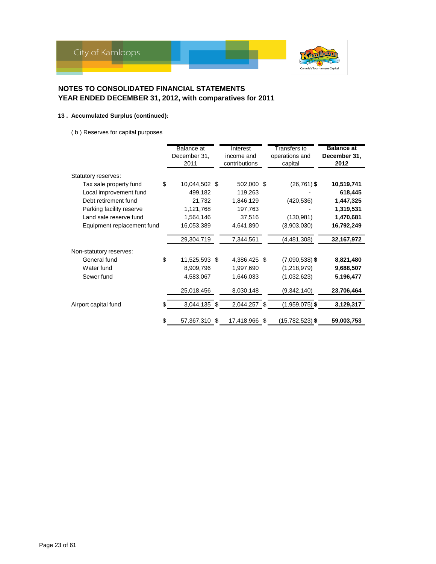

### **13 . Accumulated Surplus (continued):**

( b ) Reserves for capital purposes

|                            | Balance at<br>December 31,<br>2011 | Interest<br>income and<br>contributions |     | Transfers to<br>operations and<br>capital | <b>Balance at</b><br>December 31,<br>2012 |
|----------------------------|------------------------------------|-----------------------------------------|-----|-------------------------------------------|-------------------------------------------|
| Statutory reserves:        |                                    |                                         |     |                                           |                                           |
| Tax sale property fund     | \$<br>10,044,502 \$                | 502,000                                 | -\$ | $(26, 761)$ \$                            | 10,519,741                                |
| Local improvement fund     | 499,182                            | 119,263                                 |     |                                           | 618,445                                   |
| Debt retirement fund       | 21,732                             | 1,846,129                               |     | (420, 536)                                | 1,447,325                                 |
| Parking facility reserve   | 1,121,768                          | 197,763                                 |     |                                           | 1,319,531                                 |
| Land sale reserve fund     | 1,564,146                          | 37,516                                  |     | (130, 981)                                | 1,470,681                                 |
| Equipment replacement fund | 16,053,389                         | 4,641,890                               |     | (3,903,030)                               | 16,792,249                                |
|                            | 29,304,719                         | 7,344,561                               |     | (4, 481, 308)                             | 32,167,972                                |
| Non-statutory reserves:    |                                    |                                         |     |                                           |                                           |
| General fund               | \$<br>11,525,593 \$                | 4,386,425 \$                            |     | $(7,090,538)$ \$                          | 8,821,480                                 |
| Water fund                 | 8,909,796                          | 1,997,690                               |     | (1,218,979)                               | 9,688,507                                 |
| Sewer fund                 | 4,583,067                          | 1,646,033                               |     | (1,032,623)                               | 5,196,477                                 |
|                            | 25,018,456                         | 8,030,148                               |     | (9,342,140)                               | 23,706,464                                |
| Airport capital fund       | \$<br>3,044,135 \$                 | 2,044,257 \$                            |     | $(1,959,075)$ \$                          | 3,129,317                                 |
|                            | \$<br>57,367,310                   | \$<br>17,418,966                        | -\$ | $(15,782,523)$ \$                         | 59,003,753                                |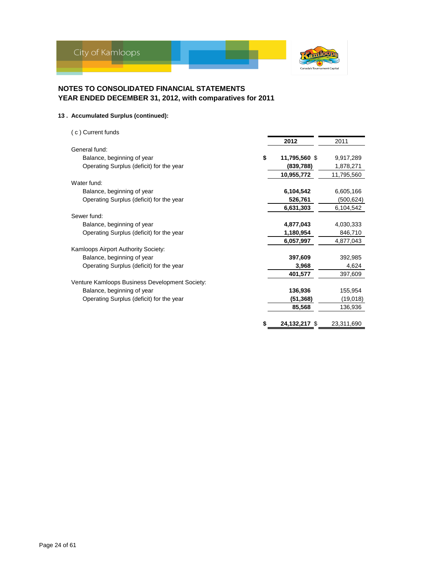

# **13 . Accumulated Surplus (continued):**

( c ) Current funds

|                                                |    | 2012          | 2011       |
|------------------------------------------------|----|---------------|------------|
| General fund:                                  |    |               |            |
| Balance, beginning of year                     | \$ | 11,795,560 \$ | 9,917,289  |
| Operating Surplus (deficit) for the year       |    | (839, 788)    | 1,878,271  |
|                                                |    | 10,955,772    | 11,795,560 |
| Water fund:                                    |    |               |            |
| Balance, beginning of year                     |    | 6,104,542     | 6,605,166  |
| Operating Surplus (deficit) for the year       |    | 526,761       | (500, 624) |
|                                                |    | 6,631,303     | 6,104,542  |
| Sewer fund:                                    |    |               |            |
| Balance, beginning of year                     |    | 4,877,043     | 4,030,333  |
| Operating Surplus (deficit) for the year       |    | 1,180,954     | 846,710    |
|                                                |    | 6,057,997     | 4,877,043  |
| Kamloops Airport Authority Society:            |    |               |            |
| Balance, beginning of year                     |    | 397,609       | 392,985    |
| Operating Surplus (deficit) for the year       |    | 3,968         | 4,624      |
|                                                |    | 401,577       | 397,609    |
| Venture Kamloops Business Development Society: |    |               |            |
| Balance, beginning of year                     |    | 136,936       | 155,954    |
| Operating Surplus (deficit) for the year       |    | (51, 368)     | (19,018)   |
|                                                |    | 85,568        | 136,936    |
|                                                | S  | 24,132,217 \$ | 23,311,690 |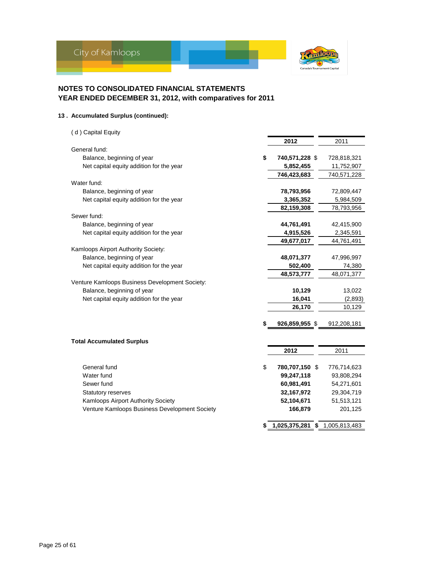

#### **13 . Accumulated Surplus (continued):**

( d ) Capital Equity **2012** 2011 General fund: Balance, beginning of year **\$ 740,571,228** \$ 728,818,321 Net capital equity addition for the year **5,852,455** 11,752,907  **746,423,683** 740,571,228 Water fund: Balance, beginning of year **78,793,956** 72,809,447 Net capital equity addition for the year **3,365,352** 5,984,509  **82,159,308** 78,793,956 Sewer fund: Balance, beginning of year **44,761,491** 42,415,900 Net capital equity addition for the year **4,915,526** 4,915,526 2,345,591  **49,677,017** 44,761,491 Kamloops Airport Authority Society: Balance, beginning of year **48,071,377** 47,996,997 Net capital equity addition for the year 502,400 Fig. 14,380  **48,573,777** 48,071,377 Venture Kamloops Business Development Society: Balance, beginning of year **10,129** 13,022 Net capital equity addition for the year **16,041** (2,893) **26,170** 10,129 **926,859,955** \$ 912,208,181

# **Total Accumulated Surplus 2012** 2011 General fund **\$ 780,707,150** \$ 776,714,623 Water fund **99,247,118** 93,808,294 Sewer fund **60,981,491** 54,271,601 Statutory reserves **32,167,972** 29,304,719 Kamloops Airport Authority Society<br> **52,104,671** 51,513,121 Venture Kamloops Business Development Society **166,879** 201,125 **\$ 1,025,375,281 \$** 1,005,813,483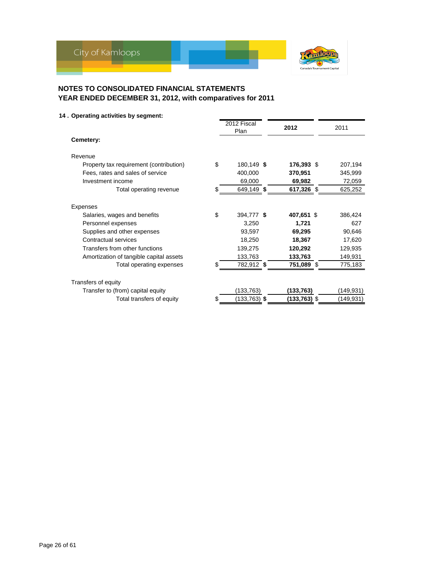

# **14 . Operating activities by segment:**

|                                         | 2012 Fiscal      | 2012         | 2011      |
|-----------------------------------------|------------------|--------------|-----------|
| Cemetery:                               | Plan             |              |           |
| Revenue                                 |                  |              |           |
| Property tax requirement (contribution) | \$<br>180,149 \$ | 176,393 \$   | 207,194   |
| Fees, rates and sales of service        | 400,000          | 370,951      | 345,999   |
| Investment income                       | 69,000           | 69,982       | 72,059    |
| Total operating revenue                 | \$<br>649,149 \$ | 617,326 \$   | 625,252   |
| <b>Expenses</b>                         |                  |              |           |
| Salaries, wages and benefits            | \$<br>394,777 \$ | 407,651 \$   | 386,424   |
| Personnel expenses                      | 3,250            | 1,721        | 627       |
| Supplies and other expenses             | 93,597           | 69,295       | 90,646    |
| Contractual services                    | 18,250           | 18,367       | 17,620    |
| Transfers from other functions          | 139,275          | 120,292      | 129,935   |
| Amortization of tangible capital assets | 133,763          | 133,763      | 149,931   |
| Total operating expenses                | 782,912 \$       | 751,089 \$   | 775,183   |
| Transfers of equity                     |                  |              |           |
| Transfer to (from) capital equity       | (133,763)        | (133,763)    | (149,931) |
| Total transfers of equity               | (133,763) \$     | (133,763) \$ | (149,931) |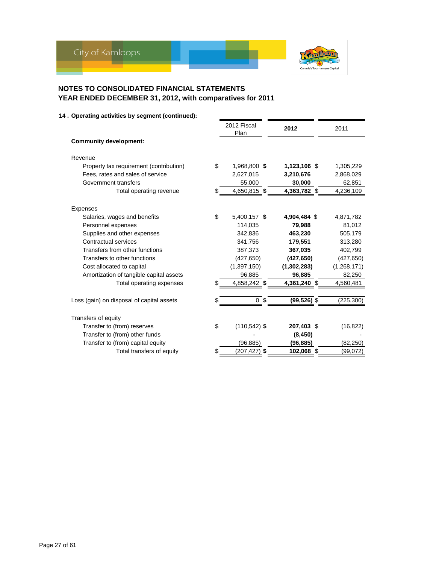

|                                               | 2012 Fiscal<br>Plan |                | 2012           | 2011        |
|-----------------------------------------------|---------------------|----------------|----------------|-------------|
| <b>Community development:</b>                 |                     |                |                |             |
| Revenue                                       |                     |                |                |             |
| \$<br>Property tax requirement (contribution) | 1,968,800 \$        |                | 1,123,106 \$   | 1,305,229   |
| Fees, rates and sales of service              | 2,627,015           |                | 3,210,676      | 2,868,029   |
| Government transfers                          | 55,000              |                | 30,000         | 62,851      |
| Total operating revenue<br>\$                 | 4,650,815 \$        |                | 4,363,782 \$   | 4,236,109   |
| <b>Expenses</b>                               |                     |                |                |             |
| \$<br>Salaries, wages and benefits            | 5,400,157 \$        |                | 4,904,484 \$   | 4,871,782   |
| Personnel expenses                            | 114,035             |                | 79,988         | 81,012      |
| Supplies and other expenses                   | 342,836             |                | 463,230        | 505,179     |
| Contractual services                          | 341,756             |                | 179,551        | 313,280     |
| Transfers from other functions                | 387,373             |                | 367,035        | 402,799     |
| Transfers to other functions                  | (427, 650)          |                | (427, 650)     | (427, 650)  |
| Cost allocated to capital                     | (1, 397, 150)       |                | (1,302,283)    | (1,268,171) |
| Amortization of tangible capital assets       | 96,885              |                | 96,885         | 82,250      |
| Total operating expenses                      | 4,858,242 \$        |                | 4,361,240 \$   | 4,560,481   |
| Loss (gain) on disposal of capital assets     |                     | 0 <sup>5</sup> | $(99, 526)$ \$ | (225, 300)  |
| Transfers of equity                           |                     |                |                |             |
| \$<br>Transfer to (from) reserves             | $(110, 542)$ \$     |                | 207,403 \$     | (16, 822)   |
| Transfer to (from) other funds                |                     |                | (8, 450)       |             |
| Transfer to (from) capital equity             | (96, 885)           |                | (96, 885)      | (82, 250)   |
| Total transfers of equity<br>\$               | (207,427) \$        |                | 102,068 \$     | (99,072)    |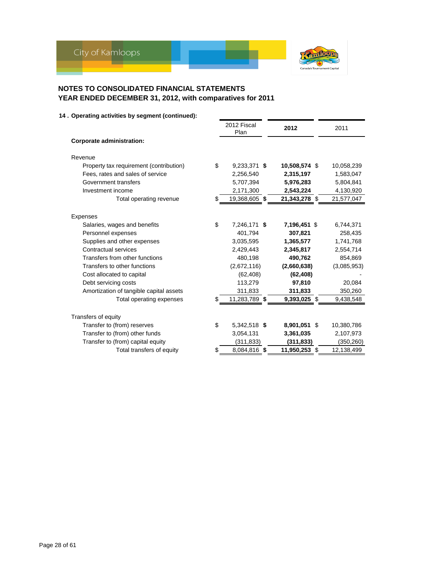

|                                               | 2012 Fiscal<br>Plan | 2012          | 2011        |
|-----------------------------------------------|---------------------|---------------|-------------|
| <b>Corporate administration:</b>              |                     |               |             |
| Revenue                                       |                     |               |             |
| Property tax requirement (contribution)<br>\$ | 9,233,371 \$        | 10,508,574 \$ | 10,058,239  |
| Fees, rates and sales of service              | 2,256,540           | 2,315,197     | 1,583,047   |
| Government transfers                          | 5,707,394           | 5,976,283     | 5,804,841   |
| Investment income                             | 2,171,300           | 2,543,224     | 4,130,920   |
| Total operating revenue                       | 19,368,605 \$       | 21,343,278 \$ | 21,577,047  |
| Expenses                                      |                     |               |             |
| \$<br>Salaries, wages and benefits            | 7,246,171 \$        | 7,196,451 \$  | 6,744,371   |
| Personnel expenses                            | 401,794             | 307,821       | 258,435     |
| Supplies and other expenses                   | 3,035,595           | 1,365,577     | 1,741,768   |
| Contractual services                          | 2.429.443           | 2,345,817     | 2,554,714   |
| Transfers from other functions                | 480,198             | 490,762       | 854,869     |
| Transfers to other functions                  | (2,672,116)         | (2,660,638)   | (3,085,953) |
| Cost allocated to capital                     | (62, 408)           | (62, 408)     |             |
| Debt servicing costs                          | 113,279             | 97,810        | 20,084      |
| Amortization of tangible capital assets       | 311,833             | 311,833       | 350,260     |
| Total operating expenses                      | 11,283,789 \$       | 9,393,025 \$  | 9,438,548   |
| Transfers of equity                           |                     |               |             |
| \$<br>Transfer to (from) reserves             | 5,342,518 \$        | 8,901,051 \$  | 10,380,786  |
| Transfer to (from) other funds                | 3,054,131           | 3,361,035     | 2,107,973   |
| Transfer to (from) capital equity             | (311, 833)          | (311, 833)    | (350, 260)  |
| Total transfers of equity<br>S                | 8,084,816 \$        | 11,950,253 \$ | 12,138,499  |
|                                               |                     |               |             |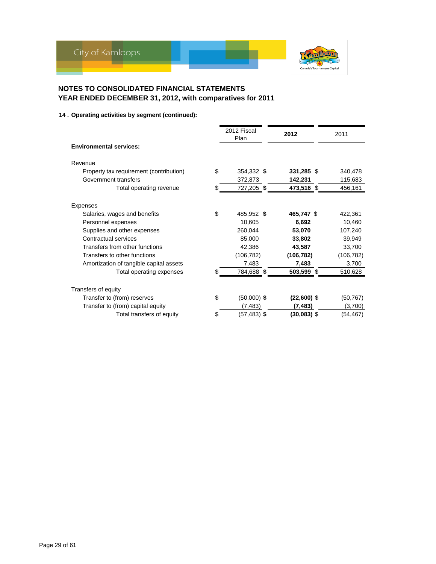

|                                               | 2012 Fiscal<br>Plan | 2012          | 2011       |
|-----------------------------------------------|---------------------|---------------|------------|
| <b>Environmental services:</b>                |                     |               |            |
| Revenue                                       |                     |               |            |
| \$<br>Property tax requirement (contribution) | 354,332 \$          | 331,285 \$    | 340,478    |
| Government transfers                          | 372,873             | 142,231       | 115,683    |
| Total operating revenue<br>S.                 | 727,205 \$          | 473,516 \$    | 456,161    |
| Expenses                                      |                     |               |            |
| \$<br>Salaries, wages and benefits            | 485,952 \$          | 465,747 \$    | 422,361    |
| Personnel expenses                            | 10,605              | 6,692         | 10,460     |
| Supplies and other expenses                   | 260,044             | 53,070        | 107,240    |
| Contractual services                          | 85,000              | 33,802        | 39,949     |
| Transfers from other functions                | 42,386              | 43,587        | 33,700     |
| Transfers to other functions                  | (106, 782)          | (106, 782)    | (106, 782) |
| Amortization of tangible capital assets       | 7,483               | 7,483         | 3,700      |
| Total operating expenses                      | 784,688 \$          | 503,599 \$    | 510,628    |
| Transfers of equity                           |                     |               |            |
| \$<br>Transfer to (from) reserves             | $(50,000)$ \$       | $(22,600)$ \$ | (50, 767)  |
| Transfer to (from) capital equity             | (7, 483)            | (7, 483)      | (3,700)    |
| Total transfers of equity                     | (57,483) \$         | (30,083) \$   | (54,467)   |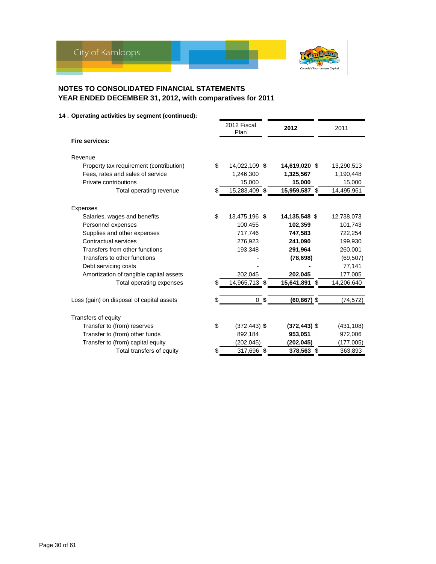

|                                               | 2012 Fiscal<br>Plan | 2012                 | 2011       |
|-----------------------------------------------|---------------------|----------------------|------------|
| Fire services:                                |                     |                      |            |
| Revenue                                       |                     |                      |            |
| \$<br>Property tax requirement (contribution) | 14,022,109 \$       | 14,619,020 \$        | 13,290,513 |
| Fees, rates and sales of service              | 1,246,300           | 1,325,567            | 1,190,448  |
| Private contributions                         | 15,000              | 15,000               | 15,000     |
| Total operating revenue                       | 15,283,409 \$       | 15,959,587 \$        | 14,495,961 |
| Expenses                                      |                     |                      |            |
| \$<br>Salaries, wages and benefits            | 13,475,196 \$       | 14,135,548 \$        | 12,738,073 |
| Personnel expenses                            | 100,455             | 102,359              | 101,743    |
| Supplies and other expenses                   | 717,746             | 747,583              | 722,254    |
| Contractual services                          | 276,923             | 241,090              | 199,930    |
| Transfers from other functions                | 193,348             | 291,964              | 260,001    |
| Transfers to other functions                  |                     | (78, 698)            | (69, 507)  |
| Debt servicing costs                          |                     |                      | 77,141     |
| Amortization of tangible capital assets       | 202,045             | 202,045              | 177,005    |
| Total operating expenses                      | 14,965,713 \$       | 15,641,891 \$        | 14,206,640 |
|                                               |                     |                      |            |
| Loss (gain) on disposal of capital assets     | 0                   | \$<br>$(60, 867)$ \$ | (74, 572)  |
| Transfers of equity                           |                     |                      |            |
| \$<br>Transfer to (from) reserves             | $(372, 443)$ \$     | $(372, 443)$ \$      | (431, 108) |
| Transfer to (from) other funds                | 892,184             | 953,051              | 972,006    |
| Transfer to (from) capital equity             | (202,045)           | (202,045)            | (177,005)  |
| Total transfers of equity                     | 317,696 \$          | 378,563 \$           | 363,893    |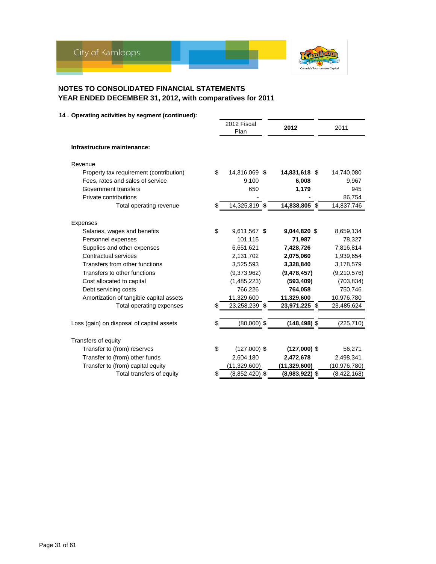

|                                                 | 2012 Fiscal<br>Plan    | 2012             | 2011           |
|-------------------------------------------------|------------------------|------------------|----------------|
| Infrastructure maintenance:                     |                        |                  |                |
| Revenue                                         |                        |                  |                |
| Property tax requirement (contribution)         | \$<br>14,316,069 \$    | 14,831,618 \$    | 14,740,080     |
| Fees, rates and sales of service                | 9,100                  | 6,008            | 9,967          |
| Government transfers                            | 650                    | 1,179            | 945            |
| Private contributions                           |                        |                  | 86,754         |
| Total operating revenue                         | \$<br>14,325,819 \$    | 14,838,805 \$    | 14,837,746     |
|                                                 |                        |                  |                |
| <b>Expenses</b><br>Salaries, wages and benefits | \$<br>9,611,567 \$     | 9,044,820 \$     | 8,659,134      |
| Personnel expenses                              | 101,115                | 71,987           | 78,327         |
| Supplies and other expenses                     | 6,651,621              | 7,428,726        | 7,816,814      |
| Contractual services                            | 2,131,702              | 2,075,060        | 1,939,654      |
| Transfers from other functions                  | 3,525,593              | 3,328,840        | 3,178,579      |
| Transfers to other functions                    | (9,373,962)            | (9,478,457)      | (9,210,576)    |
| Cost allocated to capital                       | (1,485,223)            | (593, 409)       | (703, 834)     |
| Debt servicing costs                            | 766,226                | 764,058          | 750,746        |
| Amortization of tangible capital assets         | 11,329,600             | 11,329,600       | 10,976,780     |
| Total operating expenses                        | 23,258,239 \$          | 23,971,225 \$    | 23,485,624     |
|                                                 |                        |                  |                |
| Loss (gain) on disposal of capital assets       | $(80,000)$ \$          | $(148, 498)$ \$  | (225, 710)     |
| Transfers of equity                             |                        |                  |                |
| Transfer to (from) reserves                     | \$<br>$(127,000)$ \$   | $(127,000)$ \$   | 56,271         |
| Transfer to (from) other funds                  | 2,604,180              | 2,472,678        | 2,498,341      |
| Transfer to (from) capital equity               | (11, 329, 600)         | (11, 329, 600)   | (10, 976, 780) |
| Total transfers of equity                       | \$<br>$(8,852,420)$ \$ | $(8,983,922)$ \$ | (8,422,168)    |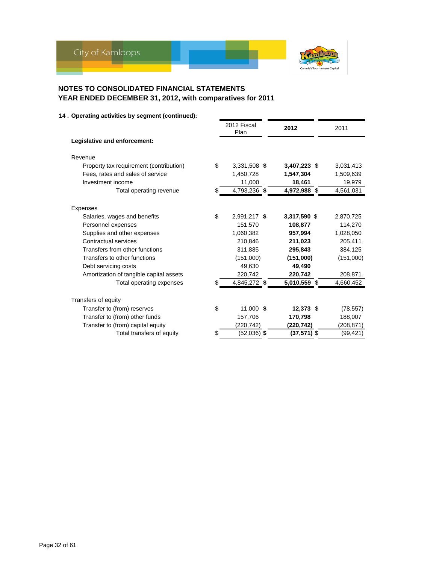

|                                                       | 2012 Fiscal<br>Plan | 2012         | 2011       |
|-------------------------------------------------------|---------------------|--------------|------------|
| Legislative and enforcement:                          |                     |              |            |
| Revenue                                               |                     |              |            |
| \$<br>Property tax requirement (contribution)         | 3,331,508 \$        | 3,407,223 \$ | 3,031,413  |
| Fees, rates and sales of service                      | 1,450,728           | 1,547,304    | 1,509,639  |
| Investment income                                     | 11,000              | 18,461       | 19,979     |
| Total operating revenue<br>\$.                        | 4,793,236 \$        | 4,972,988 \$ | 4,561,031  |
|                                                       |                     |              |            |
| <b>Expenses</b><br>\$<br>Salaries, wages and benefits | 2,991,217 \$        | 3,317,590 \$ | 2,870,725  |
| Personnel expenses                                    | 151,570             | 108,877      | 114,270    |
| Supplies and other expenses                           | 1,060,382           | 957,994      | 1,028,050  |
| Contractual services                                  | 210,846             | 211,023      | 205,411    |
| Transfers from other functions                        | 311,885             | 295,843      | 384,125    |
| Transfers to other functions                          | (151,000)           | (151,000)    | (151,000)  |
| Debt servicing costs                                  | 49,630              | 49,490       |            |
| Amortization of tangible capital assets               | 220,742             | 220,742      | 208,871    |
| Total operating expenses                              | 4,845,272 \$        | 5,010,559 \$ | 4,660,452  |
| Transfers of equity                                   |                     |              |            |
| \$<br>Transfer to (from) reserves                     | 11,000 \$           | 12,373 \$    | (78, 557)  |
| Transfer to (from) other funds                        | 157,706             | 170,798      | 188,007    |
| Transfer to (from) capital equity                     | (220, 742)          | (220,742)    | (208, 871) |
| Total transfers of equity                             | (52,036) \$         | (37,571) \$  | (99, 421)  |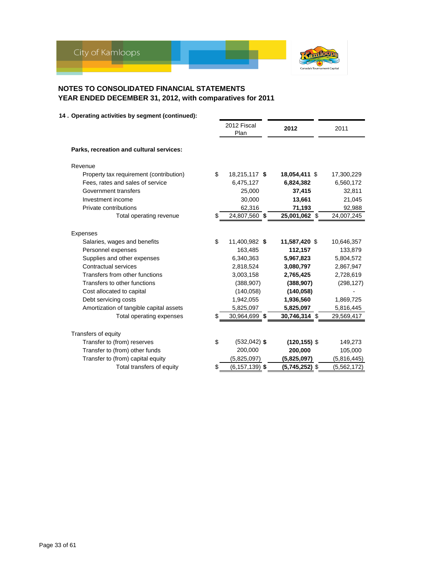

|                                          | 2012 Fiscal<br>Plan      | 2012            | 2011        |
|------------------------------------------|--------------------------|-----------------|-------------|
| Parks, recreation and cultural services: |                          |                 |             |
| Revenue                                  |                          |                 |             |
| Property tax requirement (contribution)  | \$<br>18,215,117 \$      | 18,054,411 \$   | 17,300,229  |
| Fees, rates and sales of service         | 6,475,127                | 6,824,382       | 6,560,172   |
| Government transfers                     | 25,000                   | 37,415          | 32,811      |
| Investment income                        | 30,000                   | 13,661          | 21,045      |
| Private contributions                    | 62,316                   | 71,193          | 92,988      |
| Total operating revenue                  | \$<br>24,807,560 \$      | 25,001,062 \$   | 24,007,245  |
| Expenses                                 |                          |                 |             |
| Salaries, wages and benefits             | \$<br>11,400,982 \$      | 11,587,420 \$   | 10,646,357  |
| Personnel expenses                       | 163,485                  | 112,157         | 133,879     |
| Supplies and other expenses              | 6,340,363                | 5,967,823       | 5,804,572   |
| Contractual services                     | 2,818,524                | 3,080,797       | 2,867,947   |
| Transfers from other functions           | 3,003,158                | 2,765,425       | 2,728,619   |
| Transfers to other functions             | (388, 907)               | (388, 907)      | (298, 127)  |
| Cost allocated to capital                | (140, 058)               | (140, 058)      |             |
| Debt servicing costs                     | 1,942,055                | 1,936,560       | 1,869,725   |
| Amortization of tangible capital assets  | 5,825,097                | 5,825,097       | 5,816,445   |
| Total operating expenses                 | 30,964,699 \$            | 30,746,314 \$   | 29,569,417  |
| Transfers of equity                      |                          |                 |             |
| Transfer to (from) reserves              | \$<br>$(532, 042)$ \$    | $(120, 155)$ \$ | 149,273     |
| Transfer to (from) other funds           | 200,000                  | 200,000         | 105,000     |
| Transfer to (from) capital equity        | (5,825,097)              | (5,825,097)     | (5,816,445) |
| Total transfers of equity                | \$<br>$(6, 157, 139)$ \$ | (5,745,252) \$  | (5,562,172) |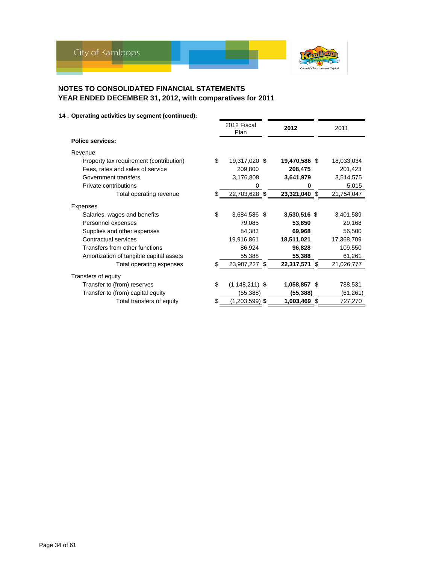

|                                               | 2012 Fiscal<br>Plan | 2012          |      | 2011       |
|-----------------------------------------------|---------------------|---------------|------|------------|
| <b>Police services:</b>                       |                     |               |      |            |
| Revenue                                       |                     |               |      |            |
| \$<br>Property tax requirement (contribution) | 19,317,020 \$       | 19,470,586 \$ |      | 18,033,034 |
| Fees, rates and sales of service              | 209,800             | 208,475       |      | 201,423    |
| Government transfers                          | 3,176,808           | 3,641,979     |      | 3,514,575  |
| Private contributions                         | 0                   | 0             |      | 5,015      |
| Total operating revenue                       | 22,703,628 \$       | 23,321,040 \$ |      | 21,754,047 |
| Expenses                                      |                     |               |      |            |
| \$<br>Salaries, wages and benefits            | 3,684,586 \$        | 3,530,516 \$  |      | 3,401,589  |
| Personnel expenses                            | 79,085              | 53,850        |      | 29,168     |
| Supplies and other expenses                   | 84,383              | 69,968        |      | 56,500     |
| Contractual services                          | 19,916,861          | 18,511,021    |      | 17,368,709 |
| Transfers from other functions                | 86,924              | 96,828        |      | 109,550    |
| Amortization of tangible capital assets       | 55,388              | 55,388        |      | 61,261     |
| Total operating expenses                      | 23,907,227 \$       | 22,317,571 \$ |      | 21,026,777 |
| Transfers of equity                           |                     |               |      |            |
| \$<br>Transfer to (from) reserves             | $(1, 148, 211)$ \$  | 1,058,857 \$  |      | 788,531    |
| Transfer to (from) capital equity             | (55, 388)           | (55, 388)     |      | (61, 261)  |
| Total transfers of equity                     | $(1,203,599)$ \$    | 1,003,469     | - \$ | 727,270    |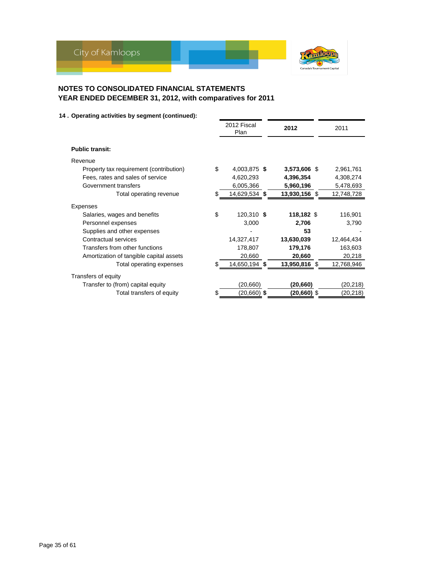

|                                               | 2012 Fiscal<br>Plan | 2012          |  | 2011       |  |
|-----------------------------------------------|---------------------|---------------|--|------------|--|
| <b>Public transit:</b>                        |                     |               |  |            |  |
| Revenue                                       |                     |               |  |            |  |
| \$<br>Property tax requirement (contribution) | 4,003,875 \$        | 3,573,606 \$  |  | 2,961,761  |  |
| Fees, rates and sales of service              | 4,620,293           | 4,396,354     |  | 4,308,274  |  |
| Government transfers                          | 6,005,366           | 5,960,196     |  | 5,478,693  |  |
| Total operating revenue                       | 14,629,534 \$       | 13,930,156 \$ |  | 12,748,728 |  |
| Expenses                                      |                     |               |  |            |  |
| \$<br>Salaries, wages and benefits            | 120,310 \$          | 118,182 \$    |  | 116,901    |  |
| Personnel expenses                            | 3,000               | 2,706         |  | 3,790      |  |
| Supplies and other expenses                   |                     | 53            |  |            |  |
| Contractual services                          | 14,327,417          | 13,630,039    |  | 12,464,434 |  |
| Transfers from other functions                | 178,807             | 179,176       |  | 163,603    |  |
| Amortization of tangible capital assets       | 20,660              | 20,660        |  | 20,218     |  |
| Total operating expenses                      | 14,650,194 \$       | 13,950,816 \$ |  | 12,768,946 |  |
| Transfers of equity                           |                     |               |  |            |  |
| Transfer to (from) capital equity             | (20, 660)           | (20, 660)     |  | (20, 218)  |  |
| Total transfers of equity                     | (20,660) \$         | (20,660) \$   |  | (20,218)   |  |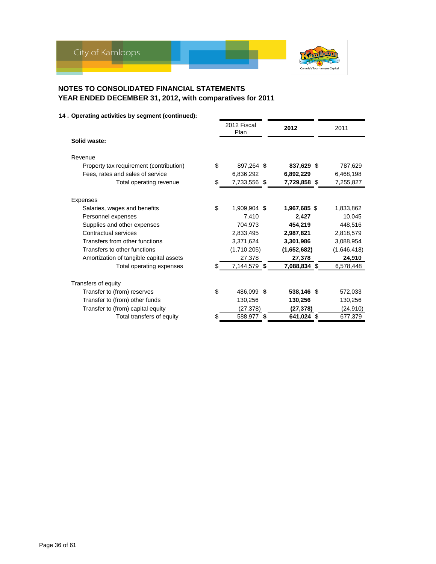

|                                               | 2012 Fiscal<br>Plan |   | 2012         | 2011        |
|-----------------------------------------------|---------------------|---|--------------|-------------|
| Solid waste:                                  |                     |   |              |             |
| Revenue                                       |                     |   |              |             |
| \$<br>Property tax requirement (contribution) | 897,264 \$          |   | 837,629 \$   | 787,629     |
| Fees, rates and sales of service              | 6,836,292           |   | 6,892,229    | 6,468,198   |
| Total operating revenue                       | 7,733,556 \$        |   | 7,729,858 \$ | 7,255,827   |
| <b>Expenses</b>                               |                     |   |              |             |
| \$<br>Salaries, wages and benefits            | 1,909,904 \$        |   | 1,967,685 \$ | 1,833,862   |
| Personnel expenses                            | 7,410               |   | 2.427        | 10,045      |
| Supplies and other expenses                   | 704,973             |   | 454,219      | 448.516     |
| Contractual services                          | 2,833,495           |   | 2,987,821    | 2,818,579   |
| Transfers from other functions                | 3,371,624           |   | 3,301,986    | 3,088,954   |
| Transfers to other functions                  | (1,710,205)         |   | (1,652,682)  | (1,646,418) |
| Amortization of tangible capital assets       | 27,378              |   | 27,378       | 24,910      |
| Total operating expenses                      | 7,144,579 \$        |   | 7,088,834 \$ | 6,578,448   |
| Transfers of equity                           |                     |   |              |             |
| \$<br>Transfer to (from) reserves             | 486,099 \$          |   | 538,146 \$   | 572,033     |
| Transfer to (from) other funds                | 130,256             |   | 130,256      | 130,256     |
| Transfer to (from) capital equity             | (27, 378)           |   | (27, 378)    | (24, 910)   |
| Total transfers of equity<br>S.               | 588,977             | S | \$41,024     | 677,379     |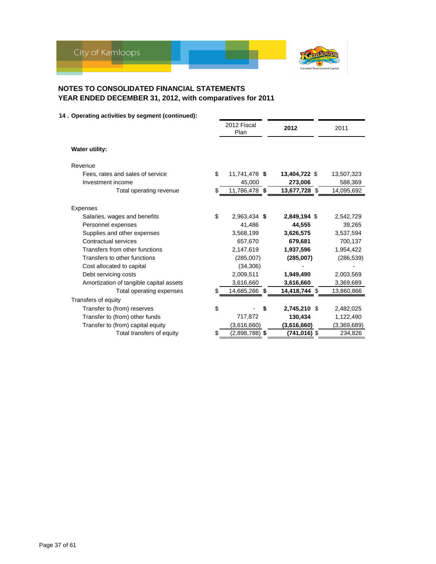

|                                         | 2012 Fiscal<br>Plan | 2012               | 2011        |
|-----------------------------------------|---------------------|--------------------|-------------|
| <b>Water utility:</b>                   |                     |                    |             |
| Revenue                                 |                     |                    |             |
| \$<br>Fees, rates and sales of service  | 11,741,478 \$       | 13,404,722 \$      | 13,507,323  |
| Investment income                       | 45,000              | 273,006            | 588,369     |
| Total operating revenue<br>\$.          | 11,786,478 \$       | 13,677,728 \$      | 14,095,692  |
| <b>Expenses</b>                         |                     |                    |             |
| \$<br>Salaries, wages and benefits      | 2,963,434 \$        | 2,849,194 \$       | 2,542,729   |
| Personnel expenses                      | 41,486              | 44.555             | 39,265      |
| Supplies and other expenses             | 3,568,199           | 3,626,575          | 3,537,594   |
| Contractual services                    | 657,670             | 679,681            | 700,137     |
| Transfers from other functions          | 2,147,619           | 1,937,596          | 1,954,422   |
| Transfers to other functions            | (285,007)           | (285,007)          | (286, 539)  |
| Cost allocated to capital               | (34, 306)           |                    |             |
| Debt servicing costs                    | 2,009,511           | 1,949,490          | 2,003,569   |
| Amortization of tangible capital assets | 3,616,660           | 3,616,660          | 3,369,689   |
| Total operating expenses                | 14,685,266 \$       | 14,418,744 \$      | 13,860,866  |
| Transfers of equity                     |                     |                    |             |
| \$<br>Transfer to (from) reserves       |                     | \$<br>2,745,210 \$ | 2,482,025   |
| Transfer to (from) other funds          | 717,872             | 130,434            | 1,122,490   |
| Transfer to (from) capital equity       | (3,616,660)         | (3,616,660)        | (3,369,689) |
| Total transfers of equity               | (2,898,788) \$      | (741,016) \$       | 234,826     |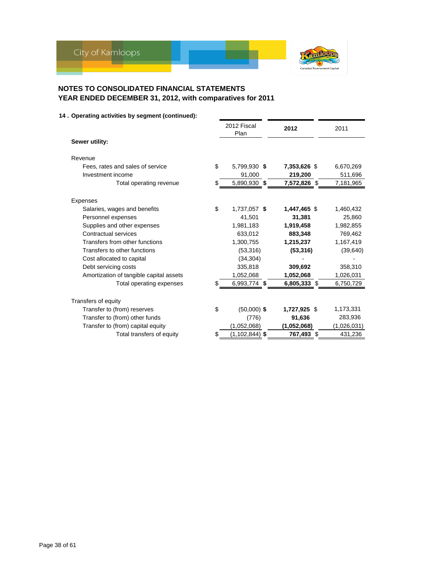

|                                         | 2012 Fiscal<br>Plan | 2012         | 2011        |
|-----------------------------------------|---------------------|--------------|-------------|
| Sewer utility:                          |                     |              |             |
| Revenue                                 |                     |              |             |
| \$<br>Fees, rates and sales of service  | 5,799,930 \$        | 7,353,626 \$ | 6,670,269   |
| Investment income                       | 91,000              | 219,200      | 511,696     |
| Total operating revenue                 | 5,890,930 \$        | 7,572,826 \$ | 7,181,965   |
| <b>Expenses</b>                         |                     |              |             |
| \$<br>Salaries, wages and benefits      | 1,737,057 \$        | 1,447,465 \$ | 1,460,432   |
| Personnel expenses                      | 41,501              | 31,381       | 25,860      |
| Supplies and other expenses             | 1.981.183           | 1,919,458    | 1,982,855   |
| Contractual services                    | 633.012             | 883,348      | 769,462     |
| Transfers from other functions          | 1,300,755           | 1,215,237    | 1,167,419   |
| Transfers to other functions            | (53,316)            | (53, 316)    | (39, 640)   |
| Cost allocated to capital               | (34, 304)           |              |             |
| Debt servicing costs                    | 335,818             | 309,692      | 358,310     |
| Amortization of tangible capital assets | 1,052,068           | 1,052,068    | 1,026,031   |
| Total operating expenses                | 6,993,774 \$        | 6,805,333 \$ | 6,750,729   |
| Transfers of equity                     |                     |              |             |
| \$<br>Transfer to (from) reserves       | $(50,000)$ \$       | 1,727,925 \$ | 1,173,331   |
| Transfer to (from) other funds          | (776)               | 91,636       | 283,936     |
| Transfer to (from) capital equity       | (1,052,068)         | (1,052,068)  | (1,026,031) |
| Total transfers of equity               | $(1, 102, 844)$ \$  | 767,493 \$   | 431,236     |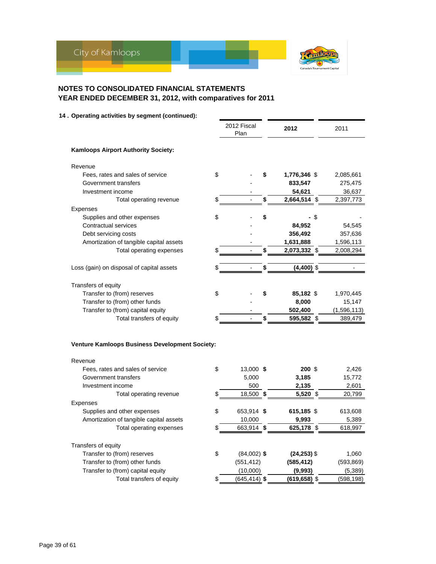

### **14 . Operating activities by segment (continued):**

|                                                 | 2012 Fiscal<br>Plan | 2012                  | 2011        |
|-------------------------------------------------|---------------------|-----------------------|-------------|
| <b>Kamloops Airport Authority Society:</b>      |                     |                       |             |
| Revenue                                         |                     |                       |             |
| \$<br>Fees, rates and sales of service          |                     | \$<br>1,776,346 \$    | 2,085,661   |
| Government transfers                            |                     | 833,547               | 275,475     |
| Investment income                               |                     | 54,621                | 36,637      |
| Total operating revenue<br>\$                   |                     | \$<br>2,664,514<br>\$ | 2,397,773   |
| Expenses                                        |                     |                       |             |
| \$<br>Supplies and other expenses               |                     | \$<br>- \$            |             |
| Contractual services                            |                     | 84,952                | 54,545      |
| Debt servicing costs                            |                     | 356,492               | 357,636     |
| Amortization of tangible capital assets         |                     | 1,631,888             | 1,596,113   |
| \$<br>Total operating expenses                  |                     | \$<br>2,073,332 \$    | 2,008,294   |
|                                                 |                     |                       |             |
| Loss (gain) on disposal of capital assets<br>\$ |                     | \$<br>$(4,400)$ \$    |             |
| Transfers of equity                             |                     |                       |             |
| Transfer to (from) reserves<br>\$               |                     | \$<br>85,182 \$       | 1,970,445   |
| Transfer to (from) other funds                  |                     | 8,000                 | 15,147      |
| Transfer to (from) capital equity               |                     | 502,400               | (1,596,113) |
| Total transfers of equity                       |                     | 595,582 \$            | 389,479     |
|                                                 |                     |                       |             |
| Venture Kamloops Business Development Society:  |                     |                       |             |
| Revenue                                         |                     |                       |             |
| \$<br>Fees, rates and sales of service          | 13,000 \$           | $200$ \$              | 2,426       |
| Government transfers                            | 5,000               | 3,185                 | 15,772      |
| Investment income                               | 500                 | 2,135                 | 2,601       |
| Total operating revenue<br>\$                   | 18,500 \$           | 5,520 \$              | 20,799      |
| Expenses                                        |                     |                       |             |
| Supplies and other expenses<br>\$               | 653,914 \$          | 615,185 \$            | 613,608     |
| Amortization of tangible capital assets         | 10,000              | 9,993                 | 5,389       |
| \$<br>Total operating expenses                  | 663,914 \$          | 625,178 \$            | 618,997     |
| Transfers of equity                             |                     |                       |             |
| Transfer to (from) reserves<br>\$               | $(84,002)$ \$       | $(24, 253)$ \$        | 1,060       |
| Transfer to (from) other funds                  | (551, 412)          | (585, 412)            | (593, 869)  |
| Transfer to (from) capital equity               | (10,000)            | (9,993)               | (5,389)     |

Total transfers of equity \$ (645,414) **\$ (619,658)** \$ (598,198)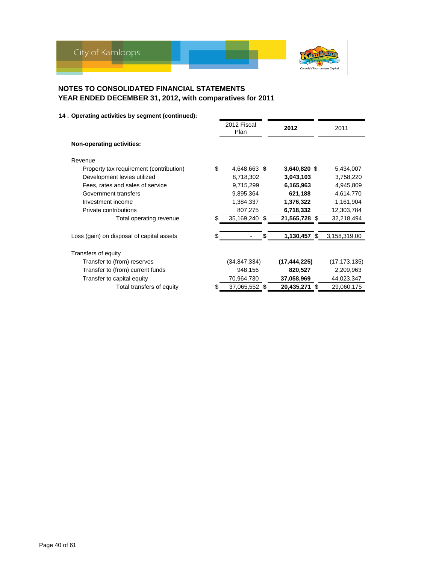

|                                           |    | 2012 Fiscal<br>Plan | 2012           |      | 2011           |
|-------------------------------------------|----|---------------------|----------------|------|----------------|
| <b>Non-operating activities:</b>          |    |                     |                |      |                |
| Revenue                                   |    |                     |                |      |                |
| Property tax requirement (contribution)   | \$ | 4,648,663 \$        | 3,640,820 \$   |      | 5,434,007      |
| Development levies utilized               |    | 8,718,302           | 3,043,103      |      | 3,758,220      |
| Fees, rates and sales of service          |    | 9,715,299           | 6,165,963      |      | 4,945,809      |
| Government transfers                      |    | 9,895,364           | 621,188        |      | 4,614,770      |
| Investment income                         |    | 1,384,337           | 1,376,322      |      | 1,161,904      |
| Private contributions                     |    | 807,275             | 6,718,332      |      | 12,303,784     |
| Total operating revenue                   |    | 35,169,240 \$       | 21,565,728 \$  |      | 32,218,494     |
|                                           |    |                     |                |      |                |
| Loss (gain) on disposal of capital assets |    |                     | 1,130,457 \$   |      | 3,158,319.00   |
| Transfers of equity                       |    |                     |                |      |                |
| Transfer to (from) reserves               |    | (34, 847, 334)      | (17, 444, 225) |      | (17, 173, 135) |
| Transfer to (from) current funds          |    | 948,156             | 820,527        |      | 2,209,963      |
| Transfer to capital equity                |    | 70,964,730          | 37,058,969     |      | 44,023,347     |
| Total transfers of equity                 | S  | 37,065,552 \$       | 20,435,271     | - \$ | 29,060,175     |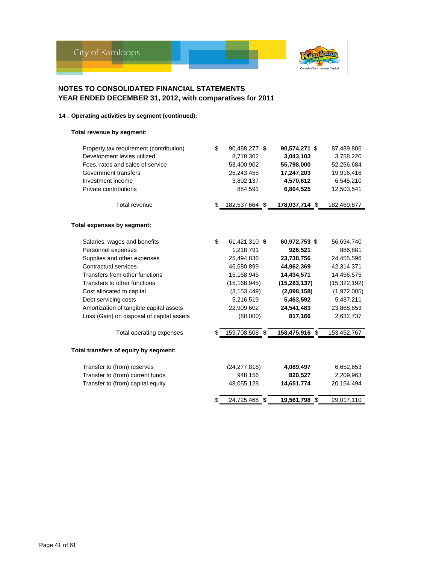

# **14 . Operating activities by segment (continued):**

### **Total revenue by segment:**

| Property tax requirement (contribution)   | \$<br>90,488,277 \$  | 90,574,271 \$       | 87,489,806     |
|-------------------------------------------|----------------------|---------------------|----------------|
| Development levies utilized               | 8,718,302            | 3,043,103           | 3,758,220      |
| Fees, rates and sales of service          | 53,400,902           | 55,798,000          | 52,256,684     |
| Government transfers                      | 25,243,455           | 17,247,203          | 19,916,416     |
| Investment income                         | 3,802,137            | 4,570,612           | 6,545,210      |
| Private contributions                     | 884,591              | 6,804,525           | 12,503,541     |
| Total revenue                             | \$<br>182,537,664 \$ | 178,037,714 \$      | 182,469,877    |
| Total expenses by segment:                |                      |                     |                |
| Salaries, wages and benefits              | \$<br>61,421,310 \$  | 60,972,753 \$       | 56,694,740     |
| Personnel expenses                        | 1,218,791            | 926,521             | 886,881        |
| Supplies and other expenses               | 25,494,836           | 23,738,756          | 24,455,596     |
| Contractual services                      | 46,680,899           | 44,962,369          | 42,314,371     |
| Transfers from other functions            | 15,168,945           | 14,434,571          | 14,456,575     |
| Transfers to other functions              | (15, 168, 945)       | (15, 283, 137)      | (15, 322, 192) |
| Cost allocated to capital                 | (3, 153, 449)        | (2,098,158)         | (1,972,005)    |
| Debt servicing costs                      | 5,216,519            | 5,463,592           | 5,437,211      |
| Amortization of tangible capital assets   | 22,909,602           | 24,541,483          | 23,868,853     |
| Loss (Gain) on disposal of capital assets | (80,000)             | 817,166             | 2,632,737      |
| Total operating expenses                  | 159,708,508 \$       | 158,475,916 \$      | 153,452,767    |
| Total transfers of equity by segment:     |                      |                     |                |
| Transfer to (from) reserves               | (24, 277, 816)       | 4,089,497           | 6,652,653      |
| Transfer to (from) current funds          | 948,156              | 820,527             | 2,209,963      |
| Transfer to (from) capital equity         | 48,055,128           | 14,651,774          | 20,154,494     |
|                                           | \$<br>24,725,468     | \$<br>19,561,798 \$ | 29,017,110     |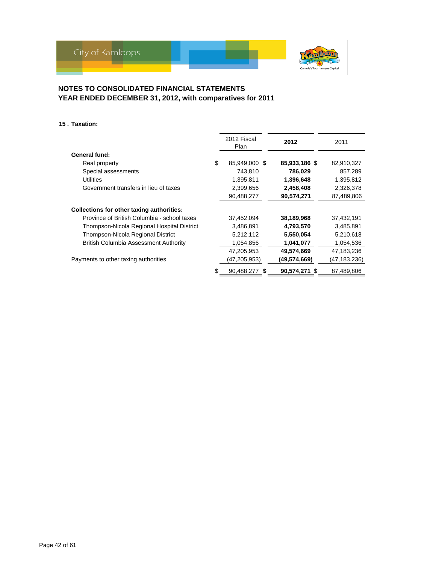

### **15 . Taxation:**

|                                              | 2012 Fiscal<br>Plan | 2012          | 2011         |
|----------------------------------------------|---------------------|---------------|--------------|
| <b>General fund:</b>                         |                     |               |              |
| Real property                                | \$<br>85.949.000 \$ | 85,933,186 \$ | 82,910,327   |
| Special assessments                          | 743.810             | 786,029       | 857,289      |
| <b>Utilities</b>                             | 1,395,811           | 1,396,648     | 1,395,812    |
| Government transfers in lieu of taxes        | 2,399,656           | 2,458,408     | 2,326,378    |
|                                              | 90,488,277          | 90,574,271    | 87,489,806   |
| Collections for other taxing authorities:    |                     |               |              |
| Province of British Columbia - school taxes  | 37,452,094          | 38,189,968    | 37,432,191   |
| Thompson-Nicola Regional Hospital District   | 3,486,891           | 4,793,570     | 3,485,891    |
| Thompson-Nicola Regional District            | 5,212,112           | 5,550,054     | 5,210,618    |
| <b>British Columbia Assessment Authority</b> | 1,054,856           | 1,041,077     | 1,054,536    |
|                                              | 47,205,953          | 49,574,669    | 47,183,236   |
| Payments to other taxing authorities         | (47,205,953)        | (49,574,669)  | (47,183,236) |
|                                              | 90,488,277 \$       | 90,574,271 \$ | 87,489,806   |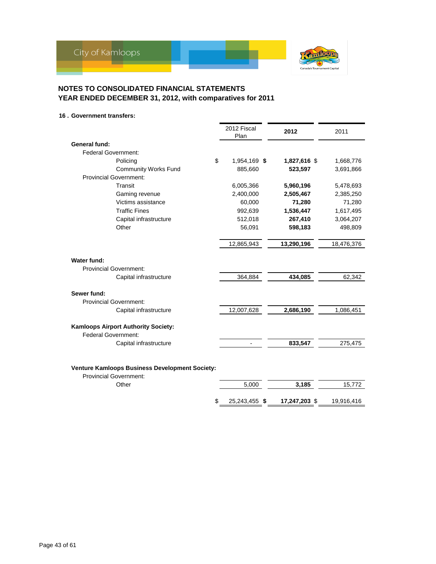

\$25,243,455 \$17,247,203 \$19,916,416

# **NOTES TO CONSOLIDATED FINANCIAL STATEMENTS YEAR ENDED DECEMBER 31, 2012, with comparatives for 2011**

### **16 . Government transfers:**

|                                                                                 | 2012 Fiscal<br>Plan | 2012         | 2011       |
|---------------------------------------------------------------------------------|---------------------|--------------|------------|
| General fund:                                                                   |                     |              |            |
| <b>Federal Government:</b>                                                      |                     |              |            |
| \$<br>Policing                                                                  | 1,954,169 \$        | 1,827,616 \$ | 1,668,776  |
| <b>Community Works Fund</b>                                                     | 885,660             | 523,597      | 3,691,866  |
| <b>Provincial Government:</b>                                                   |                     |              |            |
| Transit                                                                         | 6,005,366           | 5,960,196    | 5,478,693  |
| Gaming revenue                                                                  | 2,400,000           | 2,505,467    | 2,385,250  |
| Victims assistance                                                              | 60,000              | 71,280       | 71,280     |
| <b>Traffic Fines</b>                                                            | 992,639             | 1,536,447    | 1,617,495  |
| Capital infrastructure                                                          | 512,018             | 267,410      | 3,064,207  |
| Other                                                                           | 56,091              | 598,183      | 498,809    |
|                                                                                 | 12,865,943          | 13,290,196   | 18,476,376 |
| Water fund:<br><b>Provincial Government:</b>                                    |                     |              |            |
| Capital infrastructure                                                          | 364,884             | 434,085      | 62,342     |
| Sewer fund:                                                                     |                     |              |            |
| <b>Provincial Government:</b>                                                   |                     |              |            |
| Capital infrastructure                                                          | 12,007,628          | 2,686,190    | 1,086,451  |
| <b>Kamloops Airport Authority Society:</b><br>Federal Government:               |                     |              |            |
| Capital infrastructure                                                          |                     | 833,547      | 275,475    |
| Venture Kamloops Business Development Society:<br><b>Provincial Government:</b> |                     |              |            |
| Other                                                                           | 5,000               | 3,185        | 15,772     |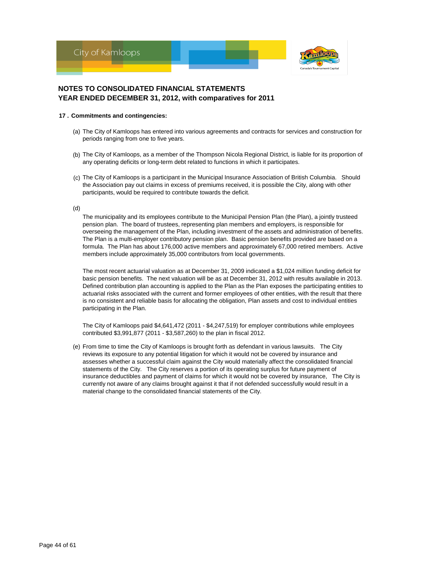

#### **17 . Commitments and contingencies:**

- (a) The City of Kamloops has entered into various agreements and contracts for services and construction for periods ranging from one to five years.
- (b) The City of Kamloops, as a member of the Thompson Nicola Regional District, is liable for its proportion of any operating deficits or long-term debt related to functions in which it participates.
- (c) The City of Kamloops is a participant in the Municipal Insurance Association of British Columbia. Should the Association pay out claims in excess of premiums received, it is possible the City, along with other participants, would be required to contribute towards the deficit.

#### (d)

The municipality and its employees contribute to the Municipal Pension Plan (the Plan), a jointly trusteed pension plan. The board of trustees, representing plan members and employers, is responsible for overseeing the management of the Plan, including investment of the assets and administration of benefits. The Plan is a multi-employer contributory pension plan. Basic pension benefits provided are based on a formula. The Plan has about 176,000 active members and approximately 67,000 retired members. Active members include approximately 35,000 contributors from local governments.

The most recent actuarial valuation as at December 31, 2009 indicated a \$1,024 million funding deficit for basic pension benefits. The next valuation will be as at December 31, 2012 with results available in 2013. Defined contribution plan accounting is applied to the Plan as the Plan exposes the participating entities to actuarial risks associated with the current and former employees of other entities, with the result that there is no consistent and reliable basis for allocating the obligation, Plan assets and cost to individual entities participating in the Plan.

The City of Kamloops paid \$4,641,472 (2011 - \$4,247,519) for employer contributions while employees contributed \$3,991,877 (2011 - \$3,587,260) to the plan in fiscal 2012.

(e) From time to time the City of Kamloops is brought forth as defendant in various lawsuits. The City reviews its exposure to any potential litigation for which it would not be covered by insurance and assesses whether a successful claim against the City would materially affect the consolidated financial statements of the City. The City reserves a portion of its operating surplus for future payment of insurance deductibles and payment of claims for which it would not be covered by insurance, The City is currently not aware of any claims brought against it that if not defended successfully would result in a material change to the consolidated financial statements of the City.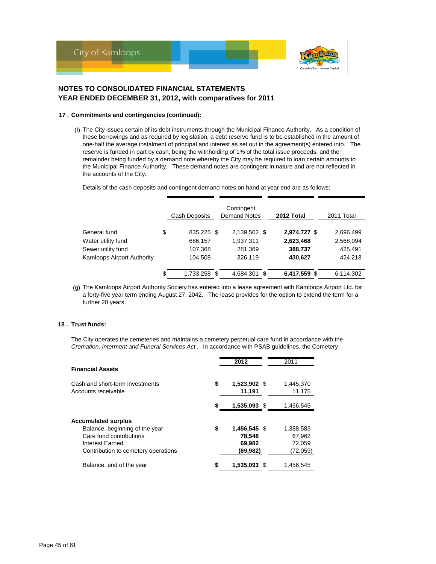

#### **17 . Commitments and contingencies (continued):**

(f) The City issues certain of its debt instruments through the Municipal Finance Authority. As a condition of these borrowings and as required by legislation, a debt reserve fund is to be established in the amount of one-half the average instalment of principal and interest as set out in the agreement(s) entered into. The reserve is funded in part by cash, being the withholding of 1% of the total issue proceeds, and the remainder being funded by a demand note whereby the City may be required to loan certain amounts to the Municipal Finance Authority. These demand notes are contingent in nature and are not reflected in the accounts of the City.

Details of the cash deposits and contingent demand notes on hand at year end are as follows:

|                            | <b>Cash Deposits</b> | Contingent<br><b>Demand Notes</b> | 2012 Total   | 2011 Total |  |  |
|----------------------------|----------------------|-----------------------------------|--------------|------------|--|--|
| General fund               | \$<br>835,225 \$     | 2,139,502 \$                      | 2,974,727 \$ | 2,696,499  |  |  |
| Water utility fund         | 686,157              | 1,937,311                         | 2,623,468    | 2,568,094  |  |  |
| Sewer utility fund         | 107,368              | 281,369                           | 388,737      | 425,491    |  |  |
| Kamloops Airport Authority | 104,508              | 326,119                           | 430,627      | 424,218    |  |  |
|                            | \$<br>1,733,258 \$   | 4,684,301 \$                      | 6,417,559 \$ | 6,114,302  |  |  |

(g) The Kamloops Airport Authority Society has entered into a lease agreement with Kamloops Airport Ltd. for a forty-five year term ending August 27, 2042. The lease provides for the option to extend the term for a further 20 years.

### **18 . Trust funds:**

The City operates the cemeteries and maintains a cemetery perpetual care fund in accordance with the *Cremation, Interment and Funeral Services Act* . In accordance with PSAB guidelines, the Cemetery

| <b>Financial Assets</b>                                |    | 2012                   | 2011                |
|--------------------------------------------------------|----|------------------------|---------------------|
| Cash and short-term investments<br>Accounts receivable | \$ | 1,523,902 \$<br>11,191 | 1,445,370<br>11,175 |
|                                                        | S  | 1,535,093 \$           | 1.456,545           |
| <b>Accumulated surplus</b>                             |    |                        |                     |
| Balance, beginning of the year                         | \$ | 1,456,545 \$           | 1,388,583           |
| Care fund contributions                                |    | 78,548                 | 67,962              |
| Interest Earned                                        |    | 69,982                 | 72,059              |
| Contribution to cemetery operations                    |    | (69, 982)              | (72,059)            |
| Balance, end of the year                               | S  | 1,535,093 \$           | 1,456,545           |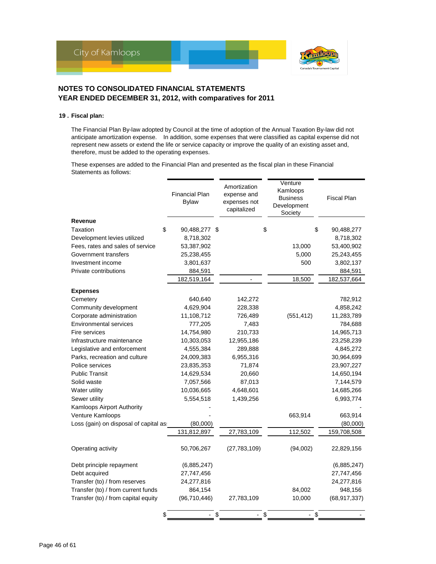

#### **19 . Fiscal plan:**

The Financial Plan By-law adopted by Council at the time of adoption of the Annual Taxation By-law did not anticipate amortization expense. In addition, some expenses that were classified as capital expense did not represent new assets or extend the life or service capacity or improve the quality of an existing asset and, therefore, must be added to the operating expenses.

These expenses are added to the Financial Plan and presented as the fiscal plan in these Financial Statements as follows:

|                                        | <b>Financial Plan</b><br><b>Bylaw</b> | Amortization<br>expense and<br>expenses not<br>capitalized | Venture<br>Kamloops<br><b>Business</b><br>Development<br>Society | <b>Fiscal Plan</b> |
|----------------------------------------|---------------------------------------|------------------------------------------------------------|------------------------------------------------------------------|--------------------|
| <b>Revenue</b>                         |                                       |                                                            |                                                                  |                    |
| Taxation                               | \$<br>90,488,277 \$                   |                                                            | \$                                                               | \$<br>90,488,277   |
| Development levies utilized            | 8,718,302                             |                                                            |                                                                  | 8,718,302          |
| Fees, rates and sales of service       | 53,387,902                            |                                                            | 13,000                                                           | 53,400,902         |
| Government transfers                   | 25,238,455                            |                                                            | 5,000                                                            | 25,243,455         |
| Investment income                      | 3,801,637                             |                                                            | 500                                                              | 3,802,137          |
| Private contributions                  | 884,591                               |                                                            |                                                                  | 884,591            |
|                                        | 182,519,164                           |                                                            | 18,500                                                           | 182,537,664        |
| <b>Expenses</b>                        |                                       |                                                            |                                                                  |                    |
| Cemetery                               | 640,640                               | 142,272                                                    |                                                                  | 782,912            |
| Community development                  | 4,629,904                             | 228,338                                                    |                                                                  | 4,858,242          |
| Corporate administration               | 11,108,712                            | 726,489                                                    | (551, 412)                                                       | 11,283,789         |
| <b>Environmental services</b>          | 777,205                               | 7,483                                                      |                                                                  | 784,688            |
| Fire services                          | 14,754,980                            | 210,733                                                    |                                                                  | 14,965,713         |
| Infrastructure maintenance             | 10,303,053                            | 12,955,186                                                 |                                                                  | 23,258,239         |
| Legislative and enforcement            | 4,555,384                             | 289,888                                                    |                                                                  | 4,845,272          |
| Parks, recreation and culture          | 24,009,383                            | 6,955,316                                                  |                                                                  | 30,964,699         |
| Police services                        | 23,835,353                            | 71,874                                                     |                                                                  | 23,907,227         |
| <b>Public Transit</b>                  | 14,629,534                            | 20,660                                                     |                                                                  | 14,650,194         |
| Solid waste                            | 7,057,566                             | 87,013                                                     |                                                                  | 7,144,579          |
| Water utility                          | 10,036,665                            | 4,648,601                                                  |                                                                  | 14,685,266         |
| Sewer utility                          | 5,554,518                             | 1,439,256                                                  |                                                                  | 6,993,774          |
| Kamloops Airport Authority             |                                       |                                                            |                                                                  |                    |
| Venture Kamloops                       |                                       |                                                            | 663,914                                                          | 663,914            |
| Loss (gain) on disposal of capital as: | (80,000)                              |                                                            |                                                                  | (80,000)           |
|                                        | 131,812,897                           | 27,783,109                                                 | 112,502                                                          | 159,708,508        |
| Operating activity                     | 50,706,267                            | (27, 783, 109)                                             | (94,002)                                                         | 22,829,156         |
| Debt principle repayment               | (6,885,247)                           |                                                            |                                                                  | (6,885,247)        |
| Debt acquired                          | 27,747,456                            |                                                            |                                                                  | 27,747,456         |
| Transfer (to) / from reserves          | 24,277,816                            |                                                            |                                                                  | 24,277,816         |
| Transfer (to) / from current funds     | 864,154                               |                                                            | 84,002                                                           | 948,156            |
| Transfer (to) / from capital equity    | (96, 710, 446)                        | 27,783,109                                                 | 10,000                                                           | (68, 917, 337)     |
|                                        | \$                                    | \$                                                         | \$<br>$-$ \$                                                     |                    |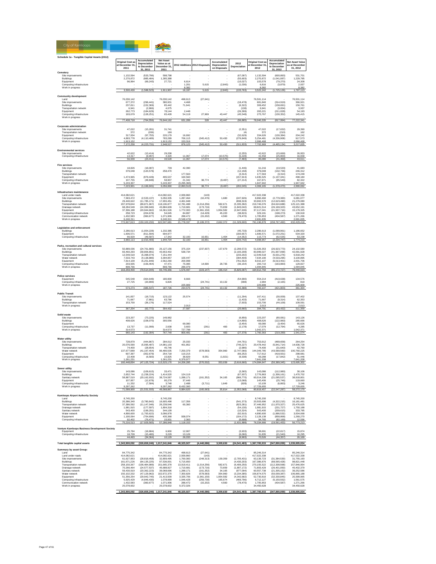

| Schedule 1a - Tangible Capital Assets (2012)               |                                    |                                    |                                 |                             |                             |                             |                                |                                    |                                 |                                   |
|------------------------------------------------------------|------------------------------------|------------------------------------|---------------------------------|-----------------------------|-----------------------------|-----------------------------|--------------------------------|------------------------------------|---------------------------------|-----------------------------------|
|                                                            | Original Cost as<br>at December 31 | Accumulated<br><b>Depreciation</b> | <b>Net Asset</b><br>Value as at | 2012 Additions 2012 Disposa |                             | Accumulated<br>Depreciation | 2012                           | Original Cost as<br>at December 31 | Accumulated<br>Depreciation     | Net Asset Value<br>as at December |
|                                                            | 2011                               | to December<br>2011                | December 31.<br>2011            |                             |                             | on Disposals                | Depreciation                   | 2012                               | to December<br>31.2012          | 31, 2012                          |
| Cemetery<br>Site improvements                              | 1,132,594                          | (533.796)                          | 598,798                         |                             |                             |                             | (67, 097)                      | 1,132,594                          | (600, 893)                      | 531,701                           |
| <b>Buildings</b>                                           | 2.270.872                          | (985, 484)                         | 1.285.388                       |                             |                             |                             | (55.603)                       | 2.270.872                          | (1,041,087)                     | 1 229 785                         |
| Equipment<br>Computing infrastructure                      | 96,964                             | (69, 243)                          | 27,721                          | 6,614<br>1,201              | 5,615                       | (2, 843)                    | (10, 027)<br>(1,036)           | 103,578<br>6,816                   | (79, 270)<br>(3,879)            | 24,308<br>2,937                   |
| Work in progress                                           | 3,500,430                          | (1,588,523)                        | 1,911,907                       | 8,382<br>16,197             | 5,615                       | (2,843)                     | (133, 763)                     | 8,382<br>3,522,242                 | (1, 725, 129)                   | 8,382<br>1,797,113                |
| <b>Community development</b>                               |                                    |                                    |                                 |                             |                             |                             |                                |                                    |                                 |                                   |
| Land                                                       | 76,030,142<br>677.372              |                                    | 76,030,142                      | 498,613                     | (27, 641)                   |                             |                                | 76,501,114                         |                                 | 76,501,114                        |
| Site improvements<br>Buildings                             | 237,811                            | (296, 441)<br>(152, 369)           | 380,931<br>85,442               | 4,468<br>71,641             |                             |                             | (18, 478)<br>(6, 322)          | 681,840<br>309,452                 | (314, 919)<br>(158, 691)        | 366,921<br>150,761                |
| <b>Transportation network</b><br>Equipment                 | 6.941<br>262.773                   | (2.866)<br>(184.629)               | 4,075<br>78.144                 | 2.448                       |                             |                             | (138)<br>(26.399)              | 6.941<br>265.221                   | (3.004)<br>(211.028)            | 3,937<br>54.193                   |
| Computing infrastructure                                   | 193,679                            | (128, 251)                         | 65,428                          | 54,119                      | 27,969                      | 43,447                      | (45, 548)                      | 275,767                            | (130, 352)                      | 145,415                           |
| Work in progress                                           | 77,408,718                         | (764,556)                          | 76,644,162                      | 631,289                     | 328                         | 43,447                      | (96,885                        | 78,040,335                         | (817,994)                       | 77,222,341                        |
| Corporate administration                                   |                                    |                                    |                                 |                             |                             |                             |                                |                                    |                                 |                                   |
| Site improvements<br>Transportation network                | 47,022<br>372                      | (15, 281)<br>(206)                 | 31,741<br>166                   |                             |                             |                             | (2, 351)<br>(4)                | 47,022<br>372                      | (17, 632)<br>(210)              | 29,390<br>162                     |
| Equipment<br>Computing infrastructure                      | 317.934<br>4.893.778               | (97, 755)<br>(4.110.489)           | 220.179<br>783.289              | 16.692<br>706.115           | (345.412)                   | 50.430                      | (32.629)<br>(276, 849)         | 334,626<br>5.254.481               | (130, 384)<br>(4,336,908)       | 204,242<br>917.573                |
| Work in progress                                           | 1913 152                           |                                    | 913.152                         | 153,316                     |                             |                             |                                | 2.066.468                          |                                 | 2.066.468                         |
|                                                            | 7 172 253                          | (4, 223, 731)                      | .948.52                         | 876,123                     | (345, 412)                  | 50.430                      | (311, 833)                     | 7.702.969                          | (4, 485, 134)                   | 3.217.835                         |
| <b>Environmental services</b><br>Site improvements         | 42.622                             | (13.414)                           | 29.208                          |                             |                             |                             | (2.255)                        | 42.622                             | (15.669)                        | 26.953                            |
| Computing infrastructure                                   | 14.317<br>56.939                   | (9.997)<br>(23, 411)               | 4.320<br>33.528                 | 11.067<br>11.067            | 17.074<br>17,074            | (10.575)<br>(10, 575)       | (5.228)<br>(7, 483)            | 42.458<br>85,080                   | (25.800)<br>(41, 469)           | 16.658<br>43,611                  |
|                                                            |                                    |                                    |                                 |                             |                             |                             |                                |                                    |                                 |                                   |
| Fire services<br>Site improvements                         | 18.826                             | (18.087)                           | 739                             | 42.390                      |                             |                             | (1.446)                        | 61.216                             | (19.533)                        | 41,683                            |
| <b>Buildings</b><br>Transportation network                 | 379,048                            | (120, 578)                         | 258,470                         | 177,563                     |                             |                             | (12.158)<br>(3, 314)           | 379.048<br>177,563                 | (132.736)<br>(3, 314)           | 246.312<br>174,249                |
| Equipment<br>Computing infrastructure                      | 1,474,965                          | (979, 428)                         | 495,537<br>58,907               | 160,560<br>21,342           |                             |                             | (157, 913)                     | 1,635,525                          | (1, 137, 341)                   | 498,184<br>82.322                 |
| Work in progress                                           | 107,755<br>5.243.307               | (48, 848)                          | 5.243.307                       | (3.295.365)                 | 38,774                      | (9, 487)                    | (27, 214)                      | 167,871<br>1.947.942               | (85, 549)                       | 1.947.942                         |
|                                                            | 90                                 | (1.166.941)                        | 6.056.960                       | 2.893.510                   | 38.774                      | (9.487)                     | (202.045)                      | 4.369.165                          | (1.378.473)                     | 2990692                           |
| Infrastructure maintenance<br>Land under roads             | 414,082,621                        |                                    | 414,082,621                     | 2.939.860                   | (143)                       |                             |                                | 417,022,338                        |                                 | 417.022.338                       |
| Site improvements<br><b>Buildings</b>                      | 7.583.472<br>29.440.622            | (2.533.137)<br>(11.785.171)        | 5.050.335<br>17.655.451         | 1 287 464<br>4 461 948      | (10, 476)                   | 1,680                       | (247, 926)<br>(838.319)        | 8,860,460<br>33,902.570            | (2.779.383)<br>(12.623.490)     | 6.081.077<br>21.279.080           |
| Transportation network                                     | 207,978,844                        | (89, 871, 967)                     | 118,106,877                     | 12,781,488                  | (1,014,256)                 | 582,671                     | (5, 335, 392)                  | 219,746,076                        | (94, 624, 688)                  | 125,121,388                       |
| Drainage network<br>Equipment                              | 68,284,549<br>37,306,188           | (24, 399, 940)<br>(20, 944, 662)   | 43,884,609<br>16,361,526        | 1,710,681<br>1,772,003      | (173, 716)<br>(1, 961, 150) | 73,659<br>1,954,582         | (1, 843, 042)<br>(2,947,636)   | 69,821,514<br>37,117,041           | (26.169.323)<br>(21, 937, 716)  | 43,652,191<br>15,179,325          |
| Computing infrastructure<br>Communication network          | 258 723<br>1 432 583               | (204.678)<br>(360, 677)            | 54.045<br>1.071.906             | 84,897<br>288.472           | (14.429)<br>(15, 202)       | 45.220<br>4,560             | (38, 815)<br>(78, 470)         | 329.191<br>1.705.853               | (198.273)<br>(434, 587)         | 130.918<br>1 271 266              |
| Work in progress                                           | 6,240,311                          |                                    | 6,240,311<br>622.507.68         | (3,548,476)                 |                             |                             |                                | 2,691,835                          |                                 | 2,691,835                         |
|                                                            | 772,607,913                        | (150, 100, 232)                    |                                 | 21,778,337                  | (3, 189, 372)               | 2,662,372                   | (11,329,600)                   | 791,196,878                        | (158, 767, 460)                 | 632,429,418                       |
| Legislative and enforcement<br><b>Buildings</b>            | 2.286.613                          | (1.054.228)                        | 1.232.385                       |                             |                             |                             | (45, 733)                      | 2.286.613                          | (1.099.961)                     | 1.186.652                         |
| Equipment<br>Computing infrastructure                      | 1,606,571<br>66,929                | (911, 594)<br>(49, 587)            | 694,977<br>17,342               | 32,193                      | 16,651                      | 1,404                       | (160, 657)<br>(14, 352)        | 1,606,571<br>115,773               | (1,072,251)<br>(62, 535)        | 534,320<br>53,238                 |
|                                                            | 3,960,113                          | (2,015,409)                        | 1,944,704                       | 32,193                      | 16,651                      | 1,404                       | (220, 742)                     | 4,008,957                          | (2, 234, 747)                   | 1,774,210                         |
| Parks, recreation and cultural services                    |                                    |                                    |                                 |                             |                             |                             |                                |                                    |                                 |                                   |
| Site improvements<br>Buildings                             | 50,889,036<br>83.460.293           | (24, 761, 880)<br>(39, 806, 891)   | 26, 127, 156<br>43,653,402      | 375,154<br>538,734          | (237.837)                   | 137,679                     | (2, 299, 572)<br>(2, 100, 208) | 51,026,353<br>83,999,027           | (26.923.773)<br>(41, 907, 099)  | 24,102,580<br>42,091,928          |
| Transportation network<br>Water network                    | 12,549,518<br>7.533.743            | (5,398,074)<br>(4.138.886)         | 7,151,444<br>3 394 857          | 100.447                     |                             |                             | (233, 202)<br>(394, 409)       | 12,549,518<br>7.634.190            | (5,631,276)<br>(4.533.295)      | 6,918,242<br>3 100 895            |
| Equipment<br>Computing infrastructure                      | 7.814.109<br>203,935               | (5.251.849)<br>(156, 464)          | 2.562.260<br>47,471             | 200.998<br>75,085           | 14,690                      | 28,735                      | (761.552)<br>(36, 154)         | 8.015.107<br>293,710               | (6.013.401)<br>(163, 883)       | 2.001.706<br>129,827              |
| Work in progress                                           | 808,766                            |                                    | 808,766                         | 286,079                     |                             |                             |                                | 1,094,845                          |                                 | 1,094,845                         |
|                                                            | 163,259,400                        | (79, 514, 044)                     | 83,745,356                      | 1,576,497                   | (223, 147)                  | 166,414                     | (5,825,097)                    | 164,612,750                        | (85, 172, 727)                  | 79,440,023                        |
| <b>Police services</b><br>Equipment                        | 545,548                            | (364, 648)                         | 180,900                         | 8,666                       |                             |                             | (54, 990)                      | 554,214                            | (419, 638)                      | 134,576                           |
| Computing infrastructure<br>Work in progress               | 27,725                             | (20, 899)                          | 6,826                           | 225.909                     | (24, 741)                   | 19,132                      | (398)                          | 2,984<br>225,909                   | (2, 165)                        | 819<br>225,909                    |
|                                                            | 573.273                            | (385.547)                          | 187.726                         | 234.575                     | (24.741)                    | 19.132                      | (55.388)                       | 783,107                            | (421, 803)                      | 361.304                           |
| <b>Public Transit</b>                                      |                                    |                                    |                                 |                             |                             |                             |                                |                                    |                                 |                                   |
| Site improvements<br>Buildings                             | 141,837<br>71,667                  | (18, 715)<br>(7, 881)              | 123,122<br>63,786               | 25,574                      |                             |                             | (11, 294)<br>(1, 433)          | 167,411<br>71,667                  | (30,009)<br>(9, 314)            | 137,402<br>62,353                 |
| <b>Transportation network</b><br>Work in progress          | 153,700                            | (36, 176)                          | 117,524                         | 2.013                       | ä,                          |                             | (7, 933)                       | 153,700<br>2.013                   | (44, 109)                       | 109,591<br>2.013                  |
|                                                            | 367,204                            | (62, 772)                          | 304,432                         | 27,587                      |                             |                             | (20, 660)                      | 394,791                            | (83, 432)                       | 311,359                           |
| Solid waste                                                |                                    |                                    |                                 |                             |                             |                             |                                |                                    |                                 |                                   |
| Site improvements<br><b>Buildings</b>                      | 223.207<br>408,626                 | (73.225)<br>(108,070)              | 149.982<br>300,556              |                             |                             |                             | (6, 856)<br>(14.890)           | 223.207<br>408.626                 | (80.081)<br>(122.960)           | 143.126<br>285,666                |
| Equipment<br>Computing infrastructure                      | 13,737                             | (11,099)                           | 2,638                           | 69,080<br>3,603             | (261)                       | 483                         | (3, 454)<br>(2, 178)           | 69,080<br>17,079                   | (3, 454)<br>(12, 794)           | 65,626<br>4,285                   |
| Work in progress                                           | 314,573                            |                                    | 314,573                         | 727,798                     |                             |                             |                                | 1,042,371                          |                                 | 1,042,371                         |
|                                                            | 960.143                            | (192.394)                          | 767.749                         | 800.481                     | (261)                       | 483                         | (27.378)                       | 1,760,363                          | (219 289)                       | 1.541.074                         |
| <b>Water utility</b><br>Site improvements                  | 728,879                            | (444, 867)                         | 284.012                         | 25,033                      |                             |                             | (44, 791)                      | 753,912                            | (489, 658)                      | 264,254                           |
| Buildings<br>Transportation network                        | 20,076,590<br>74,400               | (5,095,487)<br>(28, 654)           | 14,981,103<br>45.746            | 401,852                     |                             |                             | (746, 227)<br>(2,986)          | 20,478,442<br>74,400               | (5, 841, 714)<br>(31.640)       | 14,636,728<br>42.760              |
| Water network                                              | 137.677.989                        | (41.197.454)<br>(352.679)          | 96.480.535                      | 7.250.379                   | (578, 583)                  | 354.960                     | (2.747.066)                    | 144.349.785                        | (43.589.560)                    | 100.760.225                       |
| Equipment<br>Computing infrastructure                      | 607,397<br>22,408                  | (6, 583)                           | 254,718<br>15,825               | 110,215<br>38,829           | 8,051                       | (1, 921)                    | (66, 252)<br>(9, 338)          | 717,612<br>69,288                  | (418, 931)<br>(17, 842)         | 298,681<br>51,446                 |
| Work in progress                                           | 1,261,231<br>160.448.894           | (47 125 724                        | 1,261,231<br>113.323.170        | 6,379,977<br>14.206.285     | (570.532)                   | 353.039                     | (3.616.660)                    | 7.641,208<br>174.084.647           | (50.389.345                     | 7,641,208<br>123 695 302          |
| Sewer utility                                              |                                    |                                    |                                 |                             |                             |                             |                                |                                    |                                 |                                   |
| Site improvements                                          | 143,086                            | (109, 615)<br>(1.238.224)          | 33,471                          |                             |                             |                             | (3, 365)                       | 143,086                            | (112,980)                       | 30,106                            |
| Buildings<br>Sanitary network                              | 2 652 744<br>58,887,519            | (20.162.932)                       | 1 414 520<br>38.724.587         | 124 119<br>1.288.171        | (161, 352)                  | 34,165                      | (67.937)<br>(966, 770)         | 2.776.863<br>60.014.338            | (1.306.161)<br>(21, 095, 537)   | 1.470.702<br>38 918 801           |
| Equipment<br>Computing infrastructure                      | 107.957<br>11,332                  | (12.678)<br>(7, 584)               | 95.279<br>3,748                 | 37.449<br>2,488             | (3,711)                     | 1,649                       | (13.068)<br>(928)              | 145,406<br>10,109                  | (25.746)<br>(6, 863)            | 119,660<br>3,246                  |
| Work in progress                                           | 9,297,262<br>71,099,900            | (21.531.033)                       | 9,297,262<br>49,568,867         | 8,432,393<br>9,884,620      | (165, 063)                  | 35,814                      | (1,052,068)                    | 17,729,655<br>80,819,457           | (22.547.287)                    | 17,729,655<br>58,272,170          |
| Kamloons Airport Authority Society                         |                                    |                                    |                                 |                             |                             |                             |                                |                                    |                                 |                                   |
| Land                                                       | 8,745,200                          |                                    | 8,745,200                       |                             |                             |                             |                                | 8,745,200                          |                                 | 8,745,200                         |
| Buildings<br><b>Transportation network</b>                 | 20,386,340<br>37,386,592           | (3,780,842)<br>(11, 147, 046)      | 16,605.498<br>26,239,546        | 117,356<br>60,360           |                             |                             | (541, 373)<br>(823, 281)       | 20,503,696<br>37,446,952           | (4,322,215)<br>(11, 970, 327)   | 16.181.481<br>25,476,625          |
| Drainage network<br>Sanitary network                       | 1.981.915<br>543,400               | (177.597)<br>(199.291)             | 1,804,318<br>344 109            |                             |                             |                             | (54, 130)<br>(10.324)          | 1,981,915<br>543.400               | (231.727)<br>(209.615)          | 1,750,188<br>333.785              |
| Water network                                              | 4,890,600                          | (1,793,622)                        | 3,096,978<br>435,368            |                             |                             |                             | (92, 910)<br>(104.172)         | 4,890,600                          | (1,886,532)                     | 3,004,068<br>1.269.270            |
| Equipment<br>Computing infrastructure                      | 1,190,064<br>92.402                | (754, 696)<br>(76, 471)            | 15,931                          | 938,074<br>2,363            |                             |                             | (5,698)                        | 2,128,138<br>94,765                | (858, 868)<br>(82, 169)         | 12,596                            |
|                                                            | 75,216,513                         | (17, 929, 565)                     | 7,286,948                       | 1,118,153                   |                             |                             | (1,631,888)                    | 76,334,666                         | (19, 561, 453)                  | 56,773,213                        |
| Venture Kamloops Business Development Society<br>Equipment | 25,784                             | (18, 884)                          | 6,900                           | 12,907                      |                             |                             | (3,933)                        | 38,691                             | (22, 817)                       | 15,874                            |
| Computing infrastructure                                   | 18,709                             | (15, 480)                          | 3,229                           | 13,126                      |                             |                             | (6,060)                        | 31,835                             | (21, 540)                       | 10,295                            |
|                                                            | 44,493                             | (34, 364)                          | 10,129                          | 26,033                      |                             |                             | (9,993)                        | 70,526                             | (44, 357)                       | 26,169                            |
| Total tangible capital assets                              | 1,343,900,092                      | (326.658.246)                      | 1.017.241.846                   | 48,325,927                  | (4, 440, 086)               | 3,309,630                   | (24.541.483)                   | ,387,785,933                       | (347,890,099)                   | 1.039.895.834                     |
| Summary by asset Group:<br>Land                            | 84,775,342                         |                                    | 84,775,342                      | 498,613                     | (27.641)                    |                             |                                | 85,246,314                         |                                 | 85,246,314                        |
| Land under roads                                           | 414,082,621                        |                                    | 414,082,621                     | 2,939,860                   | (143)                       |                             |                                | 417,022,338                        |                                 | 417.022.338                       |
| Site improvements<br>Buildings                             | 61.627.953<br>161,671,226          | (28.818.458)<br>(64, 135, 225)     | 32.809.495<br>97,536,001        | 1 760 083<br>5,715,650      | (248, 313)                  | 139.359                     | (2.705.431)<br>(4, 430, 203)   | 63.139.723<br>167.386.876          | (31.384.530)<br>(68, 565, 428)  | 31 755 193<br>98,821,448          |
| Transportation network<br>Drainage network                 | 258, 150, 367<br>70,266,464        | (106, 484, 989)<br>(24, 577, 537)  | 151,665,378<br>45,688,927       | 13,019,411<br>1,710,681     | (1,014,256)<br>(173, 716)   | 582,671<br>73,659           | (6,406,250)<br>(1,897,172)     | 270, 155, 522<br>71,803,429        | (112.308.568)<br>(26, 401, 050) | 157,846,954<br>45,402,379         |
| Sanitary network<br>Water network                          | 59,430,919<br>150.102.332          | (20.362.223)<br>(47.129.962)       | 39,068,696<br>102.972.370       | 1,288,171<br>7.350.826      | (161, 352)<br>(578.583)     | 34,165<br>354.960           | (977, 094)<br>(3.234.385)      | 60,557,738<br>156.874.575          | (21, 305, 152)<br>(50.009.387)  | 39.252.586<br>106.865.188         |
| Equipment                                                  | 51,356,254                         | (29, 942, 745)                     | 21,413,509                      | 3,335,706                   | (1,961,150)                 | 1,954,582                   | (4,342,682)                    | 52,730,810                         | (32, 330, 845)                  | 20,399,965                        |
| Computing infrastructure<br>Communication network          | 5,925,429<br>1,432,583             | (4, 846, 430)<br>(360, 677)        | 1,078,999<br>1,071,906          | 1,046,428<br>288,472        | (259, 730)<br>(15, 202)     | 165,674<br>4,560            | (469, 796)<br>(78, 470)        | 6,712,127<br>1,705,853             | (5, 150, 552)<br>(434, 587)     | 1,561,575<br>1,271,266            |
| Work in progress                                           | 25,078,602                         |                                    | 25,078,602                      | 9,372,026                   |                             |                             |                                | 34,450,628                         |                                 | 34,450,628                        |

 **1,343,900,092 (326,658,246) 1,017,241,846 48,325,927 (4,440,086) 3,309,630 (24,541,483) 1,387,785,933 (347,890,099) 1,039,895,834**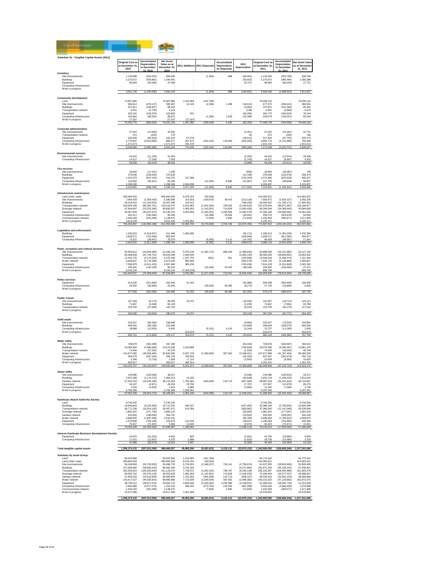

|                                              | <b>Original Cost as</b><br>at December 31<br>2010 | Accumulated<br>Depreciation<br>to December<br>31.2010 | <b>Net Asset</b><br>Value as at<br>December 31<br>2010 |                        | 2011 Additions 2011 Disposals | Accumulated<br>Depreciation<br>on Disposals | 2011<br>Depreciation       | <b>Original Cost as</b><br>at December 31<br>2011 | Accumulated<br>Depreciation<br>to December<br>31.201 | <b>Net Asset Valu</b><br>as at Decembe<br>31, 2011 |
|----------------------------------------------|---------------------------------------------------|-------------------------------------------------------|--------------------------------------------------------|------------------------|-------------------------------|---------------------------------------------|----------------------------|---------------------------------------------------|------------------------------------------------------|----------------------------------------------------|
| Cemetery                                     |                                                   |                                                       |                                                        |                        |                               |                                             |                            |                                                   |                                                      |                                                    |
| Site improvements                            | 1,133,898                                         | (450, 203)                                            | 683,695                                                |                        | (1, 304)                      | 988                                         | (84, 581)                  | 1,132,594                                         | (533, 796)                                           | 598,798                                            |
| Buildings                                    | 2,270,872                                         | (929, 881)                                            | 1,340,991                                              |                        |                               |                                             | (55, 603)                  | 2,270,872                                         | (985, 484)                                           | 1,285,388                                          |
| Equipment                                    | 96,964                                            | (59, 496)                                             | 37,468                                                 |                        |                               |                                             | (9,747)                    | 96,964                                            | (69, 243)                                            | 27,721                                             |
| Computing infrastructure                     |                                                   |                                                       |                                                        |                        |                               |                                             |                            |                                                   |                                                      |                                                    |
| Work in progress                             |                                                   |                                                       |                                                        |                        |                               |                                             |                            |                                                   |                                                      |                                                    |
|                                              | 3 501 734                                         | (1,439,580)                                           | 2,062,154                                              |                        | (1.304)                       | 988                                         | (149, 931)                 | 3,500,430                                         | (1,588,523)                                          | 1,911,907                                          |
| <b>Community development</b>                 |                                                   |                                                       |                                                        |                        |                               |                                             |                            |                                                   |                                                      |                                                    |
| Land                                         | 74.807.866                                        |                                                       | 74.807.866                                             | 1.414.065              | (191.789)                     |                                             |                            | 76.030.142                                        |                                                      | 76.030.142                                         |
| Site improvements                            | 669,614                                           | (279, 127)                                            | 390,487                                                | 10,124                 | (2, 366)                      | 1,298                                       | (18, 612)                  | 677,372                                           | (296, 441)                                           | 380,931                                            |
| Buildings                                    | 237,811                                           | (148, 307)                                            | 89,504                                                 |                        |                               |                                             | (4,062)                    | 237,811                                           | (152, 369)                                           | 85,442                                             |
| Transportation network                       | 6,941                                             | (2,728)                                               | 4,213                                                  |                        |                               |                                             | (138)                      | 6,941                                             | (2,866)                                              | 4,075                                              |
| Equipment                                    | 262,242                                           | (158, 379)                                            | 103.863                                                | 531                    |                               |                                             | (26, 250)                  | 262,773                                           | (184, 629)                                           | 78,144                                             |
| Computing infrastructure                     | 194.964                                           | (96,091)                                              | 98,873                                                 |                        | (1, 285)                      | 1,028                                       | (33, 188)                  | 193,679                                           | (128, 251)                                           | 65,428                                             |
| Work in progress                             | 27.337                                            |                                                       | 27.337<br>75,522,143                                   | (27, 337)              | (195, 440)                    | 2,326                                       | (82, 250)                  | 77,408,718                                        | (764, 556)                                           |                                                    |
|                                              | 76,206,775                                        | (684, 632)                                            |                                                        | 1,397,383              |                               |                                             |                            |                                                   |                                                      | 76,644,162                                         |
| <b>Corporate administration</b>              |                                                   |                                                       |                                                        |                        |                               |                                             |                            |                                                   |                                                      |                                                    |
| Site improvements                            | 47,022                                            | (12, 930)                                             | 34,092                                                 |                        |                               |                                             | (2, 351)                   | 47,022                                            | (15, 281)                                            | 31,741                                             |
| <b>Transportation network</b>                | 372                                               | (202)                                                 | 170                                                    |                        |                               |                                             | (4)                        | 372                                               | (206)                                                | 166                                                |
| Equipment                                    | 250,356                                           | (69, 343)                                             | 181,013                                                | 67,578                 |                               |                                             | (28, 412)                  | 317,934                                           | (97, 755)                                            | 220,179                                            |
| Computing infrastructure                     | 4,776,467                                         | (3,910,890)                                           | 865,577                                                | 267,473                | (150, 162)                    | 119,894                                     | (319, 493)                 | 4,893,778                                         | (4, 110, 489)                                        | 783,289                                            |
| Work in progress                             | 1.471.673                                         |                                                       | 1.471.673                                              | 441.479                |                               |                                             |                            | 1.913.152                                         |                                                      | 1.913.152                                          |
|                                              | 6,545,890                                         | (3,993,365)                                           | 2,552,525                                              | 776,530                | (150, 162)                    | 119,894                                     | (350, 260)                 | 7,172,258                                         | (4, 223, 731)                                        | 2,948,527                                          |
| <b>Environmental services</b>                |                                                   |                                                       |                                                        |                        |                               |                                             |                            |                                                   |                                                      |                                                    |
| Site improvements                            | 42,622                                            | (11, 159)                                             | 31,463                                                 |                        |                               |                                             | (2, 255)                   | 42,622                                            | (13, 414)                                            | 29,208                                             |
| Computing infrastructure                     | 14,317                                            | (7, 254)                                              | 7,063                                                  |                        |                               |                                             | (2,743)                    | 14,317                                            | (9,997)                                              | 4,320                                              |
|                                              | 56,939                                            | (18, 413)                                             | 38,526                                                 |                        |                               |                                             | (4,998)                    | 56,939                                            | (23, 411)                                            | 33,528                                             |
|                                              |                                                   |                                                       |                                                        |                        |                               |                                             |                            |                                                   |                                                      |                                                    |
| <b>Fire services</b>                         |                                                   |                                                       |                                                        |                        |                               |                                             |                            |                                                   |                                                      |                                                    |
| Site improvements                            | 18.826                                            | (17.431)                                              | 1.395                                                  |                        |                               |                                             | (656)                      | 18,826                                            | (18.087)                                             | 739                                                |
| Buildings                                    | 379,048                                           | (108, 420)                                            | 270,628                                                |                        |                               |                                             | (12, 158)                  | 379,048                                           | (120, 578)                                           | 258,470                                            |
| Equipment                                    | 1,347,679                                         | (837, 104)                                            | 510,575                                                | 127,286                |                               |                                             | (142, 324)                 | 1,474,965                                         | (979, 428)                                           | 495,537                                            |
| Computing infrastructure<br>Work in progress | 119,060<br>2,299,268                              | (35, 811)                                             | 83,249<br>2,299,268                                    | 2,944,039              | (11, 305)                     | 8,830                                       | (21, 867)                  | 107,755<br>5,243,307                              | (48, 848)                                            | 58,907<br>5,243,307                                |
|                                              | 4,163,881                                         | (998, 766)                                            | 3.165.115                                              | 3,071,325              | (11, 305)                     | 8,830                                       | (177,005)                  | 7.223.901                                         | (1, 166, 941)                                        | 6.056.960                                          |
|                                              |                                                   |                                                       |                                                        |                        |                               |                                             |                            |                                                   |                                                      |                                                    |
| Infrastructure maintenance                   |                                                   |                                                       |                                                        |                        |                               |                                             |                            |                                                   |                                                      |                                                    |
| Land under roads                             | 405,664,503                                       |                                                       | 405,664,503                                            | 8,478,152              | (60, 034)                     |                                             |                            | 414,082,621                                       |                                                      | 414,082,621                                        |
| Site improvements                            | 7.640.429                                         | (2.359.434)                                           | 5.280.995                                              | 102.918                | (159, 875)                    | 39.415                                      | (213.118)                  | 7.583.472                                         | (2.533.137)                                          | 5.050.335                                          |
| Buildings                                    | 29,316,410                                        | (11,018,915)                                          | 18.297.495                                             | 124,212                |                               |                                             | (766, 256)                 | 29,440,622                                        | (11, 785, 171)                                       | 17,655,451                                         |
| <b>Transportation network</b>                | 203,604,236                                       | (85, 384, 761)                                        | 118,219,475                                            | 6,015,962              | (1,641,354)                   | 708,426                                     | (5, 195, 632)              | 207,978,844                                       | (89, 871, 967)                                       | 118,106,877                                        |
| Drainage network<br>Equipment                | 67.944.847<br>35,487,829                          | (23, 252, 340)<br>(20, 347, 675)                      | 44.692.507<br>15,140,154                               | 1.482.653<br>4,053,950 | (1.142.951)<br>(2, 235, 591)  | 714,828<br>2.235.589                        | (1.862.428)<br>(2,832,576) | 68,284,549<br>37,306,188                          | (24.399.940)<br>(20, 944, 662)                       | 43,884,609<br>16,361,526                           |
| Computing infrastructure                     | 291,011                                           | (195, 565)                                            | 95.446                                                 |                        | (32, 288)                     | 25.828                                      | (34, 941)                  | 258.723                                           | (204, 678)                                           | 54.045                                             |
| Communication network                        | 1,440,183                                         | (291, 508)                                            | 1,148,675                                              |                        | (7,600)                       | 2,660                                       | (71, 829)                  | 1,432,583                                         | (360, 677)                                           | 1,071,906                                          |
| Work in progress                             | 3,814,449                                         |                                                       | 3,814,449                                              | 2,425,862              |                               |                                             |                            | 6,240,311                                         |                                                      | 6,240,311                                          |
|                                              | 755,203,897                                       | (142, 850, 198)                                       | 612,353,699                                            | 22,683,709             | (5,279,693)                   | 3,726,746                                   | (10, 976, 780)             | 772,607,913                                       | (150, 100, 232)                                      | 622,507,681                                        |
|                                              |                                                   |                                                       |                                                        |                        |                               |                                             |                            |                                                   |                                                      |                                                    |
| Legislative and enforcement                  |                                                   |                                                       |                                                        |                        |                               |                                             |                            |                                                   |                                                      |                                                    |
| <b>Buildings</b><br>Equipment                | 1,230,523<br>1.606.571                            | (1,019,057)                                           | 211,466<br>853.925                                     | 1,056,090              |                               |                                             | (35, 171)                  | 2,286,613                                         | (1,054,228)                                          | 1,232,385<br>694,977                               |
| Computing infrastructure                     | 73,321                                            | (752, 646)<br>(39, 947)                               | 33,374                                                 |                        | (6, 392)                      | 5.112                                       | (158, 948)<br>(14, 752)    | 1,606,571<br>66,929                               | (911, 594)<br>(49, 587)                              | 17,342                                             |
|                                              | 2,910,415                                         | (1.811.650)                                           | 1,098,765                                              | 1.056.090              | (6, 392)                      | 5 1 1 2                                     | (208, 871)                 | 3,960,113                                         | (2,015,409)                                          | 1,944,704                                          |
|                                              |                                                   |                                                       |                                                        |                        |                               |                                             |                            |                                                   |                                                      |                                                    |
| Parks, recreation and cultural services      |                                                   |                                                       |                                                        |                        |                               |                                             |                            |                                                   |                                                      |                                                    |
| Site improvements                            | 45,494,612                                        | (23,059,484)                                          | 22,435,128                                             | 6,579,136              | (1, 184, 712)                 | 686,440                                     | (2,388,836)                | 50,889,036                                        | (24, 761, 880)                                       | 26, 127, 156                                       |
| Buildings                                    | 82,369,849                                        | (37,744,751)                                          | 44,625,098                                             | 1,090,444              |                               |                                             | (2,062,140)                | 83,460,293                                        | (39, 806, 891)                                       | 43,653,402                                         |
| <b>Transportation network</b>                | 11,442,725                                        | (5, 172, 526)                                         | 6,270,199                                              | 1,107,754              | (961)                         | 361                                         | (225,909)                  | 12,549,518                                        | (5,398,074)                                          | 7,151,444                                          |
| Water network                                | 6,649,837                                         | (3,776,308)                                           | 2,873,529                                              | 883,906                |                               |                                             | (362, 578)                 | 7,533,743                                         | (4, 138, 886)                                        | 3,394,857                                          |
| Fauinment                                    | 7,508,879                                         | (4.511.413)                                           | 2.997.466                                              | 305,230                |                               |                                             | (740.436)                  | 7.814.109                                         | (5.251.849)                                          | 2.562.260                                          |
| Computing infrastructure                     | 235,491<br>8 243 144                              | (145, 158)                                            | 90,333<br>8 243 144                                    | (7.434.378)            | (31, 556)                     | 25,240                                      | (36, 546)                  | 203,935<br>808 766                                | (156, 464)                                           | 47,471<br>808,766                                  |
| Work in progress                             | 161,944,537                                       | (74, 409, 640)                                        | 87,534,897                                             | 2,532,092              | (1, 217, 229)                 | 712,041                                     | (5,816,445)                | 163,259,400                                       | (79, 514, 044)                                       | 83,745,356                                         |
|                                              |                                                   |                                                       |                                                        |                        |                               |                                             |                            |                                                   |                                                      |                                                    |
| Police services                              |                                                   |                                                       |                                                        |                        |                               |                                             |                            |                                                   |                                                      |                                                    |
| Equipment                                    | 514,206                                           | (311,660)                                             | 202.546                                                | 31,342                 |                               |                                             | (52,988)                   | 545,548                                           | (364, 648)                                           | 180,900                                            |
| Computing infrastructure                     | 63,350                                            | (40, 906)                                             | 22 444                                                 |                        | (35, 625)                     | 28.280                                      | (8, 273)                   | 27,725                                            | (20, 899)                                            | 6,826                                              |
| Work in progress                             |                                                   |                                                       |                                                        |                        |                               |                                             |                            |                                                   |                                                      |                                                    |
|                                              | 577,556                                           | (352, 566)                                            | 224,990                                                | 31,342                 | (35, 625)                     | 28,280                                      | (61, 261)                  | 573,273                                           | (385, 547)                                           | 187,726                                            |
| <b>Public Transit</b>                        |                                                   |                                                       |                                                        |                        |                               |                                             |                            |                                                   |                                                      |                                                    |
| Site improvements                            | 107,463                                           | (8, 170)                                              | 99.293                                                 | 34,374                 |                               |                                             | (10, 545)                  | 141,837                                           | (18, 715)                                            | 123,122                                            |
| Buildings                                    | 71,667                                            | (6, 448)                                              | 65,219                                                 |                        |                               |                                             | (1, 433)                   | 71,667                                            | (7,881)                                              | 63,786                                             |
| <b>Transportation network</b>                | 153,700                                           | (27, 936)                                             | 125,764                                                |                        |                               |                                             | (8, 240)                   | 153,700                                           | (36, 176)                                            | 117,524                                            |
| Work in progress                             |                                                   |                                                       |                                                        |                        |                               |                                             |                            |                                                   |                                                      |                                                    |
|                                              | 332,830                                           | (42, 554)                                             | 290.276                                                | 34,374                 |                               |                                             | (20, 218)                  | 367,204                                           | (62, 772)                                            | 304,432                                            |
|                                              |                                                   |                                                       |                                                        |                        |                               |                                             |                            |                                                   |                                                      |                                                    |
| Solid waste                                  |                                                   |                                                       |                                                        |                        |                               |                                             |                            |                                                   |                                                      |                                                    |
| Site improvements<br><b>Buildings</b>        | 223.207<br>408 626                                | (66, 369)<br>(93, 180)                                | 156,838<br>315 446                                     |                        |                               |                                             | (6, 856)<br>(14.890)       | 223,207<br>408.626                                | (73, 225)<br>(108.070)                               | 149,982<br>300 556                                 |
|                                              |                                                   |                                                       |                                                        |                        |                               |                                             |                            |                                                   |                                                      |                                                    |

**Net Asset Value as at December 31, 2011**

| <b>Fire services</b>                              |                            |                                   |                           |                        |                             |                     |                              |                           |                                  |                           |
|---------------------------------------------------|----------------------------|-----------------------------------|---------------------------|------------------------|-----------------------------|---------------------|------------------------------|---------------------------|----------------------------------|---------------------------|
| Site improvements                                 | 18.826                     | (17, 431)                         | 1,395                     |                        |                             |                     | (656)                        | 18.826                    | (18,087)                         |                           |
| <b>Buildings</b><br>Equipment                     | 379 048<br>1,347,679       | (108.420)<br>(837, 104)           | 270 628<br>510,575        | 127,286                |                             |                     | (12.158)<br>(142, 324)       | 379,048<br>1,474,965      | (120.578)<br>(979, 428)          | 739<br>258,470<br>495,537 |
| Computing infrastructure                          | 119,060                    | (35, 811)                         | 83,249                    |                        | (11, 305)                   | 8,830               | (21, 867)                    | 107,755                   | (48, 848)                        | 58,907                    |
| Work in progress                                  | 299,268                    |                                   | 299,268                   | 2,944,039              |                             |                     |                              | 5,243,307                 |                                  | 5,243,307                 |
|                                                   | 4,163,881                  | (998, 766)                        | 3,165,115                 | 3,071,325              | (11, 305)                   | 8,830               | (177,005)                    | 7,223,901                 | (1, 166, 941)                    | 6,056,960                 |
| Infrastructure maintenance                        |                            |                                   |                           |                        |                             |                     |                              |                           |                                  |                           |
| Land under roads                                  | 405,664,503                |                                   | 405,664,503               | 8,478,152              | (60, 034)                   |                     |                              | 414,082,621               |                                  | 414,082,621               |
| Site improvements<br>Buildings                    | 7,640,429<br>29,316,410    | (2,359,434)<br>(11,018,915)       | 5,280,995<br>18.297.495   | 102,918<br>124 212     | (159, 875)                  | 39,415              | (213, 118)<br>(766, 256)     | 7,583,472<br>29 440 622   | (2, 533, 137)<br>(11, 785, 171)  | 5,050,335<br>17,655,451   |
| <b>Transportation network</b>                     | 203,604,236                | (85.384.761)                      | 118,219,475               | 6.015.962              | (1.641.354)                 | 708.426             | (5.195.632)                  | 207.978.844               | (89.871.967)                     | 118,106,877               |
| Drainage network                                  | 67.944.847                 | (23, 252, 340)                    | 44.692.507                | 1.482.653              | (1.142.951)                 | 714.828             | (1,862,428)                  | 68,284,549                | (24.399.940)                     | 43,884,609                |
| Equipment                                         | 35,487,829<br>291,011      | (20, 347, 675)<br>(195.565)       | 15,140,154<br>95,446      | 4,053,950              | (2, 235, 591)<br>(32, 288)  | 2,235,589<br>25.828 | (2,832,576)<br>(34, 941)     | 37,306,188<br>258,723     | (20, 944, 662)<br>(204.678)      | 16,361,526<br>54,045      |
| Computing infrastructure<br>Communication network | 1 440 183                  | (291, 508)                        | 1 148 675                 |                        | (7,600)                     | 2.660               | (71, 829)                    | 1 432 583                 | (360.677)                        | 1.071.906                 |
| Work in progress                                  | 3,814,449                  |                                   | 3,814,449                 | 2,425,862              |                             |                     |                              | 6,240,311                 |                                  | 6,240,311                 |
|                                                   | 755,203,897                | (142, 850, 198)                   | 612,353,699               | 22,683,709             | (5,279,693)                 | 3,726,746           | (10, 976, 780)               | 772,607,913               | (150, 100, 232)                  | 622,507,681               |
| <b>Legislative and enforcement</b>                |                            |                                   |                           |                        |                             |                     |                              |                           |                                  |                           |
| <b>Buildings</b>                                  | 1 230 523                  | (1.019.057)                       | 211 466                   | 1.056.090              |                             |                     | (35, 171)                    | 2 286 613                 | (1.054.228)                      | 1 232 385                 |
| Equipment                                         | 1,606,571                  | (752, 646)                        | 853,925                   |                        |                             |                     | (158, 948)                   | 1,606,571                 | (911, 594)                       | 694,977                   |
| Computing infrastructure                          | 73,321<br>2,910,415        | (39, 947)<br>(1,811,650)          | 33,374<br>1,098,765       | 1,056,090              | (6, 392)<br>(6, 392)        | 5.112<br>5,112      | (14, 752)<br>(208, 871)      | 66,929<br>3,960,113       | (49, 587)<br>(2,015,409)         | 17,342<br>1,944,704       |
|                                                   |                            |                                   |                           |                        |                             |                     |                              |                           |                                  |                           |
| Parks, recreation and cultural services           |                            |                                   |                           |                        |                             |                     |                              |                           |                                  |                           |
| Site improvements<br>Buildings                    | 45.494.612<br>82,369,849   | (23.059.484)<br>(37,744,751)      | 22.435.128<br>44,625,098  | 6,579,136<br>1,090,444 | (1, 184, 712)               | 686,440             | (2,388,836)<br>(2,062,140)   | 50,889,036<br>83,460,293  | (24.761.880)<br>(39, 806, 891)   | 26,127,156<br>43,653,402  |
| Transportation network                            | 11,442,725                 | (5, 172, 526)                     | 6,270,199                 | 1,107,754              | (961)                       | 361                 | (225, 909)                   | 12,549,518                | (5,398,074)                      | 7,151,444                 |
| Water network                                     | 6,649,837                  | (3.776.308)                       | 2.873.529                 | 883,906                |                             |                     | (362.578)                    | 7.533.743                 | (4.138.886)                      | 3,394,857                 |
| Equipment<br>Computing infrastructure             | 7,508,879<br>235.491       | (4, 511, 413)<br>(145, 158)       | 2,997,466<br>90.333       | 305.230                | (31, 556)                   | 25.240              | (740.436)<br>(36, 546)       | 7.814.109<br>203.935      | (5.251.849)<br>(156, 464)        | 2,562,260<br>47.471       |
| Work in progress                                  | 8,243,144                  |                                   | 8,243,144                 | (7,434,378)            |                             |                     |                              | 808,766                   |                                  | 808,766                   |
|                                                   | 161,944,537                | (74, 409, 640)                    | 87,534,897                | 2,532,092              | (1, 217, 229)               | 712,041             | (5,816,445)                  | 163,259,400               | (79, 514, 044)                   | 83,745,356                |
| Police services                                   |                            |                                   |                           |                        |                             |                     |                              |                           |                                  |                           |
| Equipment                                         | 514,206                    | (311, 660)                        | 202.546                   | 31,342                 |                             |                     | (52,988)                     | 545,548                   | (364.648)                        | 180,900                   |
| Computing infrastructure                          | 63,350                     | (40, 906)                         | 22,444                    |                        | (35, 625)                   | 28,280              | (8,273)                      | 27,725                    | (20, 899)                        | 6,826                     |
| Work in progress                                  | 577,556                    | (352.566)                         | 224.990                   | 31.342                 | (35.625)                    | 28,280              | (61.261)                     | 573,273                   | (385, 547)                       | 187,726                   |
|                                                   |                            |                                   |                           |                        |                             |                     |                              |                           |                                  |                           |
| <b>Public Transit</b>                             |                            |                                   |                           |                        |                             |                     |                              |                           |                                  |                           |
| Site improvements                                 | 107,463                    | (8, 170)                          | 99,293                    | 34,374                 |                             |                     | (10, 545)                    | 141,837                   | (18, 715)                        | 123,122                   |
| Buildings<br><b>Transportation network</b>        | 71,667<br>153,700          | (6.448)<br>(27, 936)              | 65.219<br>125,764         |                        |                             |                     | $(1,433)$<br>$(8,240)$       | 71.667<br>153,700         | (7, 881)<br>(36, 176)            | 63,786<br>117,524         |
| Work in progress                                  |                            |                                   |                           |                        |                             |                     |                              |                           |                                  |                           |
|                                                   | 332,830                    | (42, 554)                         | 290,276                   | 34,374                 |                             |                     | (20, 218)                    | 367,204                   | (62, 772)                        | 304,432                   |
| Solid waste                                       |                            |                                   |                           |                        |                             |                     |                              |                           |                                  |                           |
| Site improvements                                 | 223.207                    | (66.369)                          | 156,838                   |                        |                             |                     | (6.856)                      | 223.207                   | (73.225)                         | 149.982                   |
| Buildings                                         | 408,626                    | (93, 180)                         | 315,446                   |                        |                             |                     | (14, 890)                    | 408,626                   | (108,070)                        | 300,556                   |
| Computing infrastructure<br>Work in progress      | 18,888                     | (12,055)                          | 6,833                     | 314,573                | (5, 151)                    | 4,120               | (3, 164)                     | 13,737<br>314 573         | (11,099)                         | 2,638<br>314,573          |
|                                                   | 650 721                    | (171604)                          | 479 117                   |                        | (5, 151)                    | 4 1 2 0             | (24.910)                     | 960 143                   | (192.394)                        | 767 749                   |
|                                                   |                            |                                   |                           |                        |                             |                     |                              |                           |                                  |                           |
| <b>Water utility</b><br>Site improvements         | 728,879                    | (381, 549)                        | 347,330                   |                        |                             |                     | (63, 318)                    | 728,879                   | (444, 867)                       | 284,012                   |
| Buildings                                         |                            | (4,386,658)                       | 14,674,036                | 1,015,896              |                             |                     | (708, 829)                   |                           | (5,095,487)                      |                           |
| <b>Transportation network</b>                     | 19,060,694<br>74,400       | (27, 322)                         | 47,078                    |                        |                             |                     | (1, 332)                     | 20,076,590<br>74,400      | (28, 654)                        | 14,981,103<br>45,746      |
| Water network                                     | 131,877,090                | (39,056,495)                      | 92,820,595                | 6,837,733              | (1,036,834)                 | 397,062             | (2,538,021)                  | 137,677,989               | (41, 197, 454)                   | 96,480,535                |
| Equipment<br>Computing infrastructure             | 506,479<br>5 298           | (297, 344)<br>(3,729)             | 209,135<br>1.569          | 100,918<br>17,110      |                             |                     | (55, 335)<br>(2,854)         | 607,397<br>22,408         | (352, 679)<br>(6, 583)           | 254,718<br>15.825         |
| Work in progress                                  | 900.917                    |                                   | 900.917                   | 360.314                |                             |                     |                              | 1.261.231                 |                                  | 1.261.231                 |
|                                                   | 153, 153, 757              | (44, 153, 097)                    | 109,000,660               | 8,331,971              | (1,036,834)                 | 397,062             | (3,369,689)                  | 160,448,894               | (47, 125, 724)                   | 113,323,170               |
| Sewer utility                                     |                            |                                   |                           |                        |                             |                     |                              |                           |                                  |                           |
| Site improvements                                 | 143,086                    | (105,069)                         | 38,017                    |                        |                             |                     | $(4,546)$<br>$(63,648)$      | 143,086                   | (109, 615)                       | 33,471                    |
| <b>Buildings</b>                                  | 2.637.589                  | (1.174.576)                       | 1.463.013                 | 15.155                 |                             |                     |                              | 2.652.744                 | (1.238.224)                      | 1.414.520                 |
| Sanitary network<br>Equipment                     | 57,450,233<br>54.197       | (19, 335, 180)<br>(4,971)         | 38,115,053<br>49.226      | 1,781,582<br>53,760    | (344.296)                   | 119,713             | (947, 465)<br>(7.707)        | 58,887,519<br>107.957     | (20, 162, 932)<br>(12.678)       | 38,724,587<br>95.279      |
| Computing infrastructure                          | 7,343                      | (4, 919)                          | 2,424                     | 3,989                  |                             |                     | (2,665)                      | 11,332                    | (7, 584)                         | 3,748                     |
| Work in progress                                  | 6 760 308                  |                                   | 6,760,308                 | 2 536 954              |                             |                     |                              | 9.297.262                 |                                  | 9,297,262                 |
|                                                   | 67.052.756                 | (20.624.715)                      | 46.428.041                | 4.391.440              | (344.296)                   | 119,713             | (1.026.031)                  | 71.099.900                | (21.531.033)                     | 49,568,867                |
| <b>Kamloops Airport Authority Society</b>         |                            |                                   |                           |                        |                             |                     |                              |                           |                                  |                           |
| Land                                              | 8,745,200                  |                                   | 8,745,200                 |                        |                             |                     |                              | 8,745,200                 |                                  | 8,745,200                 |
| <b>Buildings</b><br><b>Transportation network</b> | 19.945.803<br>36,771,236   | (3.233.350)<br>(10, 314, 165)     | 16,712.453<br>26,457,071  | 440 537                |                             |                     | (547, 492)<br>(832, 881)     | 20.386.340<br>37,386,592  | (3,780,842)<br>(11, 147, 046)    | 16 605 498<br>26,239,546  |
| Drainage network                                  | 1,981,915                  | (121, 793)                        | 1,860,122                 | 615,356                |                             |                     | (55, 804)                    | 1,981,915                 | (177, 597)                       | 1,804,318                 |
| Sanitary network                                  | 543,400                    | (188, 649)                        | 354,751                   |                        |                             |                     | (10, 642)                    | 543,400                   | (199, 291)                       | 344,109                   |
| Water network                                     | 4,890,600                  | (1,697,839)                       | 3,192,761                 |                        |                             |                     | (95, 783)                    | 4,890,600                 | (1,793,622)                      | 3,096,978                 |
| Equipment<br>Computing infrastructure             | 1,075,838<br>76,457        | (705.159)<br>(72, 497)            | 370,679<br>3,960          | 114.226<br>15,945      |                             |                     | (49.537)<br>(3.974)          | 1,190,064<br>92.402       | (754, 696)<br>(76, 471)          | 435,368<br>15,931         |
|                                                   | 74,030,449                 | 333,452                           | 96,991                    | 1,186,064              |                             |                     | ,596,113                     |                           | (17, 929, 565)                   |                           |
|                                                   |                            |                                   |                           |                        |                             |                     |                              |                           |                                  |                           |
| Venture Kamloops Business Development Society     | 24.975                     | (16.323)                          | 8.652                     | 809                    |                             |                     | (2.561)                      | 25,784                    | (18.884)                         | 6,900                     |
| Equipment<br>Computing infrastructure             | 17.021                     | (12.651)                          | 4.370                     | 1.688                  |                             |                     | (2.829)                      | 18,709                    | (15.480)                         | 3.229                     |
|                                                   | 41,996                     | (28, 974)                         | 13,022                    | 2,497                  |                             |                     | (5, 390)                     | 44,493                    | (34, 364)                        | 10,129                    |
|                                                   |                            |                                   | 998.460.927               |                        |                             |                     |                              |                           |                                  |                           |
| Total tangible capital assets                     | 1,306,374,133              | (307, 913, 206)                   |                           | 45,809,390             | (8, 283, 431)               | 5,125,112           | (23,870,152)                 | 1,343,900,092             | (326, 658, 246)                  | 1,017,241,846             |
| Summary by asset Group:                           |                            |                                   |                           |                        |                             |                     |                              |                           |                                  |                           |
| Land                                              | 83,553,066                 |                                   | 83,553,066                | 1.414.065              | (191.789)                   |                     |                              | 84.775.342                |                                  | 84,775,342                |
| Land under roads<br>Site improvements             | 405,664,503<br>56,249,658  | (26, 750, 925)                    | 405,664,503<br>29,498,733 | 8,478,152<br>6,726,552 | (60, 034)<br>(1,348,257)    | 728,141             | (2,795,674)                  | 414,082,621<br>61,627,953 | (28, 818, 458)                   | 414,082,621<br>32,809,495 |
| Buildings                                         |                            |                                   | 98,065,349                | 3,742,334              |                             |                     |                              | 161,671,226               | (64, 135, 225)                   |                           |
| <b>Transportation network</b>                     | 157,928,892<br>252,053,610 | $(59,863,543)$<br>$(100,929,640)$ | 151.123.970               | 7.739.072              | (1.642.315)                 | 708,787             | $(4,271,682)$<br>(6,264,136) | 258.150.367               | (106.484.989)                    | 97,536,001<br>151,665,378 |
| Drainage network<br>Sanitary network              | 69.926.762<br>57,993,633   | (23, 374, 133)<br>(19, 523, 829)  | 46,552,629<br>38,469,804  | 1,482,653<br>1,781,582 | (1, 142, 951)<br>(344, 296) | 714.828<br>119,713  | (1,918,232)<br>(958, 107)    | 70,266,464<br>59,430,919  | (24, 577, 537)<br>(20, 362, 223) | 45,688,927                |
| Water network                                     | 143,417,527                | (44, 530, 642)                    | 98,886,885                | 7,721,639              | (1,036,834)                 | 397,062             | (2,996,382)                  | 150, 102, 332             | (47, 129, 962)                   | 39,068,696<br>102,972,370 |
| Fouinment                                         | 48 736 215                 | (28.071.513)                      | 20.664.702                | 4855630                | (2.235.591)                 | 2 235 589           | (4 106 821)                  | 51 356 254                | (29.942.745)                     | 21 413 509                |
| Computing infrastructure                          | 5.892.988                  | (4.577.473)                       | 1.315.515                 | 306,205                | (273.764)                   | 218.332             | (487.289)                    | 5.925.429                 | (4.846.430)                      | 1.078.999                 |
| Communication network<br>Work in progress         | 1,440,183<br>23.517.096    | (291, 508)                        | 1,148,675<br>23.517.096   | 1.561.506              | (7,600)                     | 2.660               | (71, 829)                    | 1,432,583<br>25.078.602   | (360, 677)                       | 1,071,906<br>25.078.602   |
|                                                   |                            |                                   |                           |                        |                             |                     |                              |                           |                                  |                           |

 **1,306,374,133 (307,913,206) 998,460,927 45,809,390 (8,283,431) 5,125,112 (23,870,152) 1,343,900,092 (326,658,246) 1,017,241,846**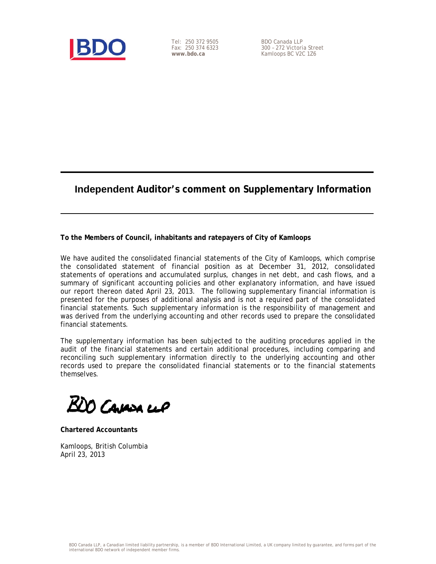

Tel: 250 372 9505 Fax: 250 374 6323 **www.bdo.ca** 

BDO Canada LLP 300 – 272 Victoria Street Kamloops BC V2C 1Z6

# **Independent Auditor's comment on Supplementary Information**

**To the Members of Council, inhabitants and ratepayers of City of Kamloops** 

We have audited the consolidated financial statements of the City of Kamloops, which comprise the consolidated statement of financial position as at December 31, 2012, consolidated statements of operations and accumulated surplus, changes in net debt, and cash flows, and a summary of significant accounting policies and other explanatory information, and have issued our report thereon dated April 23, 2013. The following supplementary financial information is presented for the purposes of additional analysis and is not a required part of the consolidated financial statements. Such supplementary information is the responsibility of management and was derived from the underlying accounting and other records used to prepare the consolidated financial statements.

The supplementary information has been subjected to the auditing procedures applied in the audit of the financial statements and certain additional procedures, including comparing and reconciling such supplementary information directly to the underlying accounting and other records used to prepare the consolidated financial statements or to the financial statements themselves.

BDO Cavasa ci*o* 

**Chartered Accountants** 

Kamloops, British Columbia April 23, 2013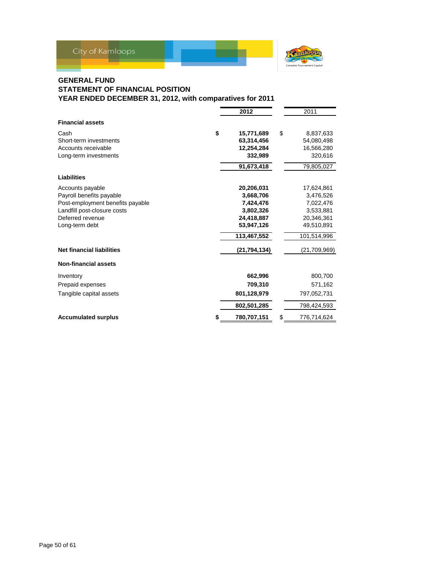

### **GENERAL FUND STATEMENT OF FINANCIAL POSITION YEAR ENDED DECEMBER 31, 2012, with comparatives for 2011**

|                                  | 2012             | 2011              |
|----------------------------------|------------------|-------------------|
| <b>Financial assets</b>          |                  |                   |
| Cash                             | \$<br>15,771,689 | \$<br>8,837,633   |
| Short-term investments           | 63,314,456       | 54,080,498        |
| Accounts receivable              | 12,254,284       | 16,566,280        |
| Long-term investments            | 332,989          | 320,616           |
|                                  | 91,673,418       | 79,805,027        |
| Liabilities                      |                  |                   |
| Accounts payable                 | 20,206,031       | 17,624,861        |
| Payroll benefits payable         | 3,668,706        | 3,476,526         |
| Post-employment benefits payable | 7,424,476        | 7,022,476         |
| Landfill post-closure costs      | 3,802,326        | 3,533,881         |
| Deferred revenue                 | 24,418,887       | 20,346,361        |
| Long-term debt                   | 53,947,126       | 49,510,891        |
|                                  | 113,467,552      | 101,514,996       |
| <b>Net financial liabilities</b> | (21, 794, 134)   | (21,709,969)      |
| <b>Non-financial assets</b>      |                  |                   |
| Inventory                        | 662,996          | 800,700           |
| Prepaid expenses                 | 709,310          | 571,162           |
| Tangible capital assets          | 801,128,979      | 797,052,731       |
|                                  | 802,501,285      | 798,424,593       |
| <b>Accumulated surplus</b>       | 780,707,151      | \$<br>776,714,624 |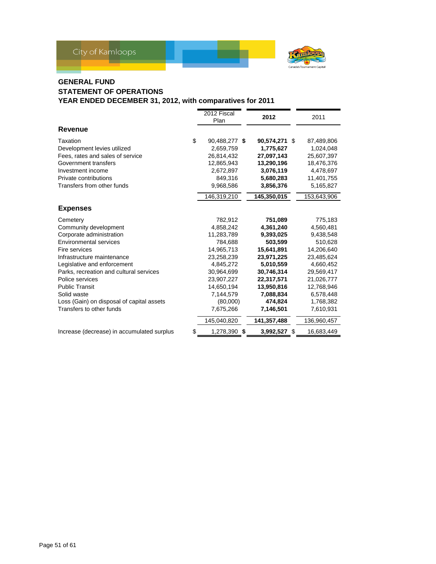

# **GENERAL FUND STATEMENT OF OPERATIONS YEAR ENDED DECEMBER 31, 2012, with comparatives for 2011**

|                                            | 2012 Fiscal<br>Plan | 2012          | 2011             |
|--------------------------------------------|---------------------|---------------|------------------|
| Revenue                                    |                     |               |                  |
| Taxation                                   | \$<br>90,488,277 \$ | 90,574,271 \$ | 87,489,806       |
| Development levies utilized                | 2,659,759           | 1,775,627     | 1.024.048        |
| Fees, rates and sales of service           | 26,814,432          | 27,097,143    | 25,607,397       |
| Government transfers                       | 12,865,943          | 13,290,196    | 18,476,376       |
| Investment income                          | 2,672,897           | 3,076,119     | 4,478,697        |
| Private contributions                      | 849,316             | 5,680,283     | 11,401,755       |
| Transfers from other funds                 | 9,968,586           | 3,856,376     | 5,165,827        |
|                                            | 146,319,210         | 145,350,015   | 153,643,906      |
| <b>Expenses</b>                            |                     |               |                  |
| Cemetery                                   | 782,912             | 751,089       | 775,183          |
| Community development                      | 4,858,242           | 4,361,240     | 4,560,481        |
| Corporate administration                   | 11,283,789          | 9,393,025     | 9,438,548        |
| Environmental services                     | 784,688             | 503,599       | 510,628          |
| Fire services                              | 14,965,713          | 15,641,891    | 14,206,640       |
| Infrastructure maintenance                 | 23,258,239          | 23,971,225    | 23,485,624       |
| Legislative and enforcement                | 4,845,272           | 5,010,559     | 4,660,452        |
| Parks, recreation and cultural services    | 30,964,699          | 30,746,314    | 29,569,417       |
| Police services                            | 23,907,227          | 22,317,571    | 21,026,777       |
| <b>Public Transit</b>                      | 14,650,194          | 13,950,816    | 12,768,946       |
| Solid waste                                | 7,144,579           | 7,088,834     | 6,578,448        |
| Loss (Gain) on disposal of capital assets  | (80,000)            | 474,824       | 1,768,382        |
| Transfers to other funds                   | 7,675,266           | 7,146,501     | 7,610,931        |
|                                            | 145,040,820         | 141,357,488   | 136,960,457      |
| Increase (decrease) in accumulated surplus | \$<br>1,278,390 \$  | 3,992,527     | \$<br>16,683,449 |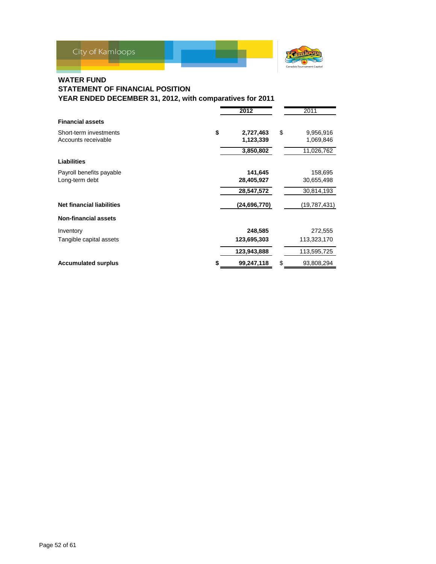

# **WATER FUND**

# **STATEMENT OF FINANCIAL POSITION YEAR ENDED DECEMBER 31, 2012, with comparatives for 2011**

|                                  | 2012             | 2011             |
|----------------------------------|------------------|------------------|
| <b>Financial assets</b>          |                  |                  |
| Short-term investments           | \$<br>2,727,463  | \$<br>9,956,916  |
| Accounts receivable              | 1,123,339        | 1,069,846        |
|                                  | 3,850,802        | 11,026,762       |
| Liabilities                      |                  |                  |
| Payroll benefits payable         | 141,645          | 158,695          |
| Long-term debt                   | 28,405,927       | 30,655,498       |
|                                  | 28,547,572       | 30,814,193       |
| <b>Net financial liabilities</b> | (24, 696, 770)   | (19,787,431)     |
| <b>Non-financial assets</b>      |                  |                  |
| Inventory                        | 248,585          | 272,555          |
| Tangible capital assets          | 123,695,303      | 113,323,170      |
|                                  | 123,943,888      | 113,595,725      |
| <b>Accumulated surplus</b>       | \$<br>99,247,118 | \$<br>93,808,294 |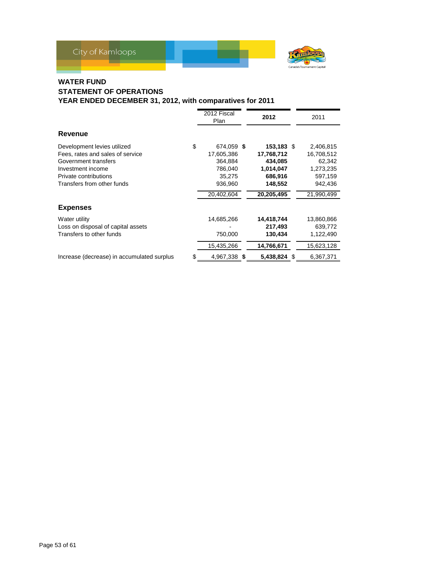



# **WATER FUND STATEMENT OF OPERATIONS YEAR ENDED DECEMBER 31, 2012, with comparatives for 2011**

|                                                                                                                                                                     |    | 2012 Fiscal<br>Plan                                                               | 2012                                                                                 | 2011                                                                               |
|---------------------------------------------------------------------------------------------------------------------------------------------------------------------|----|-----------------------------------------------------------------------------------|--------------------------------------------------------------------------------------|------------------------------------------------------------------------------------|
| Revenue                                                                                                                                                             |    |                                                                                   |                                                                                      |                                                                                    |
| Development levies utilized<br>Fees, rates and sales of service<br>Government transfers<br>Investment income<br>Private contributions<br>Transfers from other funds | \$ | 674,059 \$<br>17,605,386<br>364,884<br>786,040<br>35,275<br>936,960<br>20,402,604 | 153,183 \$<br>17,768,712<br>434,085<br>1,014,047<br>686,916<br>148,552<br>20,205,495 | 2,406,815<br>16,708,512<br>62,342<br>1,273,235<br>597,159<br>942,436<br>21,990,499 |
| <b>Expenses</b>                                                                                                                                                     |    |                                                                                   |                                                                                      |                                                                                    |
| Water utility<br>Loss on disposal of capital assets<br>Transfers to other funds                                                                                     |    | 14,685,266<br>750,000<br>15,435,266                                               | 14,418,744<br>217,493<br>130,434<br>14,766,671                                       | 13,860,866<br>639,772<br>1,122,490<br>15,623,128                                   |
| Increase (decrease) in accumulated surplus                                                                                                                          | S  | 4,967,338 \$                                                                      | 5,438,824 \$                                                                         | 6,367,371                                                                          |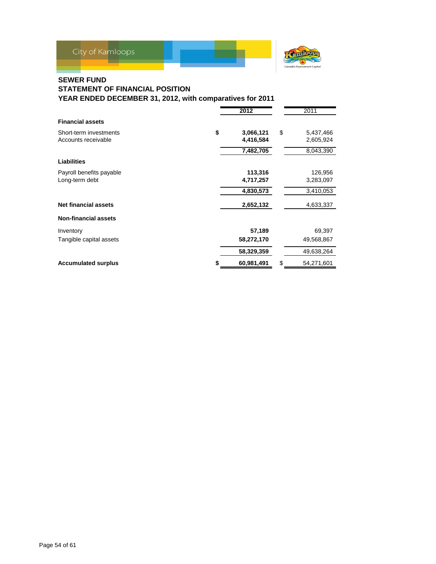

# **SEWER FUND**

**STATEMENT OF FINANCIAL POSITION**

|                             | 2012             | 2011             |
|-----------------------------|------------------|------------------|
| <b>Financial assets</b>     |                  |                  |
| Short-term investments      | \$<br>3,066,121  | \$<br>5,437,466  |
| Accounts receivable         | 4,416,584        | 2,605,924        |
|                             | 7,482,705        | 8,043,390        |
| <b>Liabilities</b>          |                  |                  |
| Payroll benefits payable    | 113,316          | 126,956          |
| Long-term debt              | 4,717,257        | 3,283,097        |
|                             | 4,830,573        | 3,410,053        |
| <b>Net financial assets</b> | 2,652,132        | 4,633,337        |
| <b>Non-financial assets</b> |                  |                  |
| Inventory                   | 57,189           | 69,397           |
| Tangible capital assets     | 58,272,170       | 49,568,867       |
|                             | 58,329,359       | 49,638,264       |
| <b>Accumulated surplus</b>  | \$<br>60,981,491 | \$<br>54,271,601 |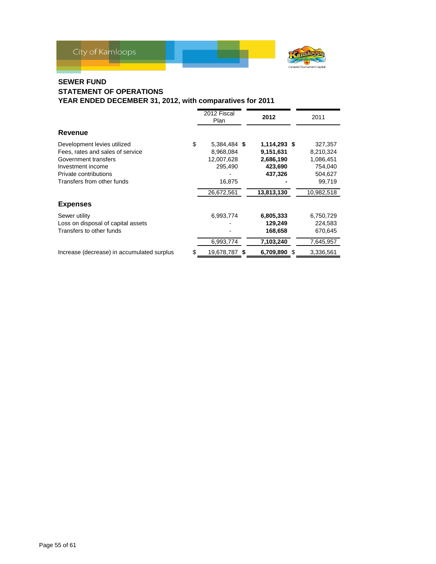

# **SEWER FUND STATEMENT OF OPERATIONS YEAR ENDED DECEMBER 31, 2012, with comparatives for 2011**

|                                                                                                                                                                     |    | 2012 Fiscal<br>Plan                                                        | 2012                                                                       | 2011                                                                            |
|---------------------------------------------------------------------------------------------------------------------------------------------------------------------|----|----------------------------------------------------------------------------|----------------------------------------------------------------------------|---------------------------------------------------------------------------------|
| Revenue                                                                                                                                                             |    |                                                                            |                                                                            |                                                                                 |
| Development levies utilized<br>Fees, rates and sales of service<br>Government transfers<br>Investment income<br>Private contributions<br>Transfers from other funds | \$ | 5,384,484 \$<br>8,968,084<br>12,007,628<br>295,490<br>16,875<br>26,672,561 | 1,114,293 \$<br>9,151,631<br>2,686,190<br>423,690<br>437,326<br>13,813,130 | 327,357<br>8,210,324<br>1,086,451<br>754,040<br>504,627<br>99.719<br>10,982,518 |
| <b>Expenses</b>                                                                                                                                                     |    |                                                                            |                                                                            |                                                                                 |
| Sewer utility<br>Loss on disposal of capital assets<br>Transfers to other funds                                                                                     |    | 6,993,774<br>6,993,774                                                     | 6,805,333<br>129,249<br>168,658<br>7,103,240                               | 6,750,729<br>224,583<br>670,645<br>7,645,957                                    |
| Increase (decrease) in accumulated surplus                                                                                                                          | S  | 19,678,787 \$                                                              | 6,709,890                                                                  | \$<br>3,336,561                                                                 |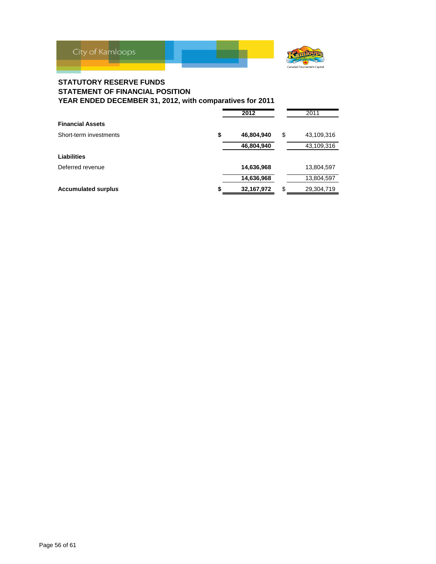

# **STATUTORY RESERVE FUNDS STATEMENT OF FINANCIAL POSITION YEAR ENDED DECEMBER 31, 2012, with comparatives for 2011**

|                            |    | 2012       | 2011             |
|----------------------------|----|------------|------------------|
| <b>Financial Assets</b>    |    |            |                  |
| Short-term investments     | \$ | 46,804,940 | \$<br>43,109,316 |
|                            |    | 46,804,940 | 43,109,316       |
| Liabilities                |    |            |                  |
| Deferred revenue           |    | 14,636,968 | 13,804,597       |
|                            |    | 14,636,968 | 13,804,597       |
| <b>Accumulated surplus</b> | S  | 32,167,972 | \$<br>29,304,719 |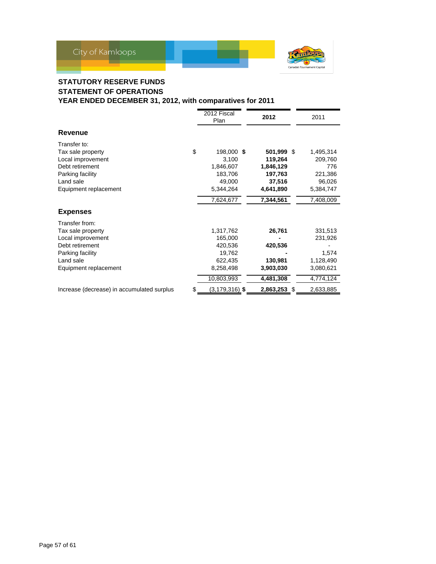

# **STATUTORY RESERVE FUNDS STATEMENT OF OPERATIONS YEAR ENDED DECEMBER 31, 2012, with comparatives for 2011**

|                                                                                                                                       | 2012 Fiscal<br>Plan                                                             | 2012                                                                 | 2011                                                               |
|---------------------------------------------------------------------------------------------------------------------------------------|---------------------------------------------------------------------------------|----------------------------------------------------------------------|--------------------------------------------------------------------|
| <b>Revenue</b>                                                                                                                        |                                                                                 |                                                                      |                                                                    |
| Transfer to:<br>Tax sale property<br>Local improvement<br>Debt retirement<br>Parking facility<br>Land sale<br>Equipment replacement   | \$<br>198,000 \$<br>3,100<br>1,846,607<br>183,706<br>49,000<br>5,344,264        | 501,999 \$<br>119,264<br>1,846,129<br>197,763<br>37,516<br>4,641,890 | 1,495,314<br>209,760<br>776<br>221,386<br>96,026<br>5,384,747      |
|                                                                                                                                       | 7,624,677                                                                       | 7,344,561                                                            | 7,408,009                                                          |
| <b>Expenses</b>                                                                                                                       |                                                                                 |                                                                      |                                                                    |
| Transfer from:<br>Tax sale property<br>Local improvement<br>Debt retirement<br>Parking facility<br>Land sale<br>Equipment replacement | 1,317,762<br>165,000<br>420,536<br>19,762<br>622,435<br>8,258,498<br>10,803,993 | 26,761<br>420,536<br>130,981<br>3,903,030<br>4,481,308               | 331,513<br>231,926<br>1,574<br>1,128,490<br>3,080,621<br>4,774,124 |
| Increase (decrease) in accumulated surplus                                                                                            | \$<br>$(3, 179, 316)$ \$                                                        | 2,863,253 \$                                                         | 2,633,885                                                          |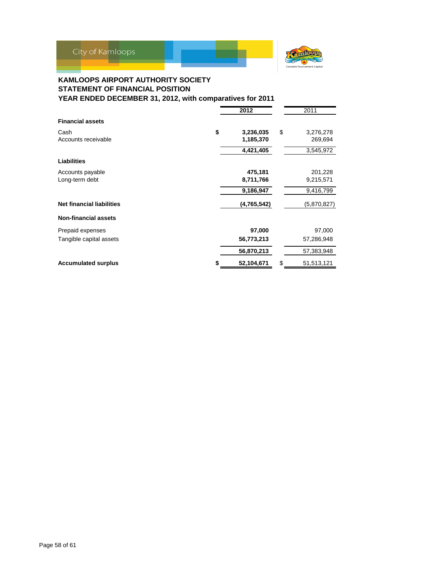

### **KAMLOOPS AIRPORT AUTHORITY SOCIETY STATEMENT OF FINANCIAL POSITION YEAR ENDED DECEMBER 31, 2012, with comparatives for 2011**

|                                  | 2012             | 2011             |
|----------------------------------|------------------|------------------|
| <b>Financial assets</b>          |                  |                  |
| Cash                             | \$<br>3,236,035  | \$<br>3,276,278  |
| Accounts receivable              | 1,185,370        | 269,694          |
|                                  | 4,421,405        | 3,545,972        |
| Liabilities                      |                  |                  |
| Accounts payable                 | 475,181          | 201,228          |
| Long-term debt                   | 8,711,766        | 9,215,571        |
|                                  | 9,186,947        | 9,416,799        |
| <b>Net financial liabilities</b> | (4,765,542)      | (5,870,827)      |
| <b>Non-financial assets</b>      |                  |                  |
| Prepaid expenses                 | 97,000           | 97,000           |
| Tangible capital assets          | 56,773,213       | 57,286,948       |
|                                  | 56,870,213       | 57,383,948       |
| <b>Accumulated surplus</b>       | \$<br>52,104,671 | \$<br>51,513,121 |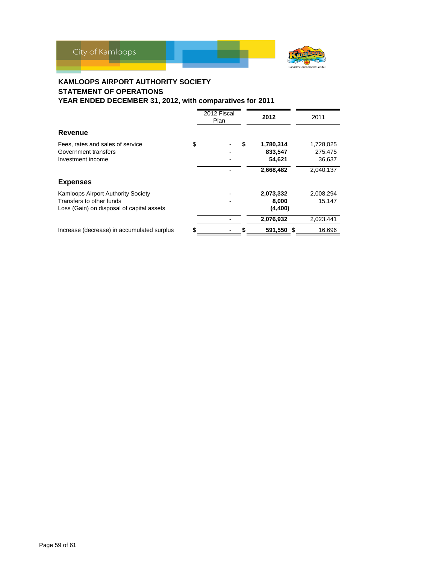

# **KAMLOOPS AIRPORT AUTHORITY SOCIETY STATEMENT OF OPERATIONS**

|                                            | 2012 Fiscal<br>Plan | 2012       | 2011      |  |
|--------------------------------------------|---------------------|------------|-----------|--|
| Revenue                                    |                     |            |           |  |
| Fees, rates and sales of service           | \$<br>\$            | 1,780,314  | 1,728,025 |  |
| Government transfers                       |                     | 833,547    | 275,475   |  |
| Investment income                          |                     | 54,621     | 36,637    |  |
|                                            |                     | 2,668,482  | 2,040,137 |  |
| <b>Expenses</b>                            |                     |            |           |  |
| <b>Kamloops Airport Authority Society</b>  |                     | 2,073,332  | 2,008,294 |  |
| Transfers to other funds                   |                     | 8,000      | 15.147    |  |
| Loss (Gain) on disposal of capital assets  |                     | (4, 400)   |           |  |
|                                            |                     | 2,076,932  | 2,023,441 |  |
| Increase (decrease) in accumulated surplus | \$                  | 591,550 \$ | 16,696    |  |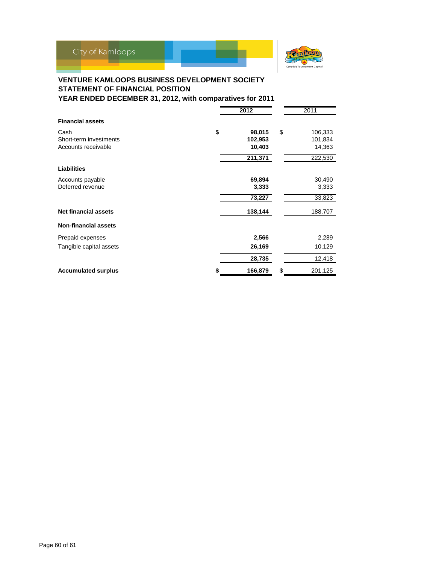

# **VENTURE KAMLOOPS BUSINESS DEVELOPMENT SOCIETY STATEMENT OF FINANCIAL POSITION**

|                             |    | 2011    |               |
|-----------------------------|----|---------|---------------|
| <b>Financial assets</b>     |    |         |               |
| Cash                        | \$ | 98,015  | \$<br>106,333 |
| Short-term investments      |    | 102,953 | 101,834       |
| Accounts receivable         |    | 10,403  | 14,363        |
|                             |    | 211,371 | 222,530       |
| <b>Liabilities</b>          |    |         |               |
| Accounts payable            |    | 69,894  | 30,490        |
| Deferred revenue            |    | 3,333   | 3,333         |
|                             |    | 73,227  | 33,823        |
| <b>Net financial assets</b> |    | 138,144 | 188,707       |
| <b>Non-financial assets</b> |    |         |               |
| Prepaid expenses            |    | 2,566   | 2,289         |
| Tangible capital assets     |    | 26,169  | 10,129        |
|                             |    | 28,735  | 12,418        |
| <b>Accumulated surplus</b>  | S  | 166,879 | \$<br>201,125 |